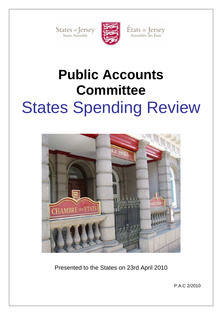States of Jersey



États de Jersey<br>Assemblée des États

# **Public Accounts Committee**  States Spending Review



Presented to the States on 23rd April 2010

P.A.C 2/2010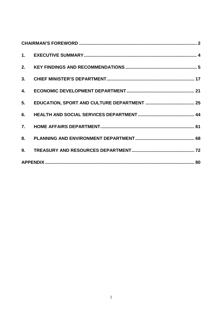| 2. |  |  |  |
|----|--|--|--|
|    |  |  |  |
| 4. |  |  |  |
|    |  |  |  |
|    |  |  |  |
| 7. |  |  |  |
|    |  |  |  |
|    |  |  |  |
|    |  |  |  |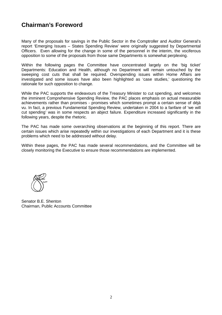# **Chairman's Foreword**

Many of the proposals for savings in the Public Sector in the Comptroller and Auditor General's report 'Emerging Issues – States Spending Review' were originally suggested by Departmental Officers. Even allowing for the change in some of the personnel in the interim, the vociferous opposition to some of the proposals from those same Departments is somewhat perplexing.

Within the following pages the Committee have concentrated largely on the 'big ticket' Departments: Education and Health, although no Department will remain untouched by the sweeping cost cuts that shall be required. Overspending issues within Home Affairs are investigated and some issues have also been highlighted as 'case studies,' questioning the rationale for such opposition to change.

While the PAC supports the endeavours of the Treasury Minister to cut spending, and welcomes the imminent Comprehensive Spending Review, the PAC places emphasis on actual measurable achievements rather than promises - promises which sometimes prompt a certain sense of déjà vu. In fact, a previous Fundamental Spending Review, undertaken in 2004 to a fanfare of 'we will cut spending' was in some respects an abject failure. Expenditure increased significantly in the following years, despite the rhetoric.

The PAC has made some overarching observations at the beginning of this report. There are certain issues which arise repeatedly within our investigations of each Department and it is these problems which need to be addressed without delay.

Within these pages, the PAC has made several recommendations, and the Committee will be closely monitoring the Executive to ensure those recommendations are implemented.



Senator B.E. Shenton Chairman, Public Accounts Committee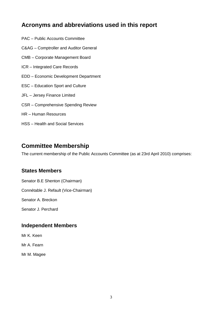# **Acronyms and abbreviations used in this report**

- PAC Public Accounts Committee
- C&AG Comptroller and Auditor General
- CMB Corporate Management Board
- ICR Integrated Care Records
- EDD Economic Development Department
- ESC Education Sport and Culture
- JFL Jersey Finance Limited
- CSR Comprehensive Spending Review
- HR Human Resources
- HSS Health and Social Services

# **Committee Membership**

The current membership of the Public Accounts Committee (as at 23rd April 2010) comprises:

## **States Members**

Senator B.E Shenton (Chairman)

Connétable J. Refault (Vice-Chairman)

Senator A. Breckon

Senator J. Perchard

## **Independent Members**

Mr K. Keen

Mr A. Fearn

Mr M. Magee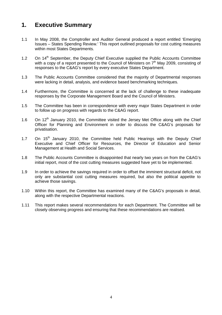# **1. Executive Summary**

- 1.1 In May 2008, the Comptroller and Auditor General produced a report entitled 'Emerging Issues – States Spending Review.' This report outlined proposals for cost cutting measures within most States Departments.
- 1.2 On 14<sup>th</sup> September, the Deputy Chief Executive supplied the Public Accounts Committee with a copy of a report presented to the Council of Ministers on  $7<sup>th</sup>$  May 2009, consisting of responses to the C&AG's report by every executive States Department.
- 1.3 The Public Accounts Committee considered that the majority of Departmental responses were lacking in detail, analysis, and evidence based benchmarking techniques.
- 1.4 Furthermore, the Committee is concerned at the lack of challenge to these inadequate responses by the Corporate Management Board and the Council of Ministers.
- 1.5 The Committee has been in correspondence with every major States Department in order to follow up on progress with regards to the C&AG report.
- 1.6 On 12<sup>th</sup> January 2010, the Committee visited the Jersey Met Office along with the Chief Officer for Planning and Environment in order to discuss the C&AG's proposals for privatisation.
- 1.7 On 15<sup>th</sup> January 2010, the Committee held Public Hearings with the Deputy Chief Executive and Chief Officer for Resources, the Director of Education and Senior Management at Health and Social Services.
- 1.8 The Public Accounts Committee is disappointed that nearly two years on from the C&AG's initial report, most of the cost cutting measures suggested have yet to be implemented.
- 1.9 In order to achieve the savings required in order to offset the imminent structural deficit, not only are substantial cost cutting measures required, but also the political appetite to achieve those savings.
- 1.10 Within this report, the Committee has examined many of the C&AG's proposals in detail, along with the respective Departmental reactions.
- 1.11 This report makes several recommendations for each Department. The Committee will be closely observing progress and ensuring that these recommendations are realised.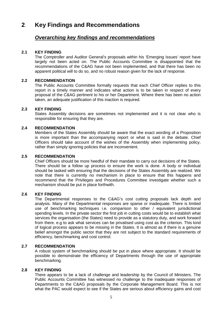# **2**. **Key Findings and Recommendations**

## **Overarching key findings and recommendations**

#### **2.1 KEY FINDING**

The Comptroller and Auditor General's proposals within his 'Emerging Issues' report have largely not been acted on. The Public Accounts Committee is disappointed that the recommendations of the C&AG have not been implemented, and that there has been no apparent political will to do so, and no robust reason given for the lack of response.

#### **2.2 RECOMMENDATION**

The Public Accounts Committee formally requests that each Chief Officer replies to this report in a timely manner and indicates what action is to be taken in respect of every proposal of the C&AG pertinent to his or her Department. Where there has been no action taken, an adequate justification of this inaction is required.

#### **2.3 KEY FINDING**

States Assembly decisions are sometimes not implemented and it is not clear who is responsible for ensuring that they are.

#### **2.4 RECOMMENDATION**

Members of the States Assembly should be aware that the exact wording of a Proposition is more important than the accompanying report or what is said in the debate. Chief Officers should take account of the wishes of the Assembly when implementing policy, rather than simply ignoring policies that are inconvenient.

#### **2.5 RECOMMENDATION**

Chief Officers should be more heedful of their mandate to carry out decisions of the States. There should be a follow up process to ensure the work is done. A body or individual should be tasked with ensuring that the decisions of the States Assembly are realized. We note that there is currently no mechanism in place to ensure that this happens and recommend that the Privileges and Procedures Committee investigate whether such a mechanism should be put in place forthwith.

#### **2.6 KEY FINDING**

The Departmental responses to the C&AG's cost cutting proposals lack depth and analysis. Many of the Departmental responses are sparse or inadequate. There is limited use of benchmarking techniques i.e. comparison to other / equivalent jurisdictional spending levels. In the private sector the first job in cutting costs would be to establish what services the organisation (the States) need to provide as a statutory duty, and work forward from there. e.g to ask what services can be privatised using cost as the criterion. This kind of logical process appears to be missing in the States. It is almost as if there is a genuine belief amongst the public sector that they are not subject to the standard requirements of efficiency, benchmarking and cost control.

#### **2.7 RECOMMENDATION**

A robust system of benchmarking should be put in place where appropriate. It should be possible to demonstrate the efficiency of Departments through the use of appropriate benchmarking.

#### **2.8 KEY FINDING**

There appears to be a lack of challenge and leadership by the Council of Ministers. The Public Accounts Committee has witnessed no challenge to the inadequate responses of Departments to the C&AG proposals by the Corporate Management Board. This is not what the PAC would expect to see if the States are serious about efficiency gains and cost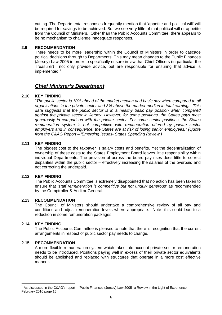cutting. The Departmental responses frequently mention that 'appetite and political will' will be required for savings to be achieved. But we see very little of that political will or appetite from the Council of Ministers. Other than the Public Accounts Committee, there appears to be no mechanism to challenge inadequate responses.

#### **2.9 RECOMMENDATION**

There needs to be more leadership within the Council of Ministers in order to cascade political decisions through to Departments. This may mean changes to the Public Finances (Jersey) Law 2005 in order to specifically ensure in law that Chief Officers (in particular the Treasurer) not only provide advice, but are responsible for ensuring that advice is implemented.<sup>1</sup>

## **Chief Minister's Department**

#### **2.10 KEY FINDING**

"The public sector is 10% ahead of the market median and basic pay when compared to all organisations in the private sector and 3% above the market median in total earnings. This data suggests that the public sector is in a healthy basic pay position when compared against the private sector in Jersey. However, for some positions, the States pays most generously in comparison with the private sector. For some senior positions, the States remuneration system is not competitive with remuneration offered by private sector employers and in consequence, the States are at risk of losing senior employees." (Quote from the C&AG Report – 'Emerging Issues- States Spending Review.)

#### **2.11 KEY FINDING**

The biggest cost to the taxpayer is salary costs and benefits. Yet the decentralization of ownership of these costs to the States Employment Board leaves little responsibility within individual Departments. The provision of across the board pay rises does little to correct disparities within the public sector – effectively increasing the salaries of the overpaid and not correcting the underpaid.

#### **2.12 KEY FINDING**

The Public Accounts Committee is extremely disappointed that no action has been taken to ensure that 'staff remuneration is competitive but not unduly generous' as recommended by the Comptroller & Auditor General.

#### **2.13 RECOMMENDATION**

The Council of Ministers should undertake a comprehensive review of all pay and conditions and adjust remuneration levels where appropriate. Note- this could lead to a reduction in some remuneration packages.

#### **2.14 KEY FINDING**

The Public Accounts Committee is pleased to note that there is recognition that the current arrangements in respect of public sector pay needs to change.

#### **2.15 RECOMMENDATION**

A more flexible remuneration system which takes into account private sector remuneration needs to be introduced. Positions paying well in excess of their private sector equivalents should be abolished and replaced with structures that operate in a more cost effective manner.

 1 As discussed in the C&AG's report – 'Public Finances (Jersey) Law 2005- a Review in the Light of Experience' February 2010 page 15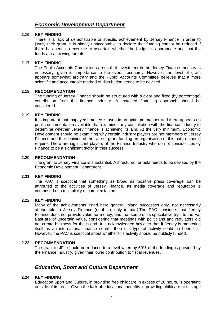## **Economic Development Department**

#### **2.16 KEY FINDING**

There is a lack of demonstrable or specific achievement by Jersey Finance in order to justify their grant. It is simply unacceptable to declare that funding cannot be reduced if there has been no exercise to ascertain whether the budget is appropriate and that the funds are achieving targets.

#### **2.17 KEY FINDING**

The Public Accounts Committee agrees that investment in the Jersey Finance Industry is necessary, given its importance to the overall economy. However, the level of grant appears somewhat arbitrary and the Public Accounts Committee believes that a more scientific and accountable method of distribution needs to be devised.

#### **2.18 RECOMMENDATION**

The funding of Jersey Finance should be structured with a clear and fixed (by percentage) contribution from the finance industry. A matched financing approach should be considered.

#### **2.19 KEY FINDING**

It is important that taxpayers' money is used in an optimum manner and there appears no public documentation available that examines any consultation with the finance industry to determine whether Jersey finance is achieving its aim. At the very minimum, Economic Development should be examining why certain industry players are not members of Jersey Finance and their opinion of the size of grant funding an organisation of this nature should require. There are significant players of the Finance Industry who do not consider Jersey Finance to be a significant factor in their success.

#### **2.20 RECOMMENDATION**

The grant to Jersey Finance is substantial. A structured formula needs to be devised by the Economic Development Department.

#### **2.21 KEY FINDING**

The PAC is sceptical that something as broad as 'positive press coverage' can be attributed to the activities of Jersey Finance, as media coverage and reputation is comprised of a multiplicity of complex factors.

#### **2.22 KEY FINDING**

Many of the achievements listed here general Island successes only, not necessarily attributable to Jersey Finance (or if so, only in part).The PAC considers that Jersey Finance does not provide value for money, and that some of its speculative trips to the Far East are of uncertain value, considering that meetings with politicians and regulators did not create business for the Island. It is acknowledged however that if Jersey is marketing itself as an international finance centre, then this type of activity could be beneficial. However, the PAC is sceptical about whether this activity should be publicly funded.

#### **2.23 RECOMMENDATION**

The grant to JFL should be reduced to a level whereby 50% of the funding is provided by the Finance Industry, given their lower contribution to fiscal revenues.

## **Education, Sport and Culture Department**

#### **2.24 KEY FINDING**

Education Sport and Culture, in providing free childcare in excess of 20 hours, is operating outside of its remit. Given the lack of educational benefits in providing childcare at this age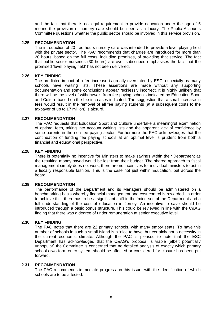and the fact that there is no legal requirement to provide education under the age of 5 means the provision of nursery care should be seen as a luxury. The Public Accounts Committee questions whether the public sector should be involved in this service provision.

#### **2.25 RECOMMENDATION**

The introduction of 20 free hours nursery care was intended to provide a level playing field with the private sector. The PAC recommends that charges are introduced for more than 20 hours, based on the full costs, including premises, of providing that service. The fact that public sector nurseries (30 hours) are over subscribed emphasises the fact that the promised 'level playing field' has not been delivered.

#### **2.26 KEY FINDING**

The predicted impact of a fee increase is greatly overstated by ESC, especially as many schools have waiting lists. These assertions are made without any supporting documentation and some conclusions appear recklessly incorrect. It is highly unlikely that there will be the level of withdrawals from fee paying schools indicated by Education Sport and Culture based on the fee increases indicated. The suggestion that a small increase in fees would result in the removal of all fee paying students (at a subsequent costs to the taxpayer of up to £7 million) is absurd.

#### **2.27 RECOMMENDATION**

The PAC requests that Education Sport and Culture undertake a meaningful examination of optimal fees, taking into account waiting lists and the apparent lack of confidence by some parents in the non fee paying sector. Furthermore the PAC acknowledges that the continuation of funding fee paying schools at an optimal level is prudent from both a financial and educational perspective.

#### **2.28 KEY FINDING**

There is potentially no incentive for Ministers to make savings within their Department as the resulting money saved would be lost from their budget. The shared approach to fiscal management simply does not work; there are no incentives for individual ministers to act in a fiscally responsible fashion. This is the case not just within Education, but across the board.

#### **2.29 RECOMMENDATION**

The performance of the Department and its Managers should be administered on a benchmarking basis whereby financial management and cost control is rewarded. In order to achieve this, there has to be a significant shift in the 'mind-set' of the Department and a full understanding of the cost of education in Jersey. An incentive to save should be introduced through a basic bonus structure. This could be reviewed in line with the C&AG finding that there was a degree of under remuneration at senior executive level.

#### **2.30 KEY FINDING**

The PAC notes that there are 22 primary schools, with many empty seats. To have this number of schools in such a small Island is a 'nice to have' but certainly not a necessity in the current economic climate. Although the PAC is pleased to note that the ESC Department has acknowledged that the C&AG's proposal is viable (albeit potentially unpopular) the Committee is concerned that no detailed analysis of exactly which primary schools two form entry system should be affected or considered for closure has been put forward.

#### **2.31 RECOMMENDATION**

The PAC recommends immediate progress on this issue, with the identification of which schools are to be affected.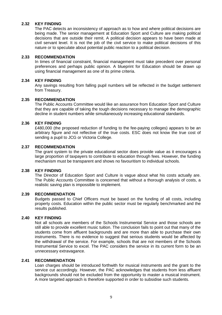#### **2.32 KEY FINDING**

The PAC detects an inconsistency of approach as to how and where political decisions are being made. The senior management at Education Sport and Culture are making political decisions that are outside their remit. A political decision appears to have been made at civil servant level. It is not the job of the civil service to make political decisions of this nature or to speculate about potential public reaction to a political decision.

#### **2.33 RECOMMENDATION**

In times of financial constraint, financial management must take precedent over personal preferences and perhaps public opinion. A blueprint for Education should be drawn up using financial management as one of its prime criteria.

#### **2.34 KEY FINDING**

Any savings resulting from falling pupil numbers will be reflected in the budget settlement from Treasury.

#### **2.35 RECOMMENDATION**

The Public Accounts Committee would like an assurance from Education Sport and Culture that they are capable of taking the tough decisions necessary to manage the demographic decline in student numbers while simultaneously increasing educational standards.

#### **2.36 KEY FINDING**

£480,000 (the proposed reduction of funding to the fee-paying colleges) appears to be an arbitrary figure and not reflective of the true costs. ESC does not know the true cost of sending a pupil to JCG or Victoria College.

#### **2.37 RECOMMENDATION**

The grant system to the private educational sector does provide value as it encourages a large proportion of taxpayers to contribute to education through fees. However, the funding mechanism must be transparent and shows no favouritism to individual schools.

#### **2.38 KEY FINDING**

The Director of Education Sport and Culture is vague about what his costs actually are. The Public Accounts Committee is concerned that without a thorough analysis of costs, a realistic saving plan is impossible to implement.

#### **2.39 RECOMMENDATION**

Budgets passed to Chief Officers must be based on the funding of all costs, including property costs. Education within the public sector must be regularly benchmarked and the results published.

#### **2.40 KEY FINDING**

Not all schools are members of the Schools Instrumental Service and those schools are still able to provide excellent music tuition. The conclusion fails to point out that many of the students come from affluent backgrounds and are more than able to purchase their own instruments. There is no evidence to suggest that serious students would be affected by the withdrawal of the service. For example, schools that are not members of the Schools Instrumental Service to excel. The PAC considers the service in its current form to be an unnecessary extravagance.

#### **2.41 RECOMMENDATION**

Loan charges should be introduced forthwith for musical instruments and the grant to the service cut accordingly. However, the PAC acknowledges that students from less affluent backgrounds should not be excluded from the opportunity to master a musical instrument. A more targeted approach is therefore supported in order to subsidise such students.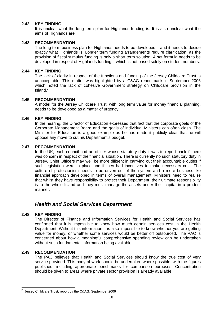#### **2.42 KEY FINDING**

It is unclear what the long term plan for Highlands funding is. It is also unclear what the aims of Highlands are.

#### **2.43 RECOMMENDATION**

The long term business plan for Highlands needs to be developed – and it needs to decide exactly what Highlands is. Longer term funding arrangements require clarification, as the provision of fiscal stimulus funding is only a short term solution. A set formula needs to be developed in respect of Highlands funding – which is not based solely on student numbers.

#### **2.44 KEY FINDING**

The lack of clarity in respect of the functions and funding of the Jersey Childcare Trust is unacceptable. This matter was highlighted by a C&AG report back in September 2006 which noted the lack of cohesive Government strategy on Childcare provision in the  $Island.<sup>2</sup>$ 

#### **2.45 RECOMMENDATION**

A model for the Jersey Childcare Trust, with long term value for money financial planning, needs to be developed as a matter of urgency.

#### **2.46 KEY FINDING**

In the hearing, the Director of Education expressed that fact that the corporate goals of the Corporate Management Board and the goals of individual Ministers can often clash. The Minister for Education is a good example as he has made it publicly clear that he will oppose any move to cut his Department's budget.

#### **2.47 RECOMMENDATION**

In the UK, each council had an officer whose statutory duty it was to report back if there was concern in respect of the financial situation. There is currently no such statutory duty in Jersey. Chief Officers may well be more diligent in carrying out their accountable duties if such legislation were in place and if they had incentives to make necessary cuts. The culture of protectionism needs to be driven out of the system and a more business-like financial approach developed in terms of overall management. Ministers need to realise that whilst they have responsibility to protect their Department, their ultimate responsibility is to the whole Island and they must manage the assets under their capital in a prudent manner.

## **Health and Social Services Department**

#### **2.48 KEY FINDING**

The Director of Finance and Information Services for Health and Social Services has confirmed that it is impossible to know how much certain services cost in the Health Department. Without this information it is also impossible to know whether you are getting value for money, or whether some services would be better off outsourced. The PAC is concerned about how a meaningful comprehensive spending review can be undertaken without such fundamental information being available.

#### **2.49 RECOMMENDATION**

The PAC believes that Health and Social Services should know the true cost of very service provided. This body of work should be undertaken where possible, with the figures published, including appropriate benchmarks for comparison purposes. Concentration should be given to areas where private sector provision is already available.

 2 'Jersey Childcare Trust, report by the C&AG, September 2006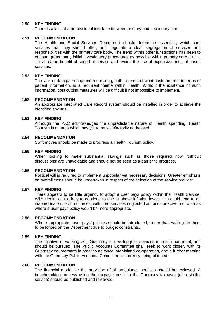#### **2.50 KEY FINDING**

There is a lack of a professional interface between primary and secondary care.

#### **2.51 RECOMMENDATION**

The Health and Social Services Department should determine essentially which core services that they should offer, and negotiate a clear segregation of services and responsibilities with the primary care body. The trend within other jurisdictions has been to encourage as many initial investigatory procedures as possible within primary care clinics. This has the benefit of speed of service and avoids the use of expensive hospital based services.

#### **2.52 KEY FINDING**

The lack of data gathering and monitoring, both in terms of what costs are and in terms of patient information, is a recurrent theme within Health. Without the existence of such information, cost cutting measures will be difficult if not impossible to implement.

#### **2.52 RECOMMENDATION**

An appropriate Integrated Care Record system should be installed in order to achieve the identified savings.

#### **2.53 KEY FINDING**

Although the PAC acknowledges the unpredictable nature of Health spending, Health Tourism is an area which has yet to be satisfactorily addressed.

#### **2.54 RECOMMENDATION**

Swift moves should be made to progress a Health Tourism policy.

#### **2.55 KEY FINDING**

When looking to make substantial savings such as those required now, 'difficult discussions' are unavoidable and should not be seen as a barrier to progress.

#### **2.56 RECOMMENDATION**

Political will is required to implement unpopular yet necessary decisions. Greater emphasis on overall costs should be undertaken in respect of the selection of the service provider.

#### **2.57 KEY FINDING**

There appears to be little urgency to adopt a user pays policy within the Health Service. With Health costs likely to continue to rise at above inflation levels, this could lead to an inappropriate use of resources, with core services neglected as funds are diverted to areas where a user pays policy would be more appropriate.

#### **2.58 RECOMMENDATION**

Where appropriate, 'user pays' policies should be introduced, rather than waiting for them to be forced on the Department due to budget constraints.

#### **2.59 KEY FINDING**

The initiative of working with Guernsey to develop joint services in health has merit, and should be pursued. The Public Accounts Committee shall seek to work closely with its Guernsey counterparts in order to advance inter-island co-operation, and a further meeting with the Guernsey Public Accounts Committee is currently being planned.

#### **2.60 RECOMMENDATION**

The financial model for the provision of all ambulance services should be reviewed. A benchmarking process using the taxpayer costs to the Guernsey taxpayer (of a similar service) should be published and reviewed.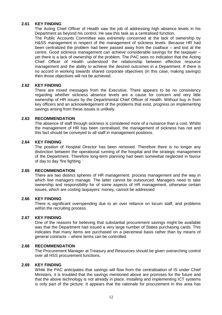#### **2.61 KEY FINDING**

The Acting Chief Officer of Health saw the job of addressing high absence levels in his Department as beyond his control. He saw this task as a centralised function.

The Public Accounts Committee was extremely concerned at the lack of ownership by H&SS management in respect of the management of sickness levels. Because HR had been centralized the problem had been passed away from the coalface – and lost at the centre. Good sickness management can achieve considerable savings for the taxpayer – yet there is a lack of ownership of the problem. The PAC sees no indication that the Acting Chief Officer of Health understood the relationship between effective resource management and the ability to achieve the desired outcomes in a Department. If there is no accord in working towards shared corporate objectives (in this case, making savings) then those objectives will not be achieved.

#### **2.62 KEY FINDING**

There are mixed messages from the Executive. There appears to be no consistency regarding whether sickness absence levels are a cause for concern and very little ownership of HR issues by the Departmental Chief Officer of Health. Without buy in from key officers and an acknowledgement of the problems that exist, progress on implementing savings arising from these issues is unlikely.

#### **2.63 RECOMMENDATION**

The absence of staff through sickness is considered more of a nuisance than a cost. Whilst the management of HR has been centralised, the management of sickness has not and this fact should be conveyed to all staff in management positions.

#### **2.64 KEY FINDING**

The position of Hospital Director has been removed. Therefore there is no longer any distinction between the operational running of the hospital and the strategic management of the Department. Therefore long-term planning had been somewhat neglected in favour of day to day 'fire fighting.'

#### **2.65 RECOMMENDATION**

There are two distinct spheres of HR management: process management and the way in which line managers manage. The latter cannot be outsourced. Managers need to take ownership and responsibility for of some aspects of HR management, otherwise certain issues, which are costing taxpayers' money, cannot be addressed

#### **2.66 KEY FINDING**

There is significant overspending due to an over reliance on locum staff, and problems within the recruiting process.

#### **2.67 KEY FINDING**

One of the reasons for believing that substantial procurement savings might be available was that the Department had issued a very large number of States purchasing cards. This indicates that many items are purchased on a piecemeal basis rather than by means of general contracts – where terms can be controlled.

#### **2.68 RECOMMENDATION**

The Procurement Manager at Treasury and Resources should be given overarching control over all HSS procurement functions.

#### **2.69 KEY FINDING**

While the PAC anticipates that savings will flow from the centralisation of IS under Chief Ministers, it is troubled that the savings mentioned above are promises for the future and that the above technology is not already in place. Installing and implementing ICT systems is only part of the picture. It appears that the rationale for procurement in this area has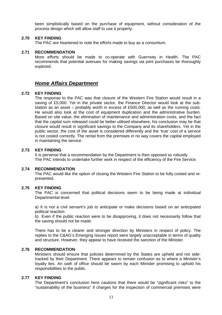been simplistically based on the purchase of equipment, without consideration of the process design which will allow staff to use it properly.

#### **2.70 KEY FINDING**

The PAC are heartened to note the efforts made to buy as a consortium.

#### **2.71 RECOMMENDATION**

More efforts should be made to co-operate with Guernsey in Health. The PAC recommends that potential avenues for making savings via joint purchases be thoroughly explored.

## **Home Affairs Department**

#### **2.72 KEY FINDING**

The response to the PAC was that closure of the Western Fire Station would result in a saving of £5,000. Yet in the private sector, the Finance Director would look at the substation as an asset – probably worth in excess of £500,000, as well as the running costs. He would also look at the cost of equipment duplication and the administrative burden. Based on site value, the elimination of maintenance and administration costs, and the fact that the capital sum released could be better utilised elsewhere, his conclusion may be that closure would result in significant savings to the Company and its shareholders. Yet in the public sector, the cost of the asset is considered differently and the 'true' cost of a service is not costed correctly. The rental from the premises in no way covers the capital employed in maintaining the service.

#### **2.73 KEY FINDING**

It is perverse that a recommendation by the Department is then opposed so robustly. The PAC intends to undertake further work in respect of the efficiency of the Fire Service.

#### **2.74 RECOMMENDATION**

The PAC would like the option of closing the Western Fire Station to be fully costed and represented.

#### **2.75 KEY FINDING**

The PAC is concerned that political decisions seem to be being made at individual Departmental level.

a) It is not a civil servant's job to anticipate or make decisions based on an anticipated political reaction.

b) Even if the public reaction were to be disapproving, it does not necessarily follow that the saving should not be made.

There has to be a clearer and stronger direction by Ministers in respect of policy. The replies to the C&AG's Emerging Issues report were largely unacceptable in terms of quality and structure. However, they appear to have received the sanction of the Minister.

#### **2.76 RECOMMENDATION**

Ministers should ensure that policies determined by the States are upheld and not sidetracked by their Department. There appears to remain confusion as to where a Minister's loyalty lies. An oath of office should be sworn by each Minister promising to uphold his responsibilities to the public.

#### **2.77 KEY FINDING**

The Department's conclusion here cautions that there would be "significant risks" to the "sustainability of the business" if charges for the inspection of commercial premises were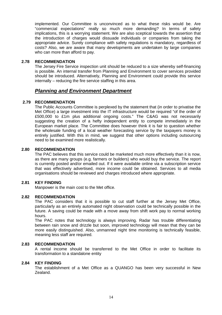implemented. Our Committee is unconvinced as to what these risks would be. Are "commercial expectations" really so much more demanding? In terms of safety implications, this is a worrying statement. We are also sceptical towards the assertion that the introduction of charges would dissuade individuals or companies from taking the appropriate advice. Surely compliance with safety regulations is mandatory, regardless of costs? Also, we are aware that many developments are undertaken by large companies who can more than afford to pay.

#### **2.78 RECOMMENDATION**

The Jersey Fire Service inspection unit should be reduced to a size whereby self-financing is possible. An internal transfer from Planning and Environment to cover services provided should be introduced. Alternatively, Planning and Environment could provide this service internally – reducing the fire service staffing in this area.

## **Planning and Environment Department**

#### **2.79 RECOMMENDATION**

The Public Accounts Committee is perplexed by the statement that (in order to privatise the Met Office) a large investment into the IT infrastructure would be required "of the order of £500,000 to £1m plus additional ongoing costs." The C&AG was not necessarily suggesting the creation of a hefty independent entity to compete immediately in the European market place. The Committee does however think it is fair to question whether the wholesale funding of a local weather forecasting service by the taxpayers money is entirely justified. With this in mind, we suggest that other options including outsourcing need to be examined more realistically.

#### **2.80 RECOMMENDATION**

The PAC believes that this service could be marketed much more effectively than it is now, as there are many groups (e.g. farmers or builders) who would buy the service. The report is currently posted and/or emailed out. If it were available online via a subscription service that was effectively advertised, more income could be obtained. Services to all media organisations should be reviewed and charges introduced where appropriate.

#### **2.81 KEY FINDING**

Manpower is the main cost to the Met office.

#### **2.82 RECOMMENDATION**

The PAC considers that it is possible to cut staff further at the Jersey Met Office, particularly as an entirely automated night observation could be technically possible in the future. A saving could be made with a move away from shift work pay to normal working hours.

The PAC notes that technology is always improving. Radar has trouble differentiating between rain snow and drizzle but soon, improved technology will mean that they can be more easily distinguished. Also, unmanned night time monitoring is technically feasible, meaning less staff are required.

#### **2.83 RECOMMENDATION**

A rental income should be transferred to the Met Office in order to facilitate its transformation to a standalone entity

#### **2.84 KEY FINDING**

The establishment of a Met Office as a QUANGO has been very successful in New Zealand.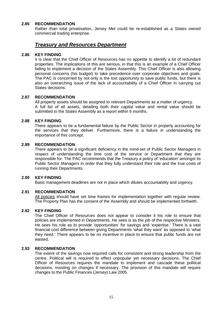#### **2.85 RECOMMENDATION**

Rather than total privatisation, Jersey Met could be re-established as a States owned commercial trading enterprise.

### **Treasury and Resources Department**

#### **2.86 KEY FINDING**

It is clear that the Chief Officer of Resources has no appetite to identify a lot of redundant properties. The implications of this are serious, in that this is an example of a Chief Officer failing to implement a decision of the States Assembly. This Chief Officer is also allowing personal concerns (his budget) to take precedence over corporate objectives and goals. The PAC is concerned by not only is the lost opportunity to save public funds, but there is also an overarching issue of the lack of accountability of a Chief Officer in carrying out States decisions.

#### **2.87 RECOMMENDATION**

All property assets should be assigned to relevant Departments as a matter of urgency. A full list of all assets, detailing both their capital value and rental value should be submitted to the States Assembly as a report within 6 months.

#### **2.88 KEY FINDING**

There appears to be a fundamental failure by the Public Sector in properly accounting for the services that they deliver. Furthermore, there is a failure in understanding the importance of this concept.

#### **2.89 RECOMMENDATION**

There appears to be a significant deficiency in the mind-set of Public Sector Managers in respect of understanding the time cost of the service or Department that they are responsible for. The PAC recommends that the Treasury a policy of 'education' amongst its Public Sector Managers in order that they fully understand their role and the true costs of running their Departments.

#### **2.90 KEY FINDING**

Basic management deadlines are not in place which dilutes accountability and urgency.

#### **2.91 RECOMMENDATION**

All policies should have set time frames for implementation together with regular review. The Property Plan has the consent of the Assembly and should be implemented forthwith.

#### **2.92 KEY FINDING**

The Chief Officer of Resources does not appear to consider it his role to ensure that policies are implemented in Departments. He sees is as the job of the respective Ministers. He sees his role as to provide 'opportunities' for savings and 'expertise.' There is a vast financial cost difference between giving Departments 'what they want' as opposed to 'what they need.' There appears to be no incentive in place to ensure that public funds are not wasted.

#### **2.93 RECOMMENDATION**

The extent of the savings now required calls for consistent and strong leadership from the centre. Political will is required to effect unpopular yet necessary decisions. The Chief Officer of Resources requires the mandate to implement and cascade these political decisions, insisting on changes if necessary. The provision of this mandate will require changes to the Public Finances (Jersey) Law 2005.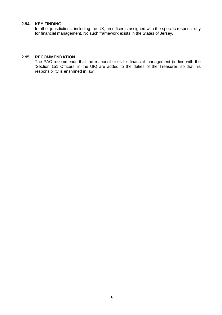#### **2.94 KEY FINDING**

In other jurisdictions, including the UK, an officer is assigned with the specific responsibility for financial management. No such framework exists in the States of Jersey.

#### **2.95 RECOMMENDATION**

The PAC recommends that the responsibilities for financial management (in line with the 'Section 151 Officers' in the UK) are added to the duties of the Treasurer, so that his responsibility is enshrined in law.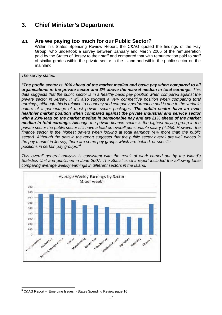# **3. Chief Minister's Department**

## **3.1 Are we paying too much for our Public Sector?**

Within his States Spending Review Report, the C&AG quoted the findings of the Hay Group, who undertook a survey between January and March 2006 of the remuneration paid by the States of Jersey to their staff and compared that with remuneration paid to staff of similar grades within the private sector in the Island and within the public sector on the mainland.

The survey stated:

**"The public sector is 10% ahead of the market median and basic pay when compared to all organisations in the private sector and 3% above the market median in total earnings.** This data suggests that the public sector is in a healthy basic pay position when compared against the private sector in Jersey. It will also suggest a very competitive position when comparing total earnings, although this is relative to economy and company performance and is due to the variable nature of a percentage of most private sector packages. **The public sector have an even healthier market position when compared against the private industrial and service sector with a 23% lead on the market median in pensionable pay and are 21% ahead of the market median in total earnings.** Although the private finance sector is the highest paying group in the private sector the public sector still have a lead on overall pensionable salary (4.1%). However, the finance sector is the highest payers when looking at total earnings (4% more than the public sector). Although the data in the report suggests that the public sector overall are well placed in the pay market in Jersey, there are some pay groups which are behind, or specific positions in certain pay groups."<sup>3</sup>

This overall general analysis is consistent with the result of work carried out by the Island's Statistics Unit and published in June 2007. The Statistics Unit report included the following table comparing average weekly earnings in different sectors in the Island.



 3 C&AG Report – 'Emerging Issues - States Spending Review page 16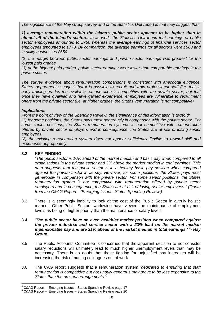The significance of the Hay Group survey and of the Statistics Unit report is that they suggest that:

**1) average remuneration within the Island's public sector appears to be higher than in almost all of the Island's sectors.** In its work, the Statistics Unit found that earnings of public sector employees amounted to £760 whereas the average earnings of financial services sector employees amounted to £770. By comparison, the average earnings for all sectors were £580 and in utility businesses £650.

(2) the margin between public sector earnings and private sector earnings was greatest for the lowest paid grades.

(3) at the highest paid grades, public sector earnings were lower than comparable earnings in the private sector.

The survey evidence about remuneration comparisons is consistent with anecdotal evidence. States' departments suggest that it is possible to recruit and train professional staff (i.e. that in early training grades the available remuneration is competitive with the private sector) but that once they have qualified and have gained experience, employees are vulnerable to recruitment offers from the private sector (i.e. at higher grades, the States' remuneration is not competitive).

#### **Implications**

From the point of view of the Spending Review, the significance of this information is twofold:

(1) for some positions, the States pays most generously in comparison with the private sector. For some senior positions, the States remuneration systems is not competitive with remuneration offered by private sector employers and in consequence, the States are at risk of losing senior employees.

(2) the existing remuneration system does not appear sufficiently flexible to reward skill and experience appropriately.

#### **3.2 KEY FINDING**

"The public sector is 10% ahead of the market median and basic pay when compared to all organisations in the private sector and 3% above the market median in total earnings. This data suggests that the public sector is in a healthy basic pay position when compared against the private sector in Jersey. However, for some positions, the States pays most generously in comparison with the private sector. For some senior positions, the States remuneration system is not competitive with remuneration offered by private sector employers and in consequence, the States are at risk of losing senior employees." (Quote from the C&AG Report – 'Emerging Issues- States Spending Review.)

3.3 There is a seemingly inability to look at the cost of the Public Sector in a truly holistic manner. Other Public Sectors worldwide have viewed the maintenance of employment levels as being of higher priority than the maintenance of salary levels.

#### 3.4 '**The public sector have an even healthier market position when compared against the private industrial and service sector with a 23% lead on the market median**  inpensionable pay and are 21% ahead of the market median in total earnings.'<sup>4</sup>- Hay **Group.**

- 3.5 The Public Accounts Committee is concerned that the apparent decision to not consider salary reductions will ultimately lead to much higher unemployment levels than may be necessary. There is no doubt that those fighting for unjustified pay increases will be increasing the risk of putting colleagues out of work.
- 3.6 The CAG report suggests that a remuneration system 'dedicated to ensuring that staff remuneration is competitive but not unduly generous may prove to be less expensive to the States than the present arrangements.<sup>5</sup>

 4 C&AG Report – 'Emerging Issues – States Spending Review page 17

<sup>5</sup> C&AG Report – 'Emerging Issues – States Spending Review page 20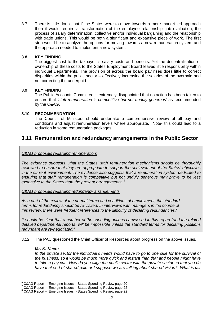3.7 There is little doubt that if the States were to move towards a more market led approach then it would require a transformation of the employee relationship, job evaluation, the process of salary determination, collective and/or individual bargaining and the relationship with trade unions. This would be both a significant and expansive piece of work. The first step would be to analyze the options for moving towards a new remuneration system and the approach needed to implement a new system.

#### **3.8 KEY FINDING**

The biggest cost to the taxpayer is salary costs and benefits. Yet the decentralization of ownership of these costs to the States Employment Board leaves little responsibility within individual Departments. The provision of across the board pay rises does little to correct disparities within the public sector – effectively increasing the salaries of the overpaid and not correcting the underpaid.

#### **3.9 KEY FINDING**

The Public Accounts Committee is extremely disappointed that no action has been taken to ensure that 'staff remuneration is competitive but not unduly generous' as recommended by the C&AG.

#### **3.10 RECOMMENDATION**

The Council of Ministers should undertake a comprehensive review of all pay and conditions and adjust remuneration levels where appropriate. Note- this could lead to a reduction in some remuneration packages.

## **3.11 Remuneration and redundancy arrangements in the Public Sector**

C&AG proposals regarding remuneration:

The evidence suggests…that the States' staff remuneration mechanisms should be thoroughly reviewed to ensure that they are appropriate to support the achievement of the States' objectives in the current environment. The evidence also suggests that a remuneration system dedicated to ensuring that staff remuneration is competitive but not unduly generous may prove to be less expensive to the States than the present arrangements.  $6$ 

C&AG proposals regarding redundancy arrangements

As a part of the review of the normal terms and conditions of employment, the standard terms for redundancy should be re-visited. In interviews with managers in the course of this review, there were frequent references to the difficulty of declaring redundancies.<sup>7</sup>

It should be clear that a number of the spending options canvassed in this report (and the related detailed departmental reports) will be impossible unless the standard terms for declaring positions redundant are re-negotiated. $8$ 

3.12 The PAC questioned the Chief Officer of Resources about progress on the above issues.

#### **Mr. K. Keen:**

In the private sector the individual's needs would have to go to one side for the survival of the business, so it would be much more quick and instant than that and people might have to take a pay cut. How do you align the public sector with the private sector so that you do have that sort of shared pain or I suppose we are talking about shared vision? What is fair

e<br>
FC&AG Report – 'Emerging Issues - States Spending Review page 20<br>
<sup>7</sup> C&AG Report – 'Emerging Issues - States Spending Review page 22<br>
<sup>8</sup> C&AG Report – 'Emerging Issues - States Spending Review page 22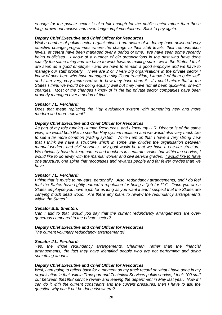enough for the private sector is also fair enough for the public sector rather than these long, drawn-out reviews and even longer implementations. Back to pay again.

#### **Deputy Chief Executive and Chief Officer for Resources**

Well a number of public sector organisations I am aware of in Jersey have delivered very effective change programmes where the change to their staff levels, their remuneration levels, et cetera have been managed over a period of time. We have seen some recently being publicised. I know of a number of big organisations in the past who have done exactly the same thing and we have to work towards making sure - we in the States I think are seen as a good employer - and we have to remain a good employer and we have to manage our staff properly. There are 2 or 3 very big organisations in the private sector I know of over here who have managed a significant transition, I know 2 of them quite well, and I am very, very impressed as to how they have done it. If I could mirror that in the States I think we would be doing equally well but they have not all been quick-fire, one-off changes. Most of the changes I know of in the big private sector companies have been properly managed over a period of time.

#### **Senator J.L. Perchard:**

Does that mean replacing the Hay evaluation system with something new and more modern and more relevant?

#### **Deputy Chief Executive and Chief Officer for Resources**

As part of my role running Human Resources, and I know my H.R. Director is of the same view, we would both like to see the Hay system replaced and we would also very much like to see a far more common grading system. While I am on that, I have a very strong view that I think we have a structure which in some way divides the organisation between manual workers and civil servants. My goal would be that we have a one-tier structure. We obviously have to keep nurses and teachers in separate scales but within the service, I would like to do away with the manual worker and civil service grades. I would like to have one structure, one spine that recognises and rewards people and far fewer grades than we have.

#### **Senator J.L. Perchard:**

I think that is music to my ears, personally. Also, redundancy arrangements, and I do feel that the States have rightly earned a reputation for being a "job for life". Once you are a States employee you have a job for as long as you want it and I suspect that the States are carrying much dead wood. Are there any plans to review the redundancy arrangements within the States?

#### **Senator B.E. Shenton:**

Can I add to that, would you say that the current redundancy arrangements are overgenerous compared to the private sector?

#### **Deputy Chief Executive and Chief Officer for Resources**

The current voluntary redundancy arrangements?

#### **Senator J.L. Perchard:**

Yes, the whole redundancy arrangements, Chairman, rather than the financial arrangements, the fact they have identified people who are not performing and doing something about it.

#### **Deputy Chief Executive and Chief Officer for Resources**

Well, I am going to reflect back for a moment on my track record on what I have done in my organisation in that, within Transport and Technical Services public service, I took 100 staff out between the1998 service review and leaving the department in May last year. Now if I can do it with the current constraints and the current pressures, then I have to ask the question why can it not be done elsewhere?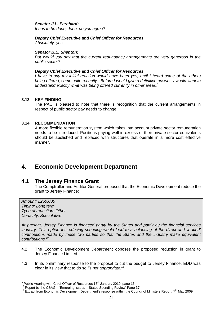#### **Senator J.L. Perchard:**

It has to be done, John, do you agree?

## **Deputy Chief Executive and Chief Officer for Resources**

Absolutely, yes.

#### **Senator B.E. Shenton:**

But would you say that the current redundancy arrangements are very generous in the public sector?

#### **Deputy Chief Executive and Chief Officer for Resources**

I have to say my initial reaction would have been yes, until I heard some of the others being offered, some quite recently. Before I would give a definitive answer, I would want to understand exactly what was being offered currently in other areas.<sup>9</sup>

#### **3.13 KEY FINDING**

The PAC is pleased to note that there is recognition that the current arrangements in respect of public sector pay needs to change.

#### **3.14 RECOMMENDATION**

A more flexible remuneration system which takes into account private sector remuneration needs to be introduced. Positions paying well in excess of their private sector equivalents should be abolished and replaced with structures that operate in a more cost effective manner.

## **4. Economic Development Department**

## **4.1 The Jersey Finance Grant**

The Comptroller and Auditor General proposed that the Economic Development reduce the grant to Jersey Finance:

Amount: £250,000 Timing: Long term Type of reduction: Other Certainty: Speculative

At present, Jersey Finance is financed partly by the States and partly by the financial services industry. This option for reducing spending would lead to a balancing of the direct and 'in kind' contributions made by these two parties so that the States and the industry make equivalent contributions.<sup>10</sup>

- 4.2 The Economic Development Department opposes the proposed reduction in grant to Jersey Finance Limited.
- 4.3 In its preliminary response to the proposal to cut the budget to Jersey Finance, EDD was clear in its view that to do so 'is not appropriate.<sup>11</sup>

ert of the mattem control of the mattem of the multiple of the multiple of the multiple of the multiple of the multiple of the multiple of the multiple of the multiple of the multiple of the multiple of the multiple of the

 $10$  Report by the C&AG – 'Emerging Issues – States Spending Review' Page 37

<sup>&</sup>lt;sup>11</sup> Extract from Economic Development Department's response within the Council of Ministers Report  $7<sup>th</sup>$  May 2009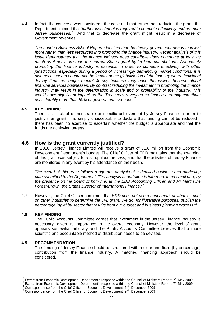4.4 In fact, the converse was considered the case and that rather than reducing the grant, the Department claimed that 'further investment is required to compete effectively and promote Jersey businesses.<sup>12</sup> And that to decrease the grant might result in a decrease of Government revenues:

The London Business School Report identified that the Jersey government needs to invest more rather than less resources into promoting the finance industry. Recent analysis of this issue demonstrates that the finance industry does contribute does contribute at least as much as if not more than the current States grant by 'in kind' contributions. Adequately promoting the finance industry is essential in order to compete effectively with other jurisdictions, especially during a period of increasingly demanding market conditions. It is also necessary to counteract the impact of the globalisation of the industry where individual Jersey firms no longer market Jersey because they have themselves become global financial services businesses. By contrast reducing the investment in promoting the finance industry may result in the deterioration in scale and or profitability of the industry. This would have significant impact on the Treasury's revenues as finance currently contribute considerably more than 50% of government revenues.<sup>13</sup>

#### **4.5 KEY FINDING**

There is a lack of demonstrable or specific achievement by Jersey Finance in order to justify their grant. It is simply unacceptable to declare that funding cannot be reduced if there has been no exercise to ascertain whether the budget is appropriate and that the funds are achieving targets.

## **4.6 How is the grant currently justified?**

In 2010, Jersey Finance Limited will receive a grant of £1.8 million from the Economic Development Department's budget. The Chief Officer of EDD maintains that the awarding of this grant was subject to a scrupulous process, and that the activities of Jersey Finance are monitored in any event by his attendance on their board:

The award of this grant follows a rigorous analysis of a detailed business and marketing plan submitted to the Department. The analysis undertaken is informed, in no small part, by the presence on the Board of both me, as the EDD Accounting Officer, and Mr Martin De Forest-Brown, the States Director of International Finance.<sup>14</sup>

4.7 However, the Chief Officer confirmed that *EDD* does not use a benchmark of what is spent on other industries to determine the JFL grant. We do, for illustrative purposes, publish the percentage "split" by sector that results from our budget and business planning process.<sup>15</sup>

#### **4.8 KEY FINDING**

 $\overline{\phantom{a}}$ 

The Public Accounts Committee agrees that investment in the Jersey Finance Industry is necessary, given its importance to the overall economy. However, the level of grant appears somewhat arbitrary and the Public Accounts Committee believes that a more scientific and accountable method of distribution needs to be devised.

#### **4.9 RECOMMENDATION**

The funding of Jersey Finance should be structured with a clear and fixed (by percentage) contribution from the finance industry. A matched financing approach should be considered.

<sup>&</sup>lt;sup>12</sup> Extract from Economic Development Department's response within the Council of Ministers Report  $7<sup>th</sup>$  May 2009

 $13$  Extract from Economic Development Department's response within the Council of Ministers Report  $7<sup>th</sup>$  May 2009

 $14$  Correspondence from the Chief Officer of Economic Development,  $24<sup>th</sup>$  December 2009

<sup>&</sup>lt;sup>15</sup> Correspondence from the Chief Officer of Economic Development, 24<sup>th</sup> December 2009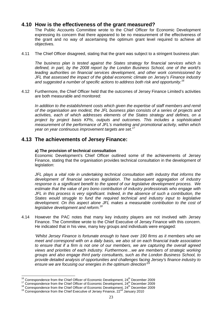## **4.10 How is the effectiveness of the grant measured?**

The Public Accounts Committee wrote to the Chief Officer for Economic Development expressing its concern that there appeared to be no measurement of the effectiveness of the grant and no way of ascertaining the optimum grant level required to achieve all objectives.

4.11 The Chief Officer disagreed, stating that the grant was subject to a stringent business plan:

The business plan is tested against the States strategy for financial services which is defined, in part, by the 2008 report by the London Business School, one of the world's leading authorities on financial services development, and other work commissioned by JFL that assessed the impact of the global economic climate on Jersey's Finance industry and suggested a number of specific actions to address both risk and opportunity.<sup>16</sup>

4.12 Furthermore, the Chief Officer held that the outcomes of Jersey Finance Limited's activities are both measurable and monitored:

In addition to the establishment costs which given the expertise of staff members and remit of the organisation are modest, the JFL business plan consists of a series of projects and activities, each of which addresses elements of the States strategy and defines, on a project by project basis KPIs, outputs and outcomes. This includes a sophisticated measurement of the performance of JFL's marketing and promotional activity, within which year on year continuous improvement targets are set.<sup>17</sup>

## **4.13 The achievements of Jersey Finance:**

#### **a) The provision of technical consultation**

Economic Development's Chief Officer outlined some of the achievements of Jersey Finance, stating that the organisation provides technical consultation in the development of legislation:

JFL plays a vital role in undertaking technical consultation with industry that informs the development of financial services legislation. The subsequent aggregation of industry response is a significant benefit to the speed of our legislative development process. We estimate that the value of pro bono contribution of industry professionals who engage with JFL in this process is very significant. Indeed, in the absence of such a contribution, the States would struggle to fund the required technical and industry input to legislative development. On this aspect alone JFL makes a measurable contribution to the cost of legislative development and reform.<sup>18</sup>

4.14 However the PAC notes that many key industry players are not involved with Jersey Finance. The Committee wrote to the Chief Executive of Jersey Finance with this concern. He indicated that in his view, many key groups and individuals were engaged:

'Whilst Jersey Finance is fortunate enough to have over 190 firms as it members who we meet and correspond with on a daily basis, we also sit on each financial trade association to ensure that if a firm is not one of our members, we are capturing the overall agreed views and priorities of each industry. Furthermore…we are members of strategic working groups and also engage third party consultants, such as the London Business School, to provide detailed analysis of opportunities and challenges facing Jersey's finance industry to ensure we are focusing our energies in the optimum direction $\mathbf{1}^d$ 

 $\overline{\phantom{a}}$  $16$  Correspondence from the Chief Officer of Economic Development,  $24<sup>th</sup>$  December 2009

 $17$  Correspondence from the Chief Officer of Economic Development,  $24<sup>th</sup>$  December 2009

 $18$  Correspondence from the Chief Officer of Economic Development,  $24<sup>th</sup>$  December 2009

 $19$  Correspondence from the Chief Executive of Jersey Finance,  $22<sup>nd</sup>$  January 2010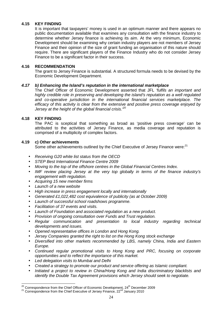#### **4.15 KEY FINDING**

It is important that taxpayers' money is used in an optimum manner and there appears no public documentation available that examines any consultation with the finance industry to determine whether Jersey finance is achieving its aim. At the very minimum, Economic Development should be examining why certain industry players are not members of Jersey Finance and their opinion of the size of grant funding an organisation of this nature should require. There are significant players of the Finance Industry who do not consider Jersey Finance to be a significant factor in their success.

#### **4.16 RECOMMENDATION**

The grant to Jersey Finance is substantial. A structured formula needs to be devised by the Economic Development Department.

#### **4.17 b) Enhancing the Island's reputation in the international marketplace**

The Chief Officer of Economic Development asserted that JFL 'fulfils an important and highly credible role in preserving and developing the island's reputation as a well regulated and co-operative jurisdiction in the international financial services marketplace. The efficacy of this activity is clear from the extensive and positive press coverage enjoyed by Jersey at the height of the global financial crisis.<sup>20</sup>

#### **4.18 KEY FINDING**

The PAC is sceptical that something as broad as 'positive press coverage' can be attributed to the activities of Jersey Finance, as media coverage and reputation is comprised of a multiplicity of complex factors.

#### **4.19 c) Other achievements**

Some other achievements outlined by the Chief Executive of Jersey Finance were:<sup>21</sup>

- Receiving G20 white list status from the OECD
- STEP Best International Finance Centre 2009
- Moving to the top of the offshore centres in the Global Financial Centres Index.
- IMF review placing Jersey at the very top globally in terms of the finance industry's engagement with regulation.
- Acquiring 15 new member firms
- Launch of a new website
- High increase in press engagement locally and internationally
- Generated £1,022,482 cost equivalence of publicity (as at October 2009)
- Launch of successful school roadshows programme.
- Facilitation of 37 events and visits.
- Launch of Foundation and associated regulation as a new product.
- Provision of ongoing consultation over Funds and Trust regulation.
- Regular communication and presentation to local industry regarding technical developments and issues.
- Opened representative offices in London and Hong Kong.
- Jersey Companies granted the right to list on the Hong Kong stock exchange
- Diversified into other markets recommended by LBS, namely China, India and Eastern Europe.
- Continued regular promotional visits to Hong Kong and PRC, focusing on corporate opportunities and to reflect the importance of this market.
- Led delegation visits to Mumbai and Delhi
- Created a strategy to promote our product and service offering as Islamic compliant.
- Initiated a project to review in China/Hong Kong and India discriminatory blacklists and identify the Double Tax Agreement provisions which Jersey should seek to negotiate.

 $\overline{a}$  $20$  Correspondence from the Chief Officer of Economic Development,  $24<sup>th</sup>$  December 2009

<sup>&</sup>lt;sup>21</sup> Correspondence from the Chief Executive of Jersey Finance, 22<sup>nd</sup> January 2010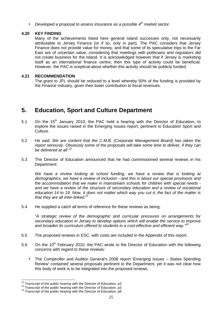Developed a proposal to assess insurance as a possible  $4<sup>th</sup>$  market sector.

#### **4.20 KEY FINDING**

Many of the achievements listed here general Island successes only, not necessarily attributable to Jersey Finance (or if so, only in part). The PAC considers that Jersey Finance does not provide value for money, and that some of its speculative trips to the Far East are of uncertain value, considering that meetings with politicians and regulators did not create business for the Island. It is acknowledged however that if Jersey is marketing itself as an international finance centre, then this type of activity could be beneficial. However, the PAC is sceptical about whether this activity should be publicly funded.

#### **4.21 RECOMMENDATION**

The grant to JFL should be reduced to a level whereby 50% of the funding is provided by the Finance Industry, given their lower contribution to fiscal revenues.

# **5. Education, Sport and Culture Department**

- 5.1 On the  $15<sup>th</sup>$  January 2010, the PAC held a hearing with the Director of Education, to explore the issues raised in the Emerging Issues report, pertinent to Education Sport and Culture.
- 5.2 He said: We are content that the C.M.B. (Corporate Management Board) has taken the report seriously. Obviously some of the proposals will take some time to deliver, if they can be delivered at all' $^{22}$
- 5.3 The Director of Education announced that he had commissioned several reviews in his Department:

We have a review looking at school funding, we have a review that is looking at demographics, we have a review of inclusion - and this is about our special provisions and the accommodation that we make in mainstream schools for children with special needs and we have a review of the structure of secondary education and a review of vocational education 14 to 19. Now, it does not matter which way you cut it, the fact of the matter is that they are all inter-linked. $23$ 

5.4 He supplied a catch all terms of reference for these reviews as being:

"A strategic review of the demographic and curricular pressures on arrangements for secondary education in Jersey to develop options which will enable the service to improve and broaden its curriculum offered to students in a cost-effective and efficient way. $^{24}$ 

- 5.5 The proposed reviews in ESC, with costs are included in the Appendix of this report.
- 5.6 On the 10<sup>th</sup> February 2010, the PAC wrote to the Director of Education with the following concerns with regard to these reviews:
	- The Comptroller and Auditor General's 2008 report 'Emerging Issues States Spending Review' contained several proposals pertinent to the Department, yet it was not clear how this body of work is to be integrated into the proposed reviews.

 $\overline{\phantom{a}}$ 

 $^{22}$  Transcript of the public hearing with the Director of Education, p3

 $^{23}$  Transcript of the public hearing with the Director of Education, p3

<sup>&</sup>lt;sup>24</sup> Transcript of the public hearing with the Director of Education, p8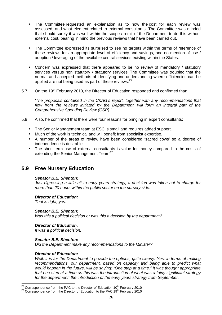- The Committee requested an explanation as to how the cost for each review was assessed, and what element related to external consultants. The Committee was minded that should surely it was well within the scope / remit of the Department to do this without external cost, bearing in mind the previous reviews that have been carried out.
- The Committee expressed its surprised to see no targets within the terms of reference of these reviews for an appropriate level of efficiency and savings, and no mention of use / adoption / leveraging of the available central services existing within the States.
- Concern was expressed that there appeared to be no review of mandatory / statutory services versus non statutory / statutory services. The Committee was troubled that the normal and accepted methods of identifying and understanding where efficiencies can be applied are not being used as part of these reviews.<sup>25</sup>
- 5.7 On the  $19<sup>th</sup>$  February 2010, the Director of Education responded and confirmed that:

'The proposals contained in the C&AG's report, together with any recommendations that flow from the reviews initiated by the Department, will form an integral part of the Comprehensive Spending Review (CSR).'

- 5.8 Also, he confirmed that there were four reasons for bringing in expert consultants:
	- The Senior Management team at ESC is small and requires added support.
	- Much of the work is technical and will benefit from specialist expertise.
	- A number of the areas of review have been considered 'sacred cows' so a degree of independence is desirable
	- The short term use of external consultants is value for money compared to the costs of extending the Senior Management Team<sup>'26</sup>

## **5.9 Free Nursery Education**

#### **Senator B.E. Shenton:**

Just digressing a little bit to early years strategy, a decision was taken not to charge for more than 20 hours within the public sector on the nursery side.

**Director of Education:** 

That is right, yes.

#### **Senator B.E. Shenton:**

Was this a political decision or was this a decision by the department?

#### **Director of Education:**

It was a political decision.

#### **Senator B.E. Shenton:**

Did the Department make any recommendations to the Minister?

#### **Director of Education:**

 $\overline{a}$ 

Well, it is for the Department to provide the options, quite clearly. Yes, in terms of making recommendations, our department, based on capacity and being able to predict what would happen in the future, will be saying: "One step at a time." It was thought appropriate that one step at a time as this was the introduction of what was a fairly significant strategy for the department: the introduction of the early years strategy from September.

<sup>&</sup>lt;sup>25</sup> Correspondence from the PAC to the Director of Education 10<sup>th</sup> February 2010

<sup>&</sup>lt;sup>26</sup> Correspondence from the Director of Education to the PAC 19<sup>th</sup> February 2010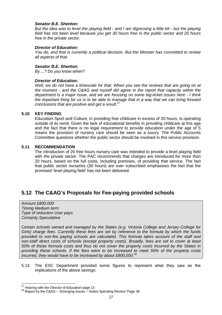#### **Senator B.E. Shenton:**

But the idea was to level the playing field - and I am digressing a little bit - but the playing field has not been level because you get 30 hours free in the public sector and 20 hours free in the private sector.

#### **Director of Education:**

You do, and that is currently a political decision. But the Minister has committed to review all aspects of that.

#### **Senator B.E. Shenton:**

By ...? Do you know when?

#### **Director of Education:**

Well, we do not have a timescale for that. When you see the reviews that are going on at the moment - and the C&AG and myself did agree in the report that capacity within the department is a major issue, and we are focusing on some big-ticket issues here - I think the important thing for us is to be able to manage that in a way that we can bring forward conclusions that are positive and get a result. $27$ 

#### **5.10 KEY FINDING**

Education Sport and Culture, in providing free childcare in excess of 20 hours, is operating outside of its remit. Given the lack of educational benefits in providing childcare at this age and the fact that there is no legal requirement to provide education under the age of 5 means the provision of nursery care should be seen as a luxury. The Public Accounts Committee questions whether the public sector should be involved in this service provision.

#### **5.11 RECOMMENDATION**

The introduction of 20 free hours nursery care was intended to provide a level playing field with the private sector. The PAC recommends that charges are introduced for more than 20 hours, based on the full costs, including premises, of providing that service. The fact that public sector nurseries (30 hours) are over subscribed emphasises the fact that the promised 'level playing field' has not been delivered.

## **5.12 The C&AG's Proposals for Fee-paying provided schools**

Amount £800,000 Timing Medium term Type of reduction User pays Certainty Speculative

Certain schools owned and managed by the States (e.g. Victoria College and Jersey College for Girls) charge fees. Currently these fees are set by reference to the formula by which the funds provided to non-fee paying schools are calculated. This formula takes account of the staff and non-staff direct costs of schools (except property costs). Broadly, fees are set to cover at least 50% of these formula costs and thus do not cover the property costs incurred by the States in providing these schools. If the fees were to be increased to meet 50% of the property costs incurred, they would have to be increased by about £800,000. $^{28}$ 

5.13 The ESC Department provided some figures to represent what they saw as the implications of the above savings:

 $\overline{a}$ 

 $27$  Hearing with the Director of Education page 13

<sup>28</sup> Report by the C&AG – 'Emerging Issues – States Spending Review' Page 38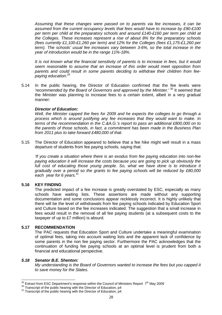Assuming that these changes were passed on to parents via fee increases, it can be assumed from the current occupancy levels that fees would have to increase by £90-£100 per term per child at the preparatory schools and around £140-£160 per term per child at the Colleges. These increases represent a rise of about 8% for the preparatory schools (fees currently £1,100-£1,260 per term) and 12% for the Colleges (fees £1,175-£1,260 per term). The schools' usual fee increases vary between 3-6%, so the total increase in the year of introduction would be in the range 11%-18%.

It is not known what the financial sensitivity of parents is to increase in fees, but it would seem reasonable to assume that an increase of this order would meet opposition from parents and could result in some parents deciding to withdraw their children from feepaying education.<sup>29</sup>

5.14 In the public hearing, the Director of Education confirmed that the fee levels were 'recommended by the Board of Governors and approved by the Minister.' <sup>30</sup> It seemed that the Minister was planning to increase fees to a certain extent, albeit in a very gradual manner:

#### **Director of Education:**

Well, the Minister capped the fees for 2009 and he expects the colleges to go through a process which is around justifying any fee increases that they would want to make. In terms of the recommendation in the C.&A.G.'s report to pass an additional £800,000 on to the parents of those schools, in fact, a commitment has been made in the Business Plan from 2011 plus to take forward £480,000 of that.

5.15 The Director of Education appeared to believe that a fee hike might well result in a mass departure of students from fee paying schools, saying that:

'If you create a situation where there is an exodus from fee paying education into non-fee paying education it will increase the costs because you are going to pick up obviously the full cost of educating those young people. So, what we have done is to introduce it gradually over a period so the grants to fee paying schools will be reduced by £80,000 each year for 6 years.  $31$ 

#### **5.16 KEY FINDING**

The predicted impact of a fee increase is greatly overstated by ESC, especially as many schools have waiting lists. These assertions are made without any supporting documentation and some conclusions appear recklessly incorrect. It is highly unlikely that there will be the level of withdrawals from fee paying schools indicated by Education Sport and Culture based on the fee increases indicated. The suggestion that a small increase in fees would result in the removal of all fee paying students (at a subsequent costs to the taxpayer of up to £7 million) is absurd.

#### **5.17 RECOMMENDATION**

The PAC requests that Education Sport and Culture undertake a meaningful examination of optimal fees, taking into account waiting lists and the apparent lack of confidence by some parents in the non fee paying sector. Furthermore the PAC acknowledges that the continuation of funding fee paying schools at an optimal level is prudent from both a financial and educational perspective.

#### **5.18 Senator B.E. Shenton:**

My understanding is the Board of Governors wanted to increase the fees but you capped it to save money for the States.

 $\overline{\phantom{a}}$ <sup>29</sup> Extract from ESC Department's response within the Council of Ministers Report 7<sup>th</sup> May 2009

 $30$  Transcript of the public hearing with the Director of Education, p4

<sup>&</sup>lt;sup>31</sup> Transcript of the public hearing with the Director of Education, p4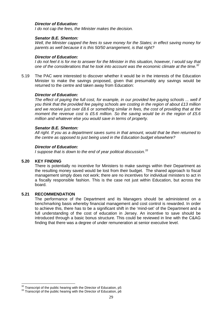#### **Director of Education:**

I do not cap the fees, the Minister makes the decision.

#### **Senator B.E. Shenton:**

Well, the Minister capped the fees to save money for the States; in effect saving money for parents as well because it is this 50/50 arrangement, is that right?

#### **Director of Education:**

I do not feel it is for me to answer for the Minister in this situation, however, I would say that one of the considerations that he took into account was the economic climate at the time. $32$ 

5.19 The PAC were interested to discover whether it would be in the interests of the Education Minister to make the savings proposed, given that presumably any savings would be returned to the centre and taken away from Education:

#### **Director of Education:**

The effect of paying the full cost, for example, in our provided fee paying schools ... well if you think that the provided fee paying schools are costing in the region of about £13 million and we receive just over £8.6 or something similar in fees, the cost of providing that at the moment the revenue cost is £5.6 million. So the saving would be in the region of £5.6 million and whatever else you would save in terms of property.

#### **Senator B.E. Shenton:**

All right. If you as a department saves sums in that amount, would that be then returned to the centre as opposed to just being used in the Education budget elsewhere?

#### **Director of Education:**

I suppose that is down to the end of year political discussion. $33$ 

#### **5.20 KEY FINDING**

 $\overline{a}$ 

There is potentially no incentive for Ministers to make savings within their Department as the resulting money saved would be lost from their budget. The shared approach to fiscal management simply does not work; there are no incentives for individual ministers to act in a fiscally responsible fashion. This is the case not just within Education, but across the board.

#### **5.21 RECOMMENDATION**

The performance of the Department and its Managers should be administered on a benchmarking basis whereby financial management and cost control is rewarded. In order to achieve this, there has to be a significant shift in the 'mind-set' of the Department and a full understanding of the cost of education in Jersey. An incentive to save should be introduced through a basic bonus structure. This could be reviewed in line with the C&AG finding that there was a degree of under remuneration at senior executive level.

 $32^{32}$  Transcript of the public hearing with the Director of Education, p5

<sup>&</sup>lt;sup>33</sup> Transcript of the public hearing with the Director of Education, p6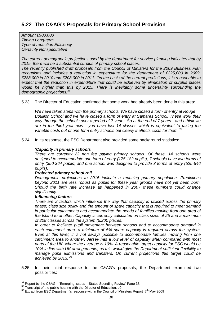Amount £900,000 Timing Long-term Type of reduction Efficiency Certainty Not speculative

The current demographic projections used by the department for service planning indicates that by 2015, there will be a substantial surplus of primary school places.

The recently published draft proposals from the Council of Ministers for the 2009 Business Plan recognises and includes a reduction in expenditure for the department of £325,000 in 2009, £288,000 in 2010 and £208,000 in 2011. On the basis of the current predictions, it is reasonable to expect that the reduction in expenditure that could be achieved by elimination of surplus places would be higher than this by 2015. There is inevitably some uncertainty surrounding the demographic projections.<sup>34</sup>

5.23 The Director of Education confirmed that some work had already been done in this area:

We have taken steps with the primary schools. We have closed a form of entry at Rouge Bouillon School and we have closed a form of entry at Samares School. These work their way through the schools over a period of 7 years. So at the end of 7 years - and I think we are in the third year now - you have lost 14 classes which is equivalent to taking the variable costs out of one-form entry schools but clearly it affects costs for them.<sup>35</sup>

5.24 In its response, the ESC Department also provided some background statistics:

#### **'Capacity in primary schools**

There are currently 22 non fee paying primary schools. Of these, 14 schools were designed to accommodate one form of entry (175-182 pupils), 7 schools have two forms of entry (350-364 pupils) and one school was designed to provide 3 forms of entry (525-546 pupils).

#### **Projected primary school roll**

Demographic projections to 2015 indicate a reducing primary population. Predictions beyond 2011 are less robust as pupils for these year groups have not yet been born. Should the birth rate increase as happened in 2007 these numbers could change significantly.

#### **Influencing factors**

There are 2 factors which influence the way that capacity is utilised across the primary phase; class size policy and the amount of spare capacity that is required to meet demand in particular catchments and accommodate the needs of families moving from one area of the Island to another. Capacity is currently calculated on class sizes of 25 and a maximum of 208 classes across the system (5,200 places).

In order to facilitate pupil movement between schools and to accommodate demand in each catchment area, a minimum of 5% spare capacity is required across the system. Even at this level, it is not always possible to accommodate families moving from one catchment area to another. Jersey has a low level of capacity when compared with most parts of the UK, where the average is 10%. A reasonable target capacity for ESC would be 10% in line with UK arrangements, as this would give the Department sufficient flexibility to manage pupil admissions and transfers. On current projections this target could be achieved by 2013.<sup>36</sup>

5.25 In their initial response to the C&AG's proposals, the Department examined two possibilities:

 $\overline{a}$  $34$  Report by the C&AG – 'Emerging Issues – States Spending Review' Page 38

 $35$  Transcript of the public hearing with the Director of Education, p9

 $36$  Extract from ESC Department's response within the Council of Ministers Report  $7<sup>th</sup>$  May 2009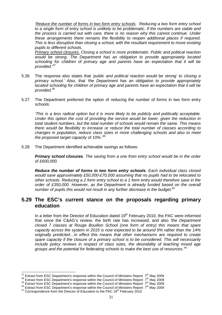'Reduce the number of forms in two form entry schools. Reducing a two form entry school to a single form of entry school is unlikely to be problematic. If the numbers are viable and the process is carried out with care, there is no reason why this cannot continue. Under these arrangements there remains the flexibility to reopen additional places if required. This is less disruptive than closing a school, with the resultant requirement to move existing pupils to different schools.

Primary school closures. Closing a school is more problematic. Public and political reaction would be strong. The Department has an obligation to provide appropriately located schooling for children of primary age and parents have an expectation that it will be provided.<sup>37</sup>

- 5.26 The response also states that 'public and political reaction would be strong' to closing a primary school.' Also, that 'the Department has an obligation to provide appropriately located schooling for children of primary age and parents have an expectation that it will be provided.<sup>38</sup>
- 5.27 The Department preferred the option of reducing the number of forms in two form entry schools:

'This is a less radical option but it is more likely to be publicly and politically acceptable. Under this option the cost of providing the service would be lower, given the reduction in total student numbers, but the total number of schools would remain the same. This means there would be flexibility to increase or reduce the total number of classes according to changes in population, reduce class sizes in more challenging schools and also to meet the proposed target capacity of  $10\%$ .  $^{39}$ 

5.28 The Department identified achievable savings as follows:

**Primary school closures**. The saving from a one from entry school would be in the order of £600,000.

**Reduce the number of forms in two form entry schools**. Each individual class closed would save approximately £50,000-£70,000 assuming that no pupils had to be relocated to other schools. Reducing a 2 form entry school to a 1 form entry would therefore save in the order of £350,000. However, as the Department is already funded based on the overall number of pupils this would not result in any further decrease in the budget. $40$ 

## **5.29 The ESC's current stance on the proposals regarding primary education**

In a letter from the Director of Education dated  $19<sup>th</sup>$  February 2010, the PAC were informed that since the C&AG's review, the birth rate has increased, and also 'the Department' closed 7 classes at Rouge Bouillon School (one form of entry) this means that spare capacity across the system in 2015 is now expected to be around 9% rather than the 14% originally predicted…in effect this means that other mechanisms are required to create spare capacity if the closure of a primary school is to be considered. This will necessarily include policy reviews in respect of class sizes, the desirability of teaching mixed age groups and the potential for federating schools to make the best use of resources. $^{41}$ 

 $\overline{a}$  $37$  Extract from ESC Department's response within the Council of Ministers Report  $7<sup>th</sup>$  May 2009

 $38$  Extract from ESC Department's response within the Council of Ministers Report  $7<sup>th</sup>$  May 2009

 $39$  Extract from ESC Department's response within the Council of Ministers Report  $7<sup>th</sup>$  May 2009

 $40$  Extract from ESC Department's response within the Council of Ministers Report  $7<sup>th</sup>$  May 2009

 $41$  Correspondence from the Director of Education to the PAC 19<sup>th</sup> February 2010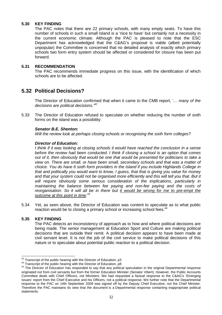#### **5.30 KEY FINDING**

The PAC notes that there are 22 primary schools, with many empty seats. To have this number of schools in such a small Island is a 'nice to have' but certainly not a necessity in the current economic climate. Although the PAC is pleased to note that the ESC Department has acknowledged that the C&AG's proposal is viable (albeit potentially unpopular) the Committee is concerned that no detailed analysis of exactly which primary schools two form entry system should be affected or considered for closure has been put forward.

#### **5.31 RECOMMENDATION**

The PAC recommends immediate progress on this issue, with the identification of which schools are to be affected.

## **5.32 Political Decisions?**

The Director of Education confirmed that when it came to the CMB report, '... many of the decisions are political decisions.<sup>42</sup>

5.33 The Director of Education refused to speculate on whether reducing the number of sixth forms on the island was a possibility:

#### **Senator B.E. Shenton:**

Will the review look at perhaps closing schools or recognising the sixth form colleges?

#### **Director of Education:**

I think if it was looking at closing schools it would have reached the conclusion in a sense before the review had been conducted. I think if closing a school is an option that comes out of it, then obviously that would be one that would be presented for politicians to take a view on. There are small, or have been small, secondary schools and that was a matter of choice. You do have 6 sixth form providers in the Island if you include Highlands College in that and politically you would want to know, I guess, that that is giving you value for money and that your system could not be organised more efficiently and this will tell you that. But it will require obviously some serious consideration of the implications, particularly in maintaining the balance between fee paying and non-fee paying and the costs of reorganisation. So it will all be in there but it would be wrong for me to pre-empt the outcome at this point in time.<sup>43</sup>

5.34 Yet, as seen above, the Director of Education was content to speculate as to what public reaction would be to closing a primary school or increasing school fees.<sup>44</sup>

#### **5.35 KEY FINDING**

 $\overline{a}$ 

The PAC detects an inconsistency of approach as to how and where political decisions are being made. The senior management at Education Sport and Culture are making political decisions that are outside their remit. A political decision appears to have been made at civil servant level. It is not the job of the civil service to make political decisions of this nature or to speculate about potential public reaction to a political decision.

 $42$  Transcript of the public hearing with the Director of Education, p3

<sup>&</sup>lt;sup>43</sup> Transcript of the public hearing with the Director of Education, p8

<sup>&</sup>lt;sup>44</sup> The Director of Education has responded to say that any political speculation in the original Departmental response originated not from civil servants but from the former Education Minister (Senator Vibert). However, the Public Accounts Committee deals with Chief Officers, not Ministers. We had requested a factual response to the C&AG's 'Emerging Issues' report from the Chief Executive and his Officers, not a political response. We further note that the Departmental response to the PAC on 14th September 2009 was signed off by the Deputy Chief Executive, not the Chief Minister. Therefore the PAC maintains its view that the document is a Departmental response containing inappropriate political statements.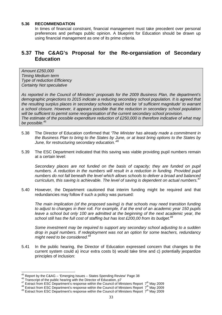#### **5.36 RECOMMENDATION**

In times of financial constraint, financial management must take precedent over personal preferences and perhaps public opinion. A blueprint for Education should be drawn up using financial management as one of its prime criteria.

## **5.37 The C&AG's Proposal for the Re-organsiation of Secondary Education**

Amount £250,000 Timing Medium term Type of reduction Efficiency Certainty Not speculative

As reported in the Council of Ministers' proposals for the 2009 Business Plan, the department's demographic projections to 2015 indicate a reducing secondary school population. It is agreed that the resulting surplus places in secondary schools would not be 'of sufficient magnitude' to warrant a school closure. However, it appears possible that the reduction in secondary school population will be sufficient to permit some reorganisation of the current secondary school provision. The estimate of the possible expenditure reduction of £250,000 is therefore indicative of what may be possible.<sup>45</sup>

- 5.38 The Director of Education confirmed that 'The Minister has already made a commitment in the Business Plan to bring to the States by June, or at least bring options to the States by June, for restructuring secondary education.<sup>46</sup>
- 5.39 The ESC Department indicated that this saving was viable providing pupil numbers remain at a certain level:

Secondary places are not funded on the basis of capacity; they are funded on pupil numbers. A reduction in the numbers will result in a reduction in funding. Provided pupil numbers do not fall beneath the level which allows schools to deliver a broad and balanced curriculum, this saving is achievable. The level of saving is dependent on actual numbers.<sup>47</sup>

5.40 However, the Department cautioned that interim funding might be required and that redundancies may follow if such a policy was pursued:

The main implication (of the proposed saving) is that schools may need transition funding to adjust to changes in their roll. For example, if at the end of an academic year 150 pupils leave a school but only 100 are admitted at the beginning of the next academic year, the school still has the full cost of staffing but has lost £200,00 from its budget. $48$ 

Some investment may be required to support any secondary school adjusting to a sudden drop in pupil numbers. If redeployment was not an option for some teachers, redundancy might need to be considered.<sup>49</sup>

5.41 In the public hearing, the Director of Education expressed concern that changes to the current system could a) incur extra costs b) would take time and c) potentially jeopardize principles of inclusion:

 $\overline{a}$ 

 $^{45}$  Report by the C&AG – 'Emerging Issues – States Spending Review' Page 38

<sup>&</sup>lt;sup>46</sup> Transcript of the public hearing with the Director of Education, p7

<sup>47</sup> Extract from ESC Department's response within the Council of Ministers Report 7<sup>th</sup> May 2009

<sup>48</sup> Extract from ESC Department's response within the Council of Ministers Report 7th May 2009

<sup>49</sup> Extract from ESC Department's response within the Council of Ministers Report 7th May 2009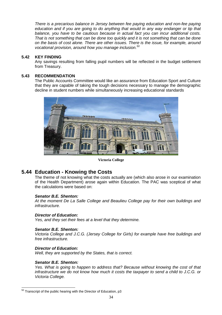There is a precarious balance in Jersey between fee paying education and non-fee paying education and if you are going to do anything that would in any way endanger or tip that balance, you have to be cautious because in actual fact you can incur additional costs. That is not something that can be done too quickly and it is not something that can be done on the basis of cost alone. There are other issues. There is the issue, for example, around vocational provision, around how you manage inclusion.<sup>50</sup>

#### **5.42 KEY FINDING**

Any savings resulting from falling pupil numbers will be reflected in the budget settlement from Treasury.

#### **5.43 RECOMMENDATION**

The Public Accounts Committee would like an assurance from Education Sport and Culture that they are capable of taking the tough decisions necessary to manage the demographic decline in student numbers while simultaneously increasing educational standards



**Victoria College** 

## **5.44 Education - Knowing the Costs**

The theme of not knowing what the costs actually are (which also arose in our examination of the Health Department) arose again within Education. The PAC was sceptical of what the calculations were based on:

#### **Senator B.E. Shenton:**

At the moment De La Salle College and Beaulieu College pay for their own buildings and infrastructure.

#### **Director of Education:**

Yes, and they set their fees at a level that they determine.

#### **Senator B.E. Shenton:**

Victoria College and J.C.G. (Jersey College for Girls) for example have free buildings and free infrastructure.

#### **Director of Education:**

Well, they are supported by the States, that is correct.

#### **Senator B.E. Shenton:**

Yes. What is going to happen to address that? Because without knowing the cost of that infrastructure we do not know how much it costs the taxpayer to send a child to J.C.G. or Victoria College.

 $\overline{\phantom{a}}$  $50$  Transcript of the public hearing with the Director of Education, p3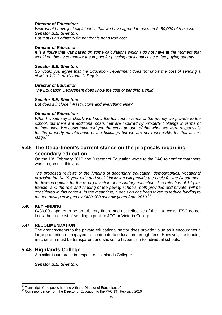#### **Director of Education:**

Well, what I have just explained is that we have agreed to pass on  $£480,000$  of the costs ... **Senator B.E. Shenton:** 

But that is an arbitrary figure; that is not a true cost.

#### **Director of Education:**

It is a figure that was based on some calculations which I do not have at the moment that would enable us to monitor the impact for passing additional costs to fee paying parents.

#### **Senator B.E. Shenton:**

So would you agree that the Education Department does not know the cost of sending a child to J.C.G. or Victoria College?

#### **Director of Education:**

The Education Department does know the cost of sending a child ...

#### **Senator B.E. Shenton:**

But does it include infrastructure and everything else?

#### **Director of Education:**

What I would say is clearly we know the full cost in terms of the money we provide to the school, but there are additional costs that are incurred by Property Holdings in terms of maintenance. We could have told you the exact amount of that when we were responsible for the property maintenance of the buildings but we are not responsible for that at this stage.<sup>51</sup>

## **5.45 The Department's current stance on the proposals regarding secondary education**

On the 19<sup>th</sup> February 2010, the Director of Education wrote to the PAC to confirm that there was progress in this area:

The proposed reviews of the funding of secondary education, demographics, vocational provision for 14-19 year olds and social inclusion will provide the basis for the Department to develop options for the re-organisation of secondary education. The retention of 14 plus transfer and the role and funding of fee-paying schools, both provided and private, will be considered in this context. In the meantime, a decision has been taken to reduce funding to the fee paying colleges by £480,000 over six years from 2010. $52$ 

#### **5.46 KEY FINDING**

 $\overline{a}$ 

£480,00 appears to be an arbitrary figure and not reflective of the true costs. ESC do not know the true cost of sending a pupil to JCG or Victoria College.

#### **5.47 RECOMMENDATION**

The grant systems to the private educational sector does provide value as it encourages a large proportion of taxpayers to contribute to education through fees. However, the funding mechanism must be transparent and shows no favouritism to individual schools.

### **5.48 Highlands College**

A similar issue arose in respect of Highlands College:

#### **Senator B.E. Shenton:**

 $51$  Transcript of the public hearing with the Director of Education, p6

 $52$  Correspondence from the Director of Education to the PAC  $19<sup>th</sup>$  February 2010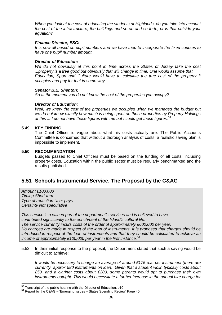When you look at the cost of educating the students at Highlands, do you take into account the cost of the infrastructure, the buildings and so on and so forth, or is that outside your equation?

#### **Finance Director, ESC:**

It is now all based on pupil numbers and we have tried to incorporate the fixed courses to have one pupil number amount.

#### **Director of Education:**

We do not obviously at this point in time across the States of Jersey take the cost ...property is a free good but obviously that will change in time. One would assume that Education, Sport and Culture would have to calculate the true cost of the property it occupies and pay for that in some way.

#### **Senator B.E. Shenton:**

So at the moment you do not know the cost of the properties you occupy?

#### **Director of Education:**

Well, we knew the cost of the properties we occupied when we managed the budget but we do not know exactly how much is being spent on those properties by Property Holdings at this  $\dots$  I do not have those figures with me but I could get those figures.<sup>53</sup>

#### **5.49 KEY FINDING**

The Chief Officer is vague about what his costs actually are. The Public Accounts Committee is concerned that without a thorough analysis of costs, a realistic saving plan is impossible to implement.

#### **5.50 RECOMMENDATION**

Budgets passed to Chief Officers must be based on the funding of all costs, including property costs. Education within the public sector must be regularly benchmarked and the results published.

## **5.51 Schools Instrumental Service. The Proposal by the C&AG**

Amount £100,000 Timing Short-term Type of reduction User pays Certainty Not speculative

 $\overline{a}$ 

This service is a valued part of the department's services and is believed to have contributed significantly to the enrichment of the Island's cultural life. The service currently incurs costs of the order of approximately £600,000 per year. No charges are made in respect of the loan of instruments. It is proposed that charges should be introduced in respect of the loan of instruments and that they should be calculated to achieve an income of approximately £100,000 per year in the first instance.<sup>54</sup>

5.52 In their initial response to the proposal, the Department stated that such a saving would be difficult to achieve:

It would be necessary to charge an average of around £175 p.a. per instrument (there are currently approx 580 instruments on loan). Given that a student violin typically costs about £50, and a clarinet costs about £200, some parents would opt to purchase their own instruments outright. This would necessitate a further increase in the annual hire charge for

 $53$  Transcript of the public hearing with the Director of Education, p10

<sup>54</sup> Report by the C&AG – 'Emerging Issues – States Spending Review' Page 40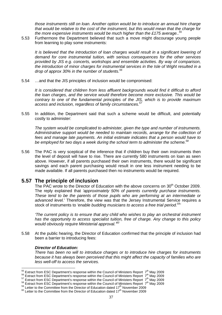those instruments still on loan. Another option would be to introduce an annual hire charge that would be relative to the cost of the instrument, but this would mean that the charge for the more expensive instruments would be much higher than the £175 average.. $55$ 

5.53 Furthermore the Department believed that such a move might discourage young people from learning to play some instruments:

It is believed that the introduction of loan charges would result in a significant lowering of demand for core instrumental tuition, with serious consequences for the other services provided by JIS e.g. concerts, workshops and ensemble activities. By way of comparison, the introduction of minor charges for instrumental services in the Isle of Wight resulted in a drop of approx 30% in the number of students. $56$ 

5.54 …and that the JIS principles of inclusion would be compromised:

It is considered that children from less affluent backgrounds would find it difficult to afford the loan charges, and the service would therefore become more exclusive. This would be contrary to one of the fundamental principles of the JIS, which is to provide maximum access and inclusion, regardless of family circumstances.<sup>57</sup>

5.55 In addition, the Department said that such a scheme would be difficult, and potentially costly to administer:

The system would be complicated to administer, given the type and number of instruments. Administrative support would be needed to maintain records, arrange for the collection of fees and manage late payments. An initial estimate indicates that a person would have to be employed for two days a week during the school term to administer the scheme.<sup>58</sup>

5.56 The PAC is very sceptical of the inference that if children buy their own instruments then the level of deposit will have to rise. There are currently 580 instruments on loan as seen above. However, if all parents purchased their own instruments, there would be significant savings and each parent purchasing would result in one less instrument needing to be made available. If all parents purchased then no instruments would be required.

## **5.57 The principle of inclusion**

The PAC wrote to the Director of Education with the above concerns on 30<sup>th</sup> October 2009. The reply explained that 'approximately 50% of parents currently purchase instruments. These tend to be the parents of those pupils who are performing at an intermediate or advanced level.' Therefore, the view was that the Jersey Instrumental Service requires a stock of instruments to 'enable budding musicians to access a free trial period.<sup>59</sup>

'The current policy is to ensure that any child who wishes to play an orchestral instrument has the opportunity to access specialist tuition, free of charge. Any change to this policy would obviously require Ministerial approval. $60$ 

5.58 At the public hearing, the Director of Education confirmed that the principle of inclusion had been a barrier to introducing fees:

#### **Director of Education:**

There has been no will to introduce charges or to introduce hire charges for instruments because it has always been perceived that this might affect the capacity of families who are less well-off to access the services.

 $\overline{a}$ <sup>55</sup> Extract from ESC Department's response within the Council of Ministers Report  $7<sup>th</sup>$  May 2009

 $56$  Extract from ESC Department's response within the Council of Ministers Report  $7<sup>th</sup>$  May 2009

 $57$  Extract from ESC Department's response within the Council of Ministers Report  $7<sup>th</sup>$  May 2009

<sup>&</sup>lt;sup>58</sup> Extract from ESC Department's response within the Council of Ministers Report 7<sup>th</sup> May 2009

 $59$  Letter to the Committee from the Director of Education dated  $17<sup>th</sup>$  November 2009

<sup>60</sup> Letter to the Committee from the Director of Education dated 17<sup>th</sup> November 2009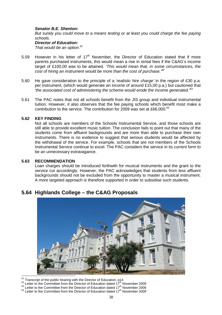#### **Senator B.E. Shenton:**

But surely you could move to a means testing or at least you could charge the fee paying schools.

#### **Director of Education:**

That would be an option. $61$ 

- 5.59 However in his letter of  $17<sup>th</sup>$  November, the Director of Education stated that if more parents purchased instruments, this would mean a rise in rental fees if the C&AG's income target of £100,00 was to be attained. 'This would mean that, in some circumstances, the cost of hiring an instrument would be more than the cost of purchase.<sup>62</sup>
- 5.60 He gave consideration to the principle of a *'realistic hire charge'* in the region of £30 p.a. per instrument, (which would generate an income of around £15,00 p.a.) but cautioned that 'the associated cost of administering the scheme would erode the income generated. $63$
- 5.61 The PAC notes that not all schools benefit from the JIS group and individual instrumental tuition. However, it also observes that the fee paying schools which benefit most make a contribution to the service. The contribution for 2009 was set at £66,000.<sup>64</sup>

#### **5.62 KEY FINDING**

Not all schools are members of the Schools Instrumental Service, and those schools are still able to provide excellent music tuition. The conclusion fails to point out that many of the students come from affluent backgrounds and are more than able to purchase their own instruments. There is no evidence to suggest that serious students would be affected by the withdrawal of the service. For example, schools that are not members of the Schools Instrumental Service continue to excel. The PAC considers the service in its current form to be an unnecessary extravagance.

#### **5.63 RECOMMENDATION**

Loan charges should be introduced forthwith for musical instruments and the grant to the service cut accordingly. However, the PAC acknowledges that students from less affluent backgrounds should not be excluded from the opportunity to master a musical instrument. A more targeted approach is therefore supported in order to subsidise such students.

## **5.64 Highlands College – the C&AG Proposals**



 $\overline{1}$  $61$ <sup>61</sup> Transcript of the public hearing with the Director of Education, p14

- $62$  Letter to the Committee from the Director of Education dated 17<sup>th</sup> November 2009
- $^{63}$  Letter to the Committee from the Director of Education dated 17<sup>th</sup> November 2009
- $64$  Letter to the Committee from the Director of Education dated  $17<sup>th</sup>$  November 2009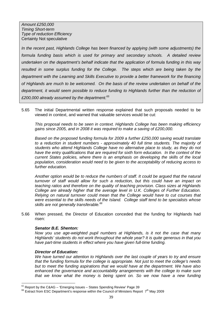Amount £250,000 Timing Short-term Type of reduction Efficiency Certainty Not speculative

In the recent past, Highlands College has been financed by applying (with some adjustments) the formula funding basis which is used for primary and secondary schools. A detailed review undertaken on the department's behalf indicate that the application of formula funding in this way resulted in some surplus funding for the College. The steps which are being taken by the department with the Learning and Skills Executive to provide a better framework for the financing of Highlands are much to be welcomed. On the basis of the review undertaken on behalf of the department, it would seem possible to reduce funding to Highlands further than the reduction of £200,000 already assumed by the department. $65$ 

5.65 The initial Departmental written response explained that such proposals needed to be viewed in context, and warned that valuable services would be cut:

This proposal needs to be seen in context. Highlands College has been making efficiency gains since 2005, and in 2008 it was required to make a saving of £200,000.

Based on the proposed funding formula for 2009 a further £250,000 saving would translate to a reduction in student numbers - approximately 40 full time students. The majority of students who attend Highlands College have no alternative place to study, as they do not have the entry qualifications that are required for sixth form education. In the context of the current States policies, where there is an emphasis on developing the skills of the local population, consideration would need to be given to the acceptability of reducing access to further education.

Another option would be to reduce the numbers of staff. It could be argued that the natural turnover of staff would allow for such a reduction, but this could have an impact on teaching ratios and therefore on the quality of teaching provision. Class sizes at Highlands College are already higher that the average level in U.K. Colleges of Further Education. Relying on natural turnover could mean that the College would have to cut courses that were essential to the skills needs of the Island. College staff tend to be specialists whose skills are not generally transferable.<sup>66</sup>

5.66 When pressed, the Director of Education conceded that the funding for Highlands had risen:

#### **Senator B.E. Shenton:**

Now you use age-weighted pupil numbers at Highlands, is it not the case that many Highlands' students do not work throughout the whole year? It is quite generous in that you have part-time students in effect where you have given full-time funding.

#### **Director of Education:**

 $\overline{a}$ 

We have turned our attention to Highlands over the last couple of years to try and ensure that the funding formula for the college is appropriate. Not just to meet the college's needs but to meet the funding aspirations that we would have at the department. We have also enhanced the governance and accountability arrangements with the college to make sure that we know what the money is being spent on. So we now have a new funding

 $65$  Report by the C&AG – 'Emerging Issues – States Spending Review' Page 39

 $66$  Extract from ESC Department's response within the Council of Ministers Report  $7<sup>th</sup>$  May 2009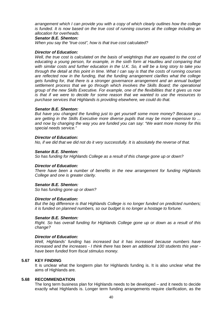arrangement which I can provide you with a copy of which clearly outlines how the college is funded. It is now based on the true cost of running courses at the college including an allocation for overheads.

#### **Senator B.E. Shenton:**

When you say the "true cost", how is that true cost calculated?

#### **Director of Education:**

Well, the true cost is calculated on the basis of weightings that are equated to the cost of educating a young person, for example, in the sixth form at Hautlieu and comparing that with similar costs and further education in the U.K. So, it will be a long story to take you through the detail at this point in time. What I can say is that the costs of running courses are reflected now in the funding, that the funding arrangement clarifies what the college gets funding for, that there is a stronger governance arrangement and an annual budget settlement process that we go through which involves the Skills Board; the operational group of the new Skills Executive. For example, one of the flexibilities that it gives us now is that if we were to decide for some reason that we wanted to use the resources to purchase services that Highlands is providing elsewhere, we could do that.

#### **Senator B.E. Shenton:**

But have you changed the funding just to get yourself some more money? Because you are getting in the Skills Executive more diverse pupils that may be more expensive to ... and now by changing the way you are funded you can say: "We want more money for this special needs service."

#### **Director of Education:**

No, if we did that we did not do it very successfully. It is absolutely the reverse of that.

#### **Senator B.E. Shenton:**

So has funding for Highlands College as a result of this change gone up or down?

#### **Director of Education:**

There have been a number of benefits in the new arrangement for funding Highlands College and one is greater clarity.

#### **Senator B.E. Shenton:**

So has funding gone up or down?

#### **Director of Education:**

But the big difference is that Highlands College is no longer funded on predicted numbers; it is funded on planned numbers, so our budget is no longer a hostage to fortune.

#### **Senator B.E. Shenton:**

Right. So has overall funding for Highlands College gone up or down as a result of this change?

#### **Director of Education:**

Well, Highlands' funding has increased but it has increased because numbers have increased and the increases - I think there has been an additional 100 students this year have been funded from fiscal stimulus money.

#### **5.67 KEY FINDING**

It is unclear what the longterm plan for Highlands funding is. It is also unclear what the aims of Highlands are.

#### **5.68 RECOMMENDATION**

The long term business plan for Highlands needs to be developed – and it needs to decide exactly what Highlands is. Longer term funding arrangements require clarification, as the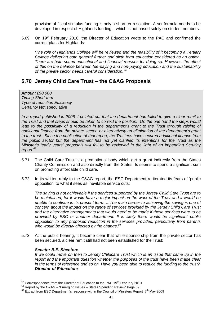provision of fiscal stimulus funding is only a short term solution. A set formula needs to be developed in respect of Highlands funding – which is not based solely on student numbers.

5.69 On  $19<sup>th</sup>$  February 2010, the Director of Education wrote to the PAC and confirmed the current plans for Highlands:

'The role of Highlands College will be reviewed and the feasibility of it becoming a Tertiary College delivering both general further and sixth form education considered as an option. There are both sound educational and financial reasons for doing so. However, the effect of this on the balance between fee-paying and non-paying education and the sustainability of the private sector needs careful consideration.<sup>67</sup>

## **5.70 Jersey Child Care Trust – the C&AG Proposals**

Amount £90,000 Timing Short-term Type of reduction Efficiency Certainty Not speculative

In a report published in 2006, I pointed out that the department had failed to give a clear remit to the Trust and that steps should be taken to correct the position. On the one hand the steps would lead to the possibility of a reduction in the department's grant to the Trust through raising of additional finance from the private sector, or alternatively an elimination of the department's grant to the trust. Since the publication of that report, the Trustees have secured additional finance from the public sector but the department has not yet clarified its intentions for the Trust as the Minister's 'early years' proposals will fall to be reviewed in the light of an impending Scrutiny  $report<sup>68</sup>$ 

- 5.71 The Child Care Trust is a promotional body which get a grant indirectly from the States Charity Commission and also directly from the States. Is seems to spend a significant sum on promoting affordable child care.
- 5.72 In its written reply to the C&AG report, the ESC Department re-iterated its fears of 'public opposition' to what it sees as inevitable service cuts:

The saving is not achievable if the services supported by the Jersey Child Care Trust are to be maintained, for it would have a major impact on the work of the Trust and it would be unable to continue in its present form…..The main barrier to achieving the saving is one of concern about the impact on the range of services provided by the Jersey Child Care Trust and the alternative arrangements that would need to be made if these services were to be provided by ESC or another department. It is likely there would be significant public opposition to any proposed reduction in the services provided, particularly from parents who would be directly affected by the change.<sup>69</sup>

5.73 At the public hearing, it became clear that while sponsorship from the private sector has been secured, a clear remit still had not been established for the Trust:

#### **Senator B.E. Shenton:**

l

If we could move on then to Jersey Childcare Trust which is an issue that came up in the report and the important question whether the purposes of the trust have been made clear in the terms of reference and so on. Have you been able to reduce the funding to the trust? **Director of Education:** 

 $^{67}$  Correspondence from the Director of Education to the PAC 19<sup>th</sup> February 2010

 $68$  Report by the C&AG – 'Emerging Issues – States Spending Review' Page 39

 $69$  Extract from ESC Department's response within the Council of Ministers Report  $7<sup>th</sup>$  May 2009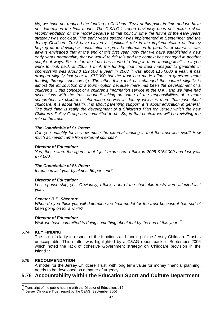No, we have not reduced the funding to Childcare Trust at this point in time and we have not determined the final model. The C.&A.G.'s report obviously does not make a clear recommendation on the model because at that point in time the future of the early years strategy was not clear. The early years strategy was implemented in September and the Jersey Childcare Trust have played a significant role in the implementation of that by helping us to develop a consultation to provide information to parents, et cetera. It was always envisaged that at the end of this first year, now that we have established a new early years partnership, that we would revisit this and the context has changed in another couple of ways. For a start the trust has started to bring in more funding itself, so if you were to look back at 2005, I think the funding that the trust managed to generate in sponsorship was around £29,000 a year; in 2008 it was about £154,000 a year. It has dropped slightly last year to £77,000 but the trust has made efforts to generate more funding through sponsorship. The other thing that has changed the context slightly is almost the introduction of a fourth option because there has been the development of a children's ... this concept of a children's information service in the U.K., and we have had discussions with the trust about it taking on some of the responsibilities of a more comprehensive children's information service in Jersey which is more than just about childcare; it is about health, it is about parenting support, it is about education in general. The third thing is really the development of a Children's Plan for Jersey which the new Children's Policy Group has committed to do. So, in that context we will be revisiting the role of the trust.

#### **The Connétable of St. Peter:**

Can you quantify for us how much the external funding is that the trust achieved? How much achieved came from external sources?

#### **Director of Education:**

Yes, those were the figures that I just expressed. I think in 2008 £154,000 and last year £77,000.

#### **The Connétable of St. Peter:**

It reduced last year by almost 50 per cent?

#### **Director of Education:**

Less sponsorship, yes. Obviously, I think, a lot of the charitable trusts were affected last year.

#### **Senator B.E. Shenton:**

When do you think you will determine the final model for the trust because it has sort of been going on for a while?

#### **Director of Education:**

Well, we have committed to doing something about that by the end of this vear..<sup>70</sup>

#### **5.74 KEY FINDING**

 $\overline{a}$ 

The lack of clarity in respect of the functions and funding of the Jersey Childcare Trust is unacceptable. This matter was highlighted by a C&AG report back in September 2006 which noted the lack of cohesive Government strategy on Childcare provision in the Island.<sup>71</sup>

#### **5.75 RECOMMENDATION**

A model for the Jersey Childcare Trust, with long term value for money financial planning, needs to be developed as a matter of urgency.

### **5.76 Accountability within the Education Sport and Culture Department**

 $70$  Transcript of the public hearing with the Director of Education, p12

<sup>71</sup> 'Jersey Childcare Trust, report by the C&AG, September 2006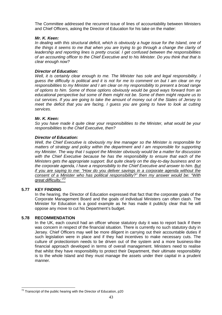The Committee addressed the recurrent issue of lines of accountability between Ministers and Chief Officers, asking the Director of Education for his take on the matter:

#### **Mr. K. Keen:**

In dealing with this structural deficit, which is obviously a huge issue for the Island, one of the things it seems to me that when you are trying to go through a change the clarity of leadership and reporting lines is pretty crucial. I get confused between the responsibilities of an accounting officer to the Chief Executive and to his Minister. Do you think that that is clear enough now?

#### **Director of Education:**

Well, it is certainly clear enough to me. The Minister has sole and legal responsibility. I guess the difficulty is political and it is not for me to comment on but I am clear on my responsibilities to my Minister and I am clear on my responsibility to present a broad range of options to him. Some of those options obviously would be good ways forward from an educational perspective but some of them might not be. Some of them might require us to cut services. If you are going to take the amount of money out of the States of Jersey to meet the deficit that you are facing, I guess you are going to have to look at cutting services.

#### **Mr. K. Keen:**

So you have made it quite clear your responsibilities to the Minister, what would be your responsibilities to the Chief Executive, then?

#### **Director of Education:**

Well, the Chief Executive is obviously my line manager so the Minister is responsible for matters of strategy and policy within the department and I am responsible for supporting my Minister. The way that I support the Minister obviously would be a matter for discussion with the Chief Executive because he has the responsibility to ensure that each of the Ministers gets the appropriate support. But quite clearly on the day-to-day business and on the corporate agenda, I have a responsibility to the Chief Executive and answer to him. But if you are saying to me: "How do you deliver savings in a corporate agenda without the consent of a Minister who has political responsibility?" then my answer would be: "With great difficulty."<sup>72</sup>

#### **5.77 KEY FINDING**

In the hearing, the Director of Education expressed that fact that the corporate goals of the Corporate Management Board and the goals of individual Ministers can often clash. The Minister for Education is a good example as he has made it publicly clear that he will oppose any move to cut his Department's budget.

#### **5.78 RECOMMENDATION**

In the UK, each council had an officer whose statutory duty it was to report back if there was concern in respect of the financial situation. There is currently no such statutory duty in Jersey. Chief Officers may well be more diligent in carrying out their accountable duties if such legislation were in place and if they had incentives to make necessary cuts. The culture of protectionism needs to be driven out of the system and a more business-like financial approach developed in terms of overall management. Ministers need to realise that whilst they have responsibility to protect their Department, their ultimate responsibility is to the whole Island and they must manage the assets under their capital in a prudent manner.

 $\overline{a}$  $72$  Transcript of the public hearing with the Director of Education, p20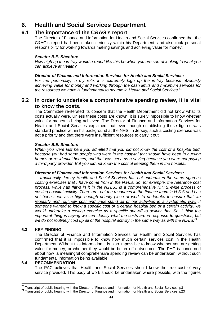# **6. Health and Social Services Department**

## **6.1 The importance of the C&AG's report**

The Director of Finance and information for Health and Social Services confirmed that the C&AG's report had been taken seriously within his Department, and also took personal responsibility for working towards making savings and achieving value for money:

#### **Senator B.E. Shenton:**

How high up the in-tray would a report like this be when you are sort of looking to what you can achieve at Health?

#### **Director of Finance and Information Services for Health and Social Services:**

For me personally, in my role, it is extremely high up the in-tray because obviously achieving value for money and working through the cash limits and maximum services for the resources we have is fundamental to my role in Health and Social Services.<sup>73</sup>

## **6.2 In order to undertake a comprehensive spending review, it is vital to know the costs.**

The Committee re-iterated its concern that the Health Department did not know what its costs actually were. Unless these costs are known, it is surely impossible to know whether value for money is being achieved. The Director of Finance and Information Services for Health and Social Services explained that even though establishing these figures was standard practice within his background at the NHS, in Jersey, such a costing exercise was not a priority and that there were insufficient resources to carry it out:

#### **Senator B.E. Shenton:**

When you were last here you admitted that you did not know the cost of a hospital bed, because you had some people who were in the hospital that should have been in nursing homes or residential homes, and that was seen as a saving because you were not paying a third party provider. But you did not know the cost of keeping them in the hospital.

#### **Director of Finance and Information Services for Health and Social Services:**

….traditionally Jersey Health and Social Services has not undertaken the same rigorous costing exercises that I have come from in the N.H.S. So, for example, the reference cost process, while has flaws in it in the N.H.S., is a comprehensive N.H.S.-wide process of costing hospital activity. There are not the resources in the finance team in H.S.S and has not been seen as a high enough priority piece of work to undertake to ensure that we regularly and routinely cost and understand all of our activities in a systematic way. If someone wanted to know a specific cost of a certain hospital bed or a certain activity, we would undertake a costing exercise as a specific one-off to deliver that. So, I think the important thing is saying we can identify what the costs are in response to questions, but we do not routinely cost up all of the hospital activity in the same way as with the N.H.S.<sup>74</sup>

#### **6.3 KEY FINDING**

The Director of Finance and Information Services for Health and Social Services has confirmed that it is impossible to know how much certain services cost in the Health Department. Without this information it is also impossible to know whether you are getting value for money, or whether they would be better off outsourced. The PAC is concerned about how a meaningful comprehensive spending review can be undertaken, without such fundamental information being available.

#### **6.4 RECOMMENDATION**

The PAC believes that Health and Social Services should know the true cost of very service provided. This body of work should be undertaken where possible, with the figures

 $\overline{a}$  $^{73}$  Transcript of public hearing with the Director of Finance and Information for Health and Social Services, p3

<sup>74</sup> Transcript of public hearing with the Director of Finance and Information for Health and Social Services, p23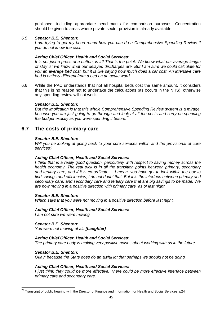published, including appropriate benchmarks for comparison purposes. Concentration should be given to areas where private sector provision is already available.

#### 6.5 **Senator B.E. Shenton:**

I am trying to get my head round how you can do a Comprehensive Spending Review if you do not know the cost.

#### **Acting Chief Officer, Health and Social Services:**

It is not just a press of a button, is it? That is the point. We know what our average length of stay is; we know what our delayed discharges are. But I am sure we could calculate for you an average bed cost, but it is like saying how much does a car cost. An intensive care bed is entirely different from a bed on an acute ward.

6.6 While the PAC understands that not all hospital beds cost the same amount, it considers that this is no reason not to undertake the calculations (as occurs in the NHS), otherwise any spending review will not work.

#### **Senator B.E. Shenton:**

But the implication is that this whole Comprehensive Spending Review system is a mirage, because you are just going to go through and look at all the costs and carry on spending the budget exactly as you were spending it before.<sup>75</sup>

## **6.7 The costs of primary care**

#### **Senator B.E. Shenton:**

Will you be looking at going back to your core services within and the provisional of core services?

#### **Acting Chief Officer, Health and Social Services:**

I think that is a really good question, particularly with respect to saving money across the health economy. The real trick is in all the transition points between primary, secondary and tertiary care, and if it is co-ordinate ... I mean, you have got to look within the box to find savings and efficiencies; I do not doubt that. But it is the interface between primary and secondary care, and secondary care and tertiary care that are big savings to be made. We are now moving in a positive direction with primary care, as of last night.

#### **Senator B.E. Shenton:**

Which says that you were not moving in a positive direction before last night.

#### **Acting Chief Officer, Health and Social Services:**

I am not sure we were moving.

**Senator B.E. Shenton:** 

You were not moving at all. **[Laughter]** 

#### **Acting Chief Officer, Health and Social Services:**

The primary care body is making very positive noises about working with us in the future.

#### **Senator B.E. Shenton:**

Okay; because the State does do an awful lot that perhaps we should not be doing.

#### **Acting Chief Officer, Health and Social Services:**

I just think they could be more effective. There could be more effective interface between primary care and secondary care.

 $\overline{a}$  $^{75}$  Transcript of public hearing with the Director of Finance and Information for Health and Social Services, p24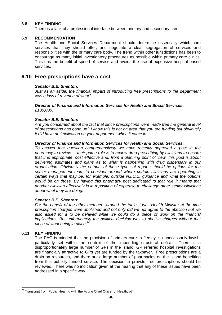#### **6.8 KEY FINDING**

There is a lack of a professional interface between primary and secondary care.

#### **6.9 RECOMMENDATION**

The Health and Social Services Department should determine essentially which core services that they should offer, and negotiate a clear segregation of services and responsibilities with the primary care body. The trend within other jurisdictions has been to encourage as many initial investigatory procedures as possible within primary care clinics. This has the benefit of speed of service and avoids the use of expensive hospital based services.

### **6.10 Free prescriptions have a cost**

#### **Senator B.E. Shenton:**

Just as an aside; the financial impact of introducing free prescriptions to the department was a loss of revenue of what?

#### **Director of Finance and Information Services for Health and Social Services:**  £100,000.

#### **Senator B.E. Shenton:**

Are you concerned about the fact that since prescriptions were made free the general level of prescriptions has gone up? I know this is not an area that you are funding but obviously it did have an implication on your department when it came in.

#### **Director of Finance and Information Services for Health and Social Services:**

To answer that question comprehensively we have recently approved a post in the pharmacy to review ... their prime role is to review drug prescribing by clinicians to ensure that it is appropriate, cost effective and, from a planning point of view, this post is about delivering estimates and plans as to what is happening with drug dispensary in our organisation. Obviously the outputs of those types of reports should be options for the senior management team to consider around where certain clinicians are operating in certain ways that may be, for example, outside N.I.C.E. guidance and what the options would be on those. By having this pharmacy post dedicated to that role it means that another clinician effectively is in a position of expertise to challenge other senior clinicians about what they are doing.

#### **Senator B.E. Shenton:**

For the benefit of the other members around the table, I was Health Minister at the time prescription charges were abolished and not only did we not agree to the abolition but we also asked for it to be delayed while we could do a piece of work on the financial implications. But unfortunately the political decision was to abolish charges without that piece of work being in place. $^{76}$ 

#### **6.11 KEY FINDING**

The PAC is minded that the provision of primary care in Jersey is unnecessarily lavish, particularly set within the context of the impending structural deficit. There is a disproportionately large number of GPs in the Island. GP referred hospital investigations are financially attractive to GPs yet are funded by the taxpayer. Free prescriptions are a drain on resources, and there are a large number of pharmacies on the Island benefiting from this publicly funded service. The decision to provide free prescriptions should be reviewed. There was no indication given at the hearing that any of these issues have been addressed in a specific way.

 $\overline{a}$  $^{76}$  Transcript from Public Hearing with the Acting Chief Officer of Health, p7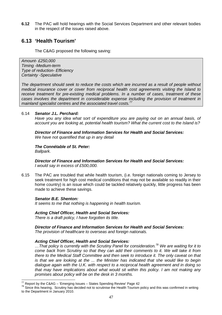**6.12** The PAC will hold hearings with the Social Services Department and other relevant bodies in the respect of the issues raised above.

## **6.13 'Health Tourism'**

The C&AG proposed the following saving:

Amount- £250,000 Timing -Medium-term Type of reduction- Efficiency Certainty -Speculative

The department should seek to reduce the costs which are incurred as a result of people without medical insurance cover or cover from reciprocal health cost agreements visiting the Island to receive treatment for pre-existing medical problems. In a number of cases, treatment of these cases involves the department in considerable expense including the provision of treatment in mainland specialist centres and the associated travel costs.<sup>77</sup>

#### 6.14 **Senator J.L. Perchard:**

Have you any idea what sort of expenditure you are paying out on an annual basis, of account you are looking at, potential health tourism? What the current cost to the Island is?

**Director of Finance and Information Services for Health and Social Services:**  We have not quantified that up in any detail

### **The Connétable of St. Peter:**

Ballpark.

 $\overline{a}$ 

**Director of Finance and Information Services for Health and Social Services:**  I would say in excess of £500,000.

6.15 The PAC are troubled that while health tourism, (i.e. foreign nationals coming to Jersey to seek treatment for high cost medical conditions that may not be available so readily in their home country) is an issue which could be tackled relatively quickly, little progress has been made to achieve these savings.

#### **Senator B.E. Shenton:**

It seems to me that nothing is happening in health tourism.

#### **Acting Chief Officer, Health and Social Services:**

There is a draft policy, I have forgotten its title.

#### **Director of Finance and Information Services for Health and Social Services:**

The provision of healthcare to overseas and foreign nationals.

#### **Acting Chief Officer, Health and Social Services:**

 $\ldots$  That policy is currently with the Scrutiny Panel for consideration.<sup>78</sup> We are waiting for it to come back from Scrutiny so that they can add their comments to it. We will take it from there to the Medical Staff Committee and then seek to introduce it. The only caveat on that is that we are looking at the ... the Minister has indicated that she would like to begin dialogue again with the U.K. with respect to a reciprocal health agreement and in doing so that may have implications about what would sit within this policy. I am not making any promises about policy will be on the desk in 3 months.

 $77$  Report by the C&AG – 'Emerging Issues – States Spending Review' Page 42

<sup>&</sup>lt;sup>78</sup> Since this hearing, Scrutiny has decided not to scrutinise the Health Tourism policy and this was confirmed in writing to the Department in January 2010.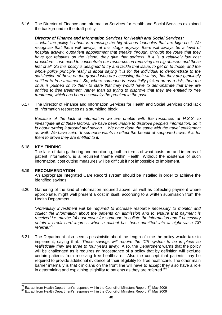6.16 The Director of Finance and Information Services for Health and Social Services explained the background to the draft policy:

#### **Director of Finance and Information Services for Health and Social Services:**

... what the policy is about is removing the big obvious loopholes that are high cost. We recognise that there will always, at this stage anyway, there will always be a level of hospital activity, outpatient appointment that sneaks through, through the route that they have got relatives on the Island, they give that address. If it is a relatively low cost procedure ... we need to concentrate our resources on removing the big abusers and those first of all. So this policy is designed to try and tackle that issue, to get on to those, and the whole policy principle really is about saying it is for the individual to demonstrate to the satisfaction of those on the ground who are accessing their status, that they are genuinely entitled to free treatment. So, where someone is essentially picked up as a risk, then the onus is pushed on to them to state that they would have to demonstrate that they are entitled to free treatment, rather than us trying to disprove that they are entitled to free treatment, which has been essentially the problem in the past.

6.17 The Director of Finance and Information Services for Health and Social Services cited lack of information resources as a stumbling block:

Because of the lack of information we are unable with the resources at H.S.S. to investigate all of these factors; we have been unable to disprove people's information. So it is about turning it around and saying ... We have done the same with the travel entitlement as well. We have said: "If someone wants to effect the benefit of supported travel it is for them to prove they are entitled to it.

#### **6.18 KEY FINDING**

 $\overline{a}$ 

The lack of data gathering and monitoring, both in terms of what costs are and in terms of patient information, is a recurrent theme within Health. Without the existence of such information, cost cutting measures will be difficult if not impossible to implement.

#### **6.19 RECOMMENDATION**

An appropriate Integrated Care Record system should be installed in order to achieve the identified savings.

6.20 Gathering of the kind of information required above, as well as collecting payment where appropriate, might well present a cost in itself, according to a written submission from the Health Department:

"Potentially investment will be required to increase resource necessary to monitor and collect the information about the patients on admission and to ensure that payment is received i.e. maybe 24 hour cover for someone to collate the information and if necessary obtain a credit card impress when a patient has been admitted late at night via a GP referral."<sup>79</sup>

6.21 The Department also seems pessimistic about the length of time the policy would take to implement, saying that: 'These savings will require the ICR system to be in place so realistically they are three to four years away.' Also, the Department warns that the policy will be challenged as it requires an 'acceptance of a policy that by definition will exclude certain patients from receiving free healthcare. Also the concept that patients may be required to provide additional evidence of their eligibility for free healthcare. The other main barrier internally is that clinicians on the front line will have to accept they also have a role in determining and explaining eligibility to patients as they are referred.<sup>80</sup>

<sup>&</sup>lt;sup>79</sup> Extract from Health Department's response within the Council of Ministers Report 7<sup>th</sup> May 2009

 $80$  Extract from Health Department's response within the Council of Ministers Report  $7<sup>th</sup>$  May 2009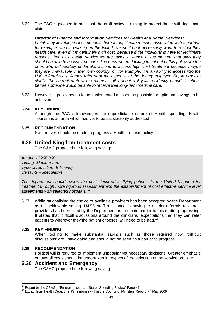6.22 The PAC is pleased to note that the draft policy is aiming to protect those with legitimate claims:

#### **Director of Finance and Information Services for Health and Social Services:**

I think they key thing is if someone is here for legitimate reasons associated with a partner, for example, who is working on the Island, we would not necessarily want to restrict their health care, even if it is genuinely high cost, because if the individual is here for legitimate reasons, then as a health service we are taking a stance at the moment that says they should be able to access free care. The ones we are looking to cut out of this policy are the ones who deliberately undertake actions to access high cost treatment because maybe they are unavailable in their own country, or, for example, it is an ability to access into the U.K. referral via a Jersey referral at the expense of the Jersey taxpayer. So, in order to clarify, the current draft at the moment talks about a 5-year residency period, in effect, before someone would be able to receive free long-term medical care.

6.23 However, a policy needs to be implemented as soon as possible for optimum savings to be achieved.

#### **6.24 KEY FINDING**

Although the PAC acknowledges the unpredictable nature of Health spending, Health Tourism is an area which has yet to be satisfactorily addressed.

#### **6.25 RECOMMENDATION**

Swift moves should be made to progress a Health Tourism policy.

### **6.26 United Kingdom treatment costs**

The C&AG proposed the following saving:

Amount- £200,000 Timing -Medium-term Type of reduction- Efficiency Certainty –Speculative

The department should review the costs incurred in flying patients to the United Kingdom for treatment through more rigorous assessment and the establishment of cost effective service level agreements with selected hospitals.  $81$ 

6.27 While rationalising the choice of available providers has been accepted by the Department as an achievable saving. H&SS staff resistance to having to restrict referrals to certain providers has been cited by the Department as the main barrier to this matter progressing. It states that 'difficult discussions around the clinicians' expectations that they can refer patients to wherever they/the patient chooses' will need to be had.<sup>82</sup>

#### **6.28 KEY FINDING**

 $\overline{a}$ 

When looking to make substantial savings such as those required now, 'difficult discussions' are unavoidable and should not be seen as a barrier to progress.

#### **6.29 RECOMMENDATION**

Political will is required to implement unpopular yet necessary decisions. Greater emphasis on overall costs should be undertaken in respect of the selection of the service provider.

### **6.30 Accident and Emergency**

The C&AG proposed the following saving:

 $81$ <sup>81</sup> Report by the C&AG – 'Emerging Issues – States Spending Review' Page 41

 $82$  Extract from Health Department's response within the Council of Ministers Report  $7<sup>th</sup>$  May 2009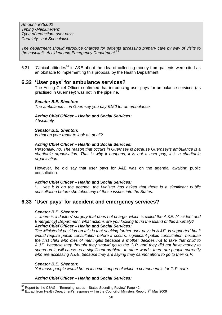Amount- £75,000 Timing -Medium-term Type of reduction- user pays Certainty –not Speculative

The department should introduce charges for patients accessing primary care by way of visits to the hospital's Accident and Emergency Department.<sup>83</sup>

6.31  $\cdot$  'Clinical attitudes<sup>84</sup> in A&E about the idea of collecting money from patients were cited as an obstacle to implementing this proposal by the Health Department.

### **6.32 'User pays' for ambulance services?**

The Acting Chief Officer confirmed that introducing user pays for ambulance services (as practised in Guernsey) was not in the pipeline.

#### **Senator B.E. Shenton:**

The ambulance ... in Guernsey you pay £150 for an ambulance.

#### **Acting Chief Officer – Health and Social Services:**  Absolutely.

#### **Senator B.E. Shenton:**

Is that on your radar to look at, at all?

#### **Acting Chief Officer – Health and Social Services:**

Personally, no. The reason that occurs in Guernsey is because Guernsey's ambulance is a charitable organisation. That is why it happens, it is not a user pay, it is a charitable organisation.

 However, he did say that user pays for A&E was on the agenda, awaiting public consultation.

#### **Acting Chief Officer – Health and Social Services:**

'…. yes it is on the agenda, the Minister has asked that there is a significant public consultation before she takes any of those issues into the States.

### **6.33 'User pays' for accident and emergency services?**

#### **Senator B.E. Shenton:**

….there is a doctors' surgery that does not charge, which is called the A.&E. (Accident and Emergency) Department, what actions are you looking to rid the Island of this anomaly? **Acting Chief Officer – Health and Social Services:** 

The Ministerial position on this is that seeking further user pays in A.&E. is supported but it would require public consultation before it occurs, significant public consultation, because the first child who dies of meningitis because a mother decides not to take that child to A.&E. because they thought they should go to the G.P. and they did not have money to spend on it, will cause us a significant problem. In other words, there are people currently who are accessing A.&E. because they are saying they cannot afford to go to their G.P.

#### **Senator B.E. Shenton:**

 $\overline{a}$ 

Yet those people would be on income support of which a component is for G.P. care.

#### **Acting Chief Officer – Health and Social Services:**

 $^{83}$  Report by the C&AG – 'Emerging Issues – States Spending Review' Page 42

 $84$  Extract from Health Department's response within the Council of Ministers Report  $7<sup>th</sup>$  May 2009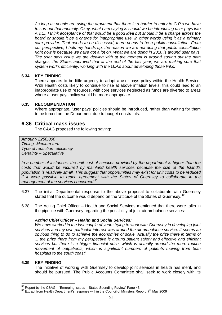As long as people are using the argument that there is a barrier to entry to G.P.s we have to sort out that anomaly. Okay, what I am saying is should we be introducing user pays into A.&E., I think acceptance of that would be a good idea but should it be a charge across the board or should it be a charge for inappropriate use, in other words using it as a primary care provider. That needs to be discussed, there needs to be a public consultation. From our perspective, I hold my hands up, the reason we are not doing that public consultation right now is because we have got a lot on. What we are doing in 2010 is around user pays. The user pays issue we are dealing with at the moment is around sorting out the path charges, the States approved that at the end of the last year, we are making sure that system works efficiently, working with the G.P.s about developing those links.

#### **6.34 KEY FINDING**

There appears to be little urgency to adopt a user pays policy within the Health Service. With Health costs likely to continue to rise at above inflation levels, this could lead to an inappropriate use of resources, with core services neglected as funds are diverted to areas where a user pays policy would be more appropriate.

#### **6.35 RECOMMENDATION**

Where appropriate, 'user pays' policies should be introduced, rather than waiting for them to be forced on the Department due to budget constraints.

### **6.36 Critical mass issues**

The C&AG proposed the following saving:

Amount- £250,000 Timing -Medium-term Type of reduction- efficiency Certainty – Speculative

In a number of instances, the unit cost of services provided by the department is higher than the costs that would be incurred by mainland health services because the size of the Island's population is relatively small. This suggest that opportunities may exist for unit costs to be reduced if it were possible to reach agreement with the States of Guernsey to collaborate in the management of the services concerned.<sup>85</sup>

- 6.37 The initial Departmental response to the above proposal to collaborate with Guernsey stated that the outcome would depend on the 'attitude of the States of Guernsey.<sup>86</sup>
- 6.38 The Acting Chief Officer Health and Social Services mentioned that there were talks in the pipeline with Guernsey regarding the possibility of joint air ambulance services:

#### **Acting Chief Officer – Health and Social Services:**

We have worked in the last couple of years trying to work with Guernsey in developing joint services and my own particular interest was around the air ambulance service. It seems an obvious thing to do to achieve the economies of scale. Actually the prize there in terms of ... the prize there from my perspective is around patient safety and effective and efficient services but there is a bigger financial prize, which is actually around the more routine movement of outpatients, which is significant numbers of patients moving from both hospitals to the south coast'

#### **6.39 KEY FINDING**

 $\overline{a}$ 

The initiative of working with Guernsey to develop joint services in health has merit, and should be pursued. The Public Accounts Committee shall seek to work closely with its

 $^{85}$  Report by the C&AG – 'Emerging Issues – States Spending Review' Page 43

 $86$  Extract from Health Department's response within the Council of Ministers Report  $7<sup>th</sup>$  May 2009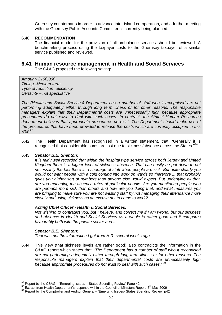Guernsey counterparts in order to advance inter-island co-operation, and a further meeting with the Guernsey Public Accounts Committee is currently being planned.

#### **6.40 RECOMMENDATION**

The financial model for the provision of all ambulance services should be reviewed. A benchmarking process using the taxpayer costs to the Guernsey taxpayer of a similar service published and reviewed.

## **6.41 Human resource management in Health and Social Services**

The C&AG proposed the following saving:

Amount- £100,000 Timing -Medium-term Type of reduction- efficiency Certainty – not speculative

The (Health and Social Services) Department has a number of staff who it recognised are not performing adequately either through long term illness or for other reasons. The responsible managers explain that their Departmental costs are unnecessarily high because appropriate procedures do not exist to deal with such cases. In contrast, the States' Human Resources department believes that appropriate procedures do exist. The Department should make use of the procedures that have been provided to release the posts which are currently occupied in this way.<sup>87</sup>

6.42 The Health Department has recognised in a written statement, that: 'Generally it is recognised that considerable sums are lost due to sickness/absence across the States."<sup>88</sup>

#### 6.43 **Senator B.E. Shenton:**

It is fairly well recorded that within the hospital type service across both Jersey and United Kingdom there is a higher level of sickness absence. That can easily be put down to not necessarily the fact there is a shortage of staff when people are sick. But quite clearly you would not want people with a cold coming into work on wards so therefore ... that probably gives you higher sort of numbers than anyone else would expect. But underlying all that, are you managing the absence rates of particular people. Are you monitoring people who are perhaps more sick than others and how are you doing that, and what measures you are bringing to make sure you are not wasting staff by not managing their attendance more closely and using sickness as an excuse not to come to work?

#### **Acting Chief Officer - Health & Social Services:**

Not wishing to contradict you, but I believe, and correct me if I am wrong, but our sickness and absence in Health and Social Services as a whole is rather good and it compares favourably both with the private sector and ...

#### **Senator B.E. Shenton:**

That was not the information I got from H.R. several weeks ago.

6.44 This view (that sickness levels are rather good) also contradicts the information in the C&AG report which states that: 'The Department has a number of staff who it recognised are not performing adequately either through long term illness or for other reasons. The responsible managers explain that their departmental costs are unnecessarily high because appropriate procedures do not exist to deal with such cases.' 89

 $\overline{\phantom{a}}$  $87$  Report by the C&AG – 'Emerging Issues – States Spending Review' Page 42

<sup>&</sup>lt;sup>88</sup> Extract from Health Department's response within the Council of Ministers Report 7<sup>th</sup> May 2009

<sup>89</sup> Report by the Comptroller and Auditor General – 'Emerging Issues- States Spending Review' p42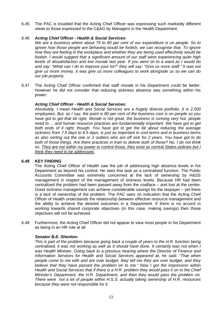6.45 The PAC is troubled that the Acting Chief Officer was expressing such markedly different views to those expressed to the C&AG by Managers in the Health Department.

#### 6.46 **Acting Chief Officer - Health & Social Services:**

We are a business where about 75 to 80 per cent of our expenditure is on people. So to ignore how those people are behaving would be foolish, we can recognise that. To ignore how they are feeling in the workplace and whether they are being used effectively would be foolish. I would suggest that a significant amount of our staff were experiencing quite high levels of dissatisfaction and low morale last year. If you went on to a ward as I would do and say: "What can I do to improve your lot?" they will say: "Give us more staff." It was not give us more money, it was give us more colleagues to work alongside us so we can do our job properly.

6.47 The Acting Chief Officer confirmed that staff morale in his Department could be better. However he did not consider that reducing sickness absence was something within his power:

#### **Acting Chief Officer - Health & Social Services:**

Absolutely. I mean Health and Social Services are a hugely diverse portfolio. It is 2,500 employees. But, as I say, the point is 80 per cent of the business cost is on people so you have got to get that bit right. Morale is not great, the business is running very hot, people need to ... and human resource practices are fundamentally important. We have got to get both ends of it right, though. You have got to get the bit about reducing the average sickness from 7.5 days to 6.5 days, is just as important in cost terms and in business terms as also sorting out the one or 2 outliers who are off sick for 2 years. You have got to do both of those things. Are there practices in train to deliver both of those? No. I do not think so. They are not within my power to control those, they exist as central States policies but I think they need to be addressed.

#### **6.48 KEY FINDING**

The Acting Chief Officer of Health saw the job of addressing high absence levels in his Department as beyond his control. He sees this task as a centralised function. The Public Accounts Committee was extremely concerned at the lack of ownership by H&SS management in respect of the management of sickness levels. Because HR had been centralized the problem had been passed away from the coalface – and lost at the centre. Good sickness management can achieve considerable savings for the taxpayer – yet there is a lack of ownership of the problem. The PAC sees no indication that the Acting Chief Officer of Health understands the relationship between effective resource management and the ability to achieve the desired outcomes in a Department. If there is no accord in working towards shared corporate objectives (in this case, making savings) then those objectives will not be achieved.

6.49 Furthermore, the Acting Chief Officer did not appear to view most people in his Department as being in an HR role at all.

#### **Senator B.E. Shenton:**

This is part of the problem because going back a couple of years to the H.R. function being centralised, it was not working as well as it should have done. It certainly was not when I was Health Minister. Going back to a previous hearing where the Director of Finance and Information Services for Health and Social Services appeared at, he said: "That when people come to me with and are over budget, they tell me they are over budget, and they believe that they have passed the problem on to me." Now I got the impression within Health and Social Services that if there is a H.R. problem they would pass it on to the Chief Minister's Department, the H.R. Department, and then they would pass the problem on. There were not a lot of people within H.S.S. actually taking ownership of H.R. resources because they were not responsible for it.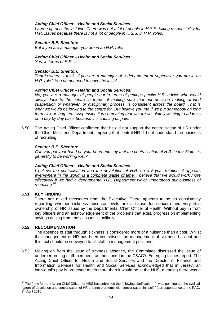#### **Acting Chief Officer – Health and Social Services:**

I agree up until the last line. There was not a lot of people in H.S.S. taking responsibility for H.R. issues because there is not a lot of people in H.S.S. in H.R. roles.

#### **Senator B.E. Shenton:**

But if you are a manager you are in an H.R. role.

#### **Acting Chief Officer – Health and Social Services:**

Yes, in terms of H.R. ...

#### **Senator B.E. Shenton:**

That is where, I think, if you are a manager of a department or supervisor you are in an H.R. role? You do not need to have the initial ...

#### **Acting Chief Officer – Health and Social Services:**

No, you are a manager of people but in terms of getting specific H.R. advice who would always look to the centre in terms of making sure that our decision making around suspension or whatever, or disciplinary process, is consistent across the board. That is what we would be looking to the centre for. But believe you me if we put somebody on long term sick or long term suspension it is something that we are absolutely wishing to address on a day by day basis because it is causing us pain.

6.50 The Acting Chief Officer confirmed that he did not support the centralisation of HR under the Chief Minister's Department, implying that central HR did not understand the business of recruiting:

#### **Senator B.E. Shenton:**

Can you put your hand on your heart and say that the centralisation of H.R. in the States is generally to be working well?

#### **Acting Chief Officer – Health and Social Services:**

I believe the centralisation and the devolution of H.R. on a 5-year rotation, it appears everywhere in the world, is a complete waste of time. I believe that we would work more effectively if we had a departmental H.R. Department which understood our business of recruiting.<sup>90</sup>

#### **6.51 KEY FINDING**

 $\overline{\phantom{a}}$ 

There are mixed messages from the Executive. There appears to be no consistency regarding whether sickness absence levels are a cause for concern and very little ownership of HR issues by the Departmental Chief Officer of Health. Without buy in from key officers and an acknowledgement of the problems that exist, progress on implementing savings arising from these issues is unlikely.

#### **6.52 RECOMMENDATION**

The absence of staff through sickness is considered more of a nuisance than a cost. Whilst the management of HR has been centralised, the management of sickness has not and this fact should be conveyed to all staff in management positions.

6.53 Moving on from the issue of sickness absence, the Committee discussed the issue of underperforming staff members, as mentioned in the C&AG's Emerging Issues report. The Acting Chief Officer for Health and Social Services and the Director of Finance and Information Services for Health and Social Services acknowledged that in Jersey, an individual's pay is protected much more than it would be in the NHS, meaning there was a

 $90$  The (now former) Acting Chief Officer for HSS has submitted the following clarification: "I was pointing out the cyclical nature of devolution and centralisation of HR and not problems with centralisation in itself." (correspondence to the PAC, 9<sup>th</sup> April 2010)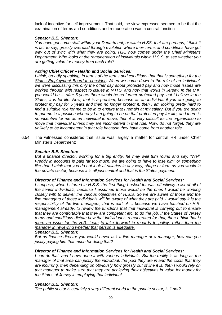lack of incentive for self improvement. That said, the view expressed seemed to be that the examination of terms and conditions and remuneration was a central function:

#### **Senator B.E. Shenton:**

You have got some staff within your Department, or within H.SS, that are perhaps, I think it is fair to say, grossly overpaid through evolution where their terms and conditions have got way out of sync with what they are doing. H.R. now comes under the Chief Minister's Department. Who looks at the remuneration of individuals within H.S.S. to see whether you are getting value for money from each role?

#### **Acting Chief Officer – Health and Social Services:**

I think, broadly speaking, in terms of the terms and conditions that that is something for the States Employment Board to consider**.** When we come down to the role of an individual, we were discussing this only the other day about protected pay and how those issues are worked through with respect to issues in N.H.S. and how that works in Jersey. In the U.K. you would be ... after 5 years there would be no further protected pay, but I believe in the States, it is for life. Now, that is a problem, because as an individual if you are going to protect my pay for 5 years and then no longer protect it, then I am looking pretty hard to find a suitable role for me to be in to ensure that I remain at my salary. But if you are going to put me in a position whereby I am going to be on that protected pay for life, and there is no incentive for me as an individual to move, then it is very difficult for the organisation to move that individual unless they are incompetent in that role. Now, do not forget, they are unlikely to be incompetent in that role because they have come from another role.

6.54 The witnesses considered that issue was largely a matter for central HR under Chief Minister's Department:

#### **Senator B.E. Shenton:**

But a finance director, working for a big entity, he may well turn round and say: "Well, Freddy in accounts is paid far too much, we are going to have to lose him" or something like that. I think that you do not look at salaries in any way, shape or form as you would in the private sector, because it is all just central and that is the States payment.

#### **Director of Finance and Information Services for Health and Social Services:**

I suppose, when I started in H.S.S. the first thing I asked for was effectively a list of all of the senior individuals, because I assumed those would be the ones I would be working closely with to deliver the various objectives of H.S.S. So we are aware of those and the line managers of those individuals will be aware of what they are paid. I would say it is the responsibility of the line managers, that is part of ... because we have touched on H.R. management already, to review the functions that that individual is carrying out to ensure that they are comfortable that they are competent etc. to do the job. If the States of Jersey terms and conditions dictate how that individual is remunerated for that, then I think that is more an issue for the H.R. team to take forward in regards to policy, rather than the manager in reviewing whether that person is adequate.

#### **Senator B.E. Shenton:**

But as finance director you would never ask a line manager or a manager, how can you justify paying him that much for doing that?

#### **Director of Finance and Information Services for Health and Social Services:**

I can do that, and I have done it with various individuals. But the reality is as long as the manager of that area can justify the individual, the post they are in and the costs that they are incurring, then depending on obviously how grossly out of line it is, then I would rely on that manager to make sure that they are achieving their objectives in value for money for the States of Jersey in employing that individual.

#### **Senator B.E. Shenton:**

The public sector is certainly a very different world to the private sector, is it not?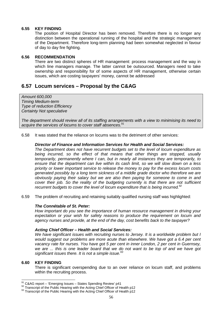#### **6.55 KEY FINDING**

The position of Hospital Director has been removed. Therefore there is no longer any distinction between the operational running of the hospital and the strategic management of the Department. Therefore long-term planning had been somewhat neglected in favour of day to day fire fighting.

#### **6.56 RECOMMENDATION**

There are two distinct spheres of HR management: process management and the way in which line managers manage. The latter cannot be outsourced. Managers need to take ownership and responsibility for of some aspects of HR management, otherwise certain issues, which are costing taxpayers' money, cannot be addressed

## **6.57 Locum services – Proposal by the C&AG**

Amount 600,000 Timing Medium-term Type of reduction Efficiency Certainty Not speculative

The department should review all of its staffing arrangements with a view to minimising its need to acquire the services of locums to cover staff absences.<sup>91</sup>

6.58 It was stated that the reliance on locums was to the detriment of other services:

#### **Director of Finance and Information Services for Health and Social Services:**

The Department does not have recurrent budgets set to the level of locum expenditure as being incurred, so the effect of that means that other things are stopped, usually temporarily, permanently where I can, but in nearly all instances they are temporarily, to ensure that the department can live within its cash limit, so we will slow down on a less priority or lower important service to release the money to pay for the excess locum costs generated possibly by a long term sickness of a middle grade doctor who therefore we are obviously paying their salary but we are also then paying for someone to come in and cover their job. So the reality of the budgeting currently is that there are not sufficient recurrent budgets to cover the level of locum expenditure that is being incurred. $92$ 

6.59 The problem of recruiting and retaining suitably qualified nursing staff was highlighted:

#### **The Connétable of St. Peter:**

How important do you see the importance of human resource management in driving your expectation or your wish for safety reasons to produce the requirement on locum and agency nurses and provide, at the end of the day, cost benefits back to the taxpayer?

#### **Acting Chief Officer – Health and Social Services:**

We have significant issues with recruiting nurses to Jersey. It is a worldwide problem but I would suggest our problems are more acute than elsewhere. We have got a 6.4 per cent vacancy rate for nurses. You have got 5 per cent in inner London, 2 per cent in Guernsey, we are ... this is one leader board that we do not want to be top of and we have got significant issues there. It is not a simple issue. $93$ 

#### **6.60 KEY FINDING**

 $\overline{\phantom{a}}$ 

There is significant overspending due to an over reliance on locum staff, and problems within the recruiting process.

 $91$  C&AG report – 'Emerging Issues – States Spending Review' p41

 $92$  Transcript of the Public Hearing with the Acting Chief Officer of Health p12

 $93$  Transcript of the Public Hearing with the Acting Chief Officer of Health p12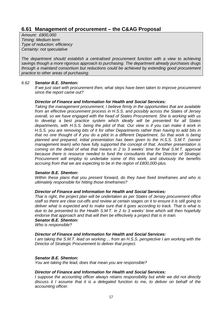## **6.61 Management of procurement – the C&AG Proposal**

Amount: £800,000 Timing: Medium term Type of reduction: efficiency Certainty: not speculative

The department should establish a centralised procurement function with a view to achieving savings though a more rigorous approach to purchasing. The department already purchases drugs through a mainland consortium but reductions could be achieved by extending good procurement practice to other areas of purchasing.

#### 6.62 **Senator B.E. Shenton:**

If we just start with procurement then, what steps have been taken to improve procurement since the report came out?

#### **Director of Finance and Information for Health and Social Services:**

Taking the management procurement, I believe firmly in the opportunities that are available from an effective procurement process in H.S.S. and possibly across the States of Jersey overall, so we have engaged with the head of States Procurement. She is working with us to develop a best practice system which ideally will be presented for all States departments, with H.S.S. being the pilot of that. Our view is if you can make it work in H.S.S. you are removing bits of it for other Departments rather than having to add bits in that no one thought of if you do a pilot in a different Department. So that work is being planned and prepared, initial presentation has been given to the H.S.S. S.M.T. (senior management team) who have fully supported the concept of that. Another presentation is coming on the detail of what that means in 2 to 3 weeks' time for final S.M.T. approval because there is resource needed to fund the consultants that the Director of Strategic Procurement will employ to undertake some of this work, and obviously the benefits accruing from that we are expecting to be in the region of £800,000-plus.

#### **Senator B.E. Shenton:**

Within these plans that you present forward, do they have fixed timeframes and who is ultimately responsible for hitting those timeframes?

#### **Director of Finance and Information for Health and Social Services:**

That is right, the project plan will be undertaken as per States of Jersey procurement office staff so there are clear cut-offs and review at certain stages on it to ensure it is still going to deliver what is expected and to make sure that it goes according to track. That is what is due to be presented to the Health S.M.T. in 2 to 3 weeks' time which will then hopefully endorse that approach and that will then be effectively a project that is in train.

### **Senator B.E. Shenton:**

Who is responsible?

#### **Director of Finance and Information for Health and Social Services:**

I am taking the S.M.T. lead on working ... from an H.S.S. perspective I am working with the Director of Strategic Procurement to deliver that project.

#### **Senator B.E. Shenton:**

You are taking the lead, does that mean you are responsible?

#### **Director of Finance and Information for Health and Social Services:**

I suppose the accounting officer always retains responsibility but while we did not directly discuss it I assume that it is a delegated function to me, to deliver on behalf of the accounting officer.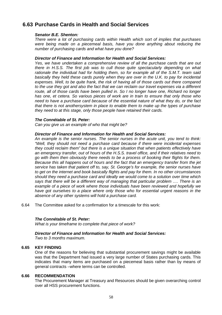## **6.63 Purchase Cards in Health and Social Services**

#### **Senator B.E. Shenton:**

There were a lot of purchasing cards within Health which sort of implies that purchases were being made on a piecemeal basis, have you done anything about reducing the number of purchasing cards and what have you done?

#### **Director of Finance and Information for Health and Social Services:**

Yes, we have undertaken a comprehensive review of all the purchase cards that are out there in H.S.S. The first job was to cull those quite spectacularly depending on what rationale the individual had for holding them, so for example all of the S.M.T. team said basically they held these cards purely when they are over in the U.K. to pay for incidental expenses. Well, to be quite frank, the risk of having all of those cards out there compared to the use they got and also the fact that we can reclaim our travel expenses via a different route, all of those cards have been pulled in. So I no longer have one, Richard no longer has one, et cetera. So various pieces of work are in train to ensure that only those who need to have a purchase card because of the essential nature of what they do, or the fact that there is not anothersystem in place to enable them to make up the types of purchase they need to at this stage, only those people have retained their cards.

#### **The Connétable of St. Peter:**

Can you give us an example of who that might be?

#### **Director of Finance and Information for Health and Social Services:**

An example is the senior nurses. The senior nurses in the acute unit, you tend to think: "Well, they should not need a purchase card because if there were incidental expenses they could reclaim them" but there is a unique situation that when patients effectively have an emergency transfer, out of hours of the H.S.S. travel office, and if their relatives need to go with them then obviously there needs to be a process of booking their flights for them. Because this all happens out of hours and the fact that an emergency transfer from the jet service has taken that patient off to, say, St. George's for example, the senior nurses have to get on the internet and book basically flights and pay for them. In no other circumstances should they need a purchase card and ideally we would come to a solution over time which says that there will be a different way of managing that particular problem …. There is an example of a piece of work where those individuals have been reviewed and hopefully we have got ourselves to a place where only those who for essential urgent reasons in the absence of any other systems will hold a purchase card.

6.64 The Committee asked for a confirmation for a timescale for this work:

#### **The Connétable of St. Peter:**

What is your timeframe to complete that piece of work?

### **Director of Finance and Information for Health and Social Services:**

Two to 3 months maximum.

### **6.65 KEY FINDING**

One of the reasons for believing that substantial procurement savings might be available was that the Department had issued a very large number of States purchasing cards. This indicates that many items are purchased on a piecemeal basis rather than by means of general contracts –where terms can be controlled.

#### **6.66 RECOMMENDATION**

The Procurement Manager at Treasury and Resources should be given overarching control over all HSS procurement functions.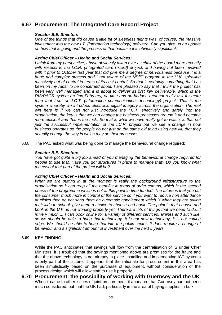## **6.67 Procurement: The Integrated Care Record Project**

#### **Senator B.E. Shenton:**

One of the things that did cause a little bit of sleepless nights was, of course, the massive investment into the new I.T. (information technology) software. Can you give us an update on how that is going and the process of that because it is obviously significant.

#### **Acting Chief Officer – Health and Social Services:**

I think from my perspective, I have obviously taken over as chair of the board more recently with respect to the I.C.R. (integrated care record) project, and having not been involved with it prior to October last year that did give me a degree of nervousness because it is a huge and complex process and I am aware of the NPfIT program in the U.K. spiralling massively out of control in terms of its cost control. So that is certainly something that has been on my radar to be concerned about. I am pleased to say that I think the project has been very well managed and it is about to deliver its first key deliverable, which is the RIS/PACS system on 2nd February, on time and on budget. I cannot really ask for more than that from an I.C.T. (information communications technology) project. That is the system whereby we introduce electronic digital imagery across the organisation. The real win here is if we can not just introduce the I.C.T. effectively and safely into the organisation, the key is that we can change the business processes around it and become more efficient and that is the trick. So that is what we have really got to watch, is that not just the successful implementation of the I.C.R. project but we see a change in how business operates so the people do not just do the same old thing using new kit, that they actually change the way in which they do their processes.

6.68 The PAC asked what was being done to manage the behavioural change required:

#### **Senator B.E. Shenton:**

You have got quite a big job ahead of you managing the behavioural change required for people to use that. Have you got structures in place to manage that? Do you know what the cost of that part of the project will be?

#### **Acting Chief Officer – Health and Social Services:**

What we are putting in at the moment is really the background infrastructure to the organisation so it can reap all the benefits in terms of order comms, which is the second phase of the programme which is not at this point in time funded. The future is that you put the consumer much more in control of the service so if you want to reduce non attendance at clinics then do not send them an automatic appointment which is when they are taking their kids to school, give them a choice to choose and book. The point is that choose and book in the U.K. is not working properly yet. There are lots of things that we need to do. It is very much ... I can book online for a variety of different services, airlines and such like, so we should be able to bring that technology. It is not new technology, it is not cutting edge. We should be able to bring that into the public sector. It does require a change of behaviour and a significant amount of investment over the next 5 years

#### **6.69 KEY FINDING**

While the PAC anticipates that savings will flow from the centralisation of IS under Chief Ministers, it is troubled that the savings mentioned above are promises for the future and that the above technology is not already in place. Installing and implementing ICT systems is only part of the picture. It appears that the rationale for procurement in this area has been simplistically based on the purchase of equipment, without consideration of the process design which will allow staff to use it properly.

**6.70 Procurement: the possibility of working with Guernsey and the UK**  When it came to other issues of joint procurement, it appeared that Guernsey had not been much considered, but that the UK had, particularly in the area of buying supplies in bulk: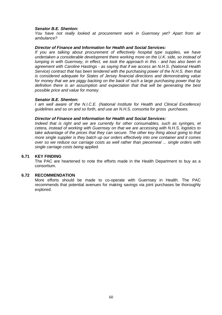#### **Senator B.E. Shenton:**

You have not really looked at procurement work in Guernsey yet? Apart from air ambulance?

#### **Director of Finance and Information for Health and Social Services:**

If you are talking about procurement of effectively hospital type supplies, we have undertaken a considerable development there working more on the U.K. side, so instead of lumping in with Guernsey, in effect, we took the approach in this - and has also been in agreement with Caroline Hastings - as saying that if we access an N.H.S. (National Health Service) contract that has been tendered with the purchasing power of the N.H.S. then that is considered adequate for States of Jersey financial directions and demonstrating value for money that we are piggy backing on the back of such a large purchasing power that by definition there is an assumption and expectation that that will be generating the best possible price and value for money.

#### **Senator B.E. Shenton:**

I am well aware of the N.I.C.E. (National Institute for Health and Clinical Excellence) guidelines and so on and so forth, and use an N.H.S. consortia for gross purchases.

#### **Director of Finance and Information for Health and Social Services:**

Indeed that is right and we are currently for other consumables, such as syringes, et cetera, instead of working with Guernsey on that we are accessing with N.H.S. logistics to take advantage of the prices that they can secure. The other key thing about going to that more single supplier is they batch up our orders effectively into one container and it comes over so we reduce our carriage costs as well rather than piecemeal ... single orders with single carriage costs being applied.

#### **6.71 KEY FINDING**

The PAC are heartened to note the efforts made in the Health Department to buy as a consortium.

#### **6.72 RECOMMENDATION**

More efforts should be made to co-operate with Guernsey in Health. The PAC recommends that potential avenues for making savings via joint purchases be thoroughly explored.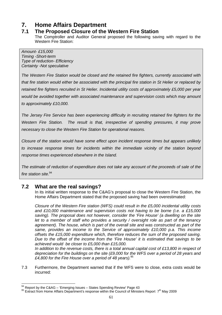# **7. Home Affairs Department**

## **7.1 The Proposed Closure of the Western Fire Station**

The Comptroller and Auditor General proposed the following saving with regard to the Western Fire Station:

Amount- £15,000 Timing -Short-term Type of reduction- Efficiency Certainty -Not speculative

The Western Fire Station would be closed and the retained fire fighters, currently associated with that fire station would either be associated with the principal fire station in St Helier or replaced by retained fire fighters recruited in St Helier. Incidental utility costs of approximately £5,000 per year would be avoided together with associated maintenance and supervision costs which may amount to approximately £10,000.

The Jersey Fire Service has been experiencing difficulty in recruiting retained fire fighters for the Western Fire Station. The result is that, irrespective of spending pressures, it may prove necessary to close the Western Fire Station for operational reasons.

Closure of the station would have some effect upon incident response times but appears unlikely to increase response times for incidents within the immediate vicinity of the station beyond response times experienced elsewhere in the Island.

The estimate of reduction of expenditure does not take any account of the proceeds of sale of the fire station site.<sup>94</sup>

## **7.2 What are the real savings?**

In its initial written response to the C&AG's proposal to close the Western Fire Station, the Home Affairs Department stated that the proposed saving had been overestimated:

Closure of the Western Fire station (WFS) could result in the £5,000 incidental utility costs and £10,000 maintenance and supervision costs not having to be borne (i.e. a £15,000 saving). The proposal does not however, consider the 'Fire House' (a dwelling on the site let to a member of staff who provides a security / oversight role as part of the tenancy agreement). The house, which is part of the overall site and was constructed as part of the same, provides an income to the Service of approximately £10,000 p.a. This income offsets the £15,000 expenditure which, therefore reduces the sum of the proposed saving. Due to the offset of the income from the 'Fire House' it is estimated that savings to be achieved would be closer to £5,000 than £15,000.

In addition to the revenue costs, there is a total annual capital cost of  $£13,800$  in respect of depreciation for the buildings on the site (£9,000 for the WFS over a period of 28 years and £4,800 for the Fire House over a period of 48 years). $95$ 

7.3 Furthermore, the Department warned that if the WFS were to close, extra costs would be incurred:

 $\overline{a}$  $94$  Report by the C&AG – 'Emerging Issues – States Spending Review' Page 43

<sup>&</sup>lt;sup>95</sup> Extract from Home Affairs Department's response within the Council of Ministers Report 7<sup>th</sup> May 2009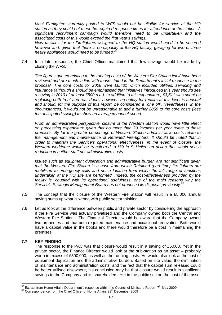Most Firefighters currently posted to WFS would not be eligible for service at the HQ station as they could not meet the required response times for attendance at the station. A significant recruitment campaign would therefore need to be undertaken and the associated costs of this would exceed the first year's savings.

New facilities for the Firefighters assigned to the HQ station would need to be secured however and, given that there is no capacity at the HQ facility, garaging for two or three heavy appliances would need to be funded.<sup>96</sup>

7.4 In a later response, the Chief Officer maintained that few savings would be made by closing the WFS:

The figures quoted relating to the running costs of the Western Fire Station itself have been reviewed and are much in line with those stated in the Department's initial response to the proposal. The core costs for 2008 were £6,431 which included utilities, servicing and insurance (although it should be emphasised that initiatives introduced this year should see a saving in 2010 of at least £500 p.a.). In addition to this expenditure, £3,511 was spent on replacing both front and rear doors; however, an outlay for repairs at this level is unusual and should, for the purpose of this report, be considered a `one off'. Nevertheless, in the circumstances, it would not be unreasonable to add a further £850 to the core costs (less the anticipated saving) to show an averaged annual spend.

From an administrative perspective, closure of the Western Station would have little effect on processing expenditure given that no more than 20 invoices per year relate to these premises. By far the greater percentage of Western Station administrative costs relate to the management and maintenance of Retained Fire-fighters. It should be noted that in order to maintain the Service's operational effectiveness, in the event of closure, the Western workforce would be transferred to HQ in St.Helier; an action that would see a reduction in neither staff nor administrative costs.

Issues such as equipment duplication and administrative burden are not significant given that the Western Fire Station is a base from which Retained (part-time) fire-fighters are mobilised to emergency calls and not a location from which the full range of functions undertaken at the HQ site are performed. Indeed, the cost-effectiveness provided by the facility is, coupled with its operational usefulness, one of the main reasons why the Service's Strategic Management Board has not proposed its disposal previously.<sup>97</sup>

- 7.5 The concept that the closure of the Western Fire Station will result in a £5,000 annual saving sums up what is wrong with public sector thinking.
- 7.6 Let us look at the difference between public and private sector by considering the approach if the Fire Service was actually privatised and the Company owned both the Central and Western Fire Stations. The Financial Director would be aware that the Company owned two properties and that both required maintenance and occasional renovation. Both would have a capital value in the books and there would therefore be a cost in maintaining the premises.

### **7.7 KEY FINDING**

The response to the PAC was that closure would result in a saving of £5,000. Yet in the private sector, the Finance Director would look at the sub-station as an asset – probably worth in excess of £500,000, as well as the running costs. He would also look at the cost of equipment duplication and the administrative burden. Based on site value, the elimination of maintenance and administration costs, and the fact that the capital sum released could be better utilised elsewhere, his conclusion may be that closure would result in significant savings to the Company and its shareholders. Yet in the public sector, the cost of the asset

 $\overline{a}$  $96$  Extract from Home Affairs Department's response within the Council of Ministers Report  $7<sup>th</sup>$  May 2009

<sup>&</sup>lt;sup>97</sup> Correspondence from the Chief Officer of Home Affairs 29<sup>th</sup> December 2009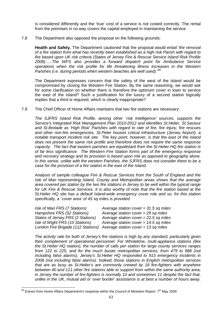is considered differently and the 'true' cost of a service is not costed correctly. The rental from the premises in no way covers the capital employed in maintaining the service.

#### 7.8 The Department also opposed the proposal on the following grounds:

**Health and Safety.** The Department cautioned that the proposal would entail 'the removal of a fire station from what has recently been established as a high risk Parish with regard to fire based upon UK risk criteria (States of Jersey Fire & Rescue Service Island Risk Profile 2008)…..The WFS also provides a forward dispatch point for Ambulance Service operations when the risk profile for life threatening illness increases in the Western Parishes (i.e. during periods when western beaches are well used).  $98$ 

The Department expresses concern that the safety of the west of the Island would be compromised by closing the Western Fire Station. By the same reasoning, we would ask for some clarification on whether there is therefore the optimum cover in town to service the east of the Island? Such a justification for the luxury of a second station logically implies that a third is required, which is clearly inappropriate?

7.9 The Chief Officer of Home Affairs maintains that two fire stations are necessary:

The SJFRS Island Risk Profile, among other `risk intelligence' sources, supports the Service's Integrated Risk Management Plan 2010-2012 and identifies St.Helier, St.Saviour and St.Brelade as 'High Risk' Parishes with regard to rate of fire, fire injury, fire rescues and other non-fire emergencies. St.Peter houses critical infrastructure (Jersey Airport), a notable transport incident risk site. The key point, however, is that the east of the Island does not present the same risk profile and therefore does not require the same response capacity. The fact that eastern parishes are equidistant from the St.Helier HQ fire station is of far less significance. The Western Fire Station forms part of the emergency response and recovery strategy and its provision is based upon risk as opposed to geography alone. In this sense, unlike with the western Parishes, the SJFRS does not consider there to be a case for the provision of a fire station in the east of the Island.

Analysis of sample colleague Fire & Rescue Services from the South of England and the Isle of Man representing Island, County and Metropolitan areas shows that the average area covered per station by the two fire stations in Jersey to be well within the typical range for UK Fire & Rescue Services. It is also worthy of note that the fire station based at the St.Helier HQ site has a default Island-wide emergency cover role and so, for this station specifically, a `cover area' of 45 sq miles is provided.

| Isle of Man FRS (7 Stations)       | Average station cover = $31.5$ sq miles |
|------------------------------------|-----------------------------------------|
| Hampshire FRS (52 Stations)        | Average station cover = $29$ sq miles   |
| States of Jersey FRS (2 Stations)  | Average station cover = $22.5$ sq miles |
| Isle of Wight FRS (10 Stations)    | Average station cover = $14.5$ sq miles |
| London Fire Brigade (112 Stations) | Average station cover = $13$ sq miles   |

The activity rate for both of Jersey's fire stations is high by any standard, particularly given their complement of operational personnel. For Wholetime, multi-appliance stations (like the St.Helier HQ station), the number of calls per station for large county services ranges from 122 to 225, and for the much busier metropolitan services, from 479 to 988 (not including false alarms); Jersey's St.Helier HQ responded to 913 emergency incidents in 2008 (not including false alarms). Indeed, those stations in English metropolitan services that are as busy as St.Helier's are commonly crewed by 18 fire-fighters with anywhere between 40 and 111 other fire stations able to support from within the same authority area; in Jersey the number of fire-fighters is normally 10 and sometimes 11 despite the fact that, unlike in the UK, mutual aid or 'over border' assistance is at best a number of hours away.

 $\overline{\phantom{a}}$  $^{98}$  Extract from Home Affairs Department's response within the Council of Ministers Report  $7^{\text{th}}$  May 2009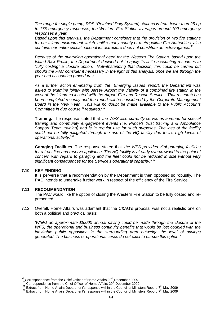The range for single pump, RDS (Retained Duty System) stations is from fewer than 25 up to 175 emergency responses; the Western Fire Station averages around 100 emergency responses a year.

Based upon this analysis, the Department considers that the provision of two fire stations for our Island environment which, unlike many county or metropolitan Fire Authorities, also contains our entire critical national infrastructure does not constitute an extravagance.<sup>99</sup>

Because of the overriding operational need for the Western Fire Station, based upon the Island Risk Profile, the Department decided not to apply its finite accounting resources to "fully costing" a closure option. Notwithstanding that decision, this could be carried out should the PAC consider it necessary in the light of this analysis, once we are through the year end accounting procedures.

As a further action emanating from the `Emerging Issues' report, the Department was asked to examine jointly with Jersey Airport the viability of a combined fire station in the west of the island co-located with the Airport Fire and Rescue Service. That research has been completed recently and the report will be considered by the Corporate Management Board in the New Year. This will no doubt be made available to the Public Accounts Committee in due course if required.<sup>100</sup>

**Training.** The response stated that 'the WFS also currently serves as a venue for special training and community engagement events (i.e. Prince's trust training and Ambulance Support Team training) and is in regular use for such purposes. The loss of the facility could not be fully mitigated through the use of the HQ facility due to it's high levels of operational activity.<sup>101</sup>

**Garaging Facilities.** The response stated that 'the WFS provides vital garaging facilities for a front line and reserve appliance. The HQ facility is already overcrowded to the point of concern with regard to garaging and the fleet could not be reduced in size without very significant consequences for the Service's operational capacity.<sup>102</sup>

#### **7.10 KEY FINDING**

 $\overline{\phantom{a}}$ 

It is perverse that a recommendation by the Department is then opposed so robustly. The PAC intends to undertake further work in respect of the efficiency of the Fire Service.

#### **7.11 RECOMMENDATION**

The PAC would like the option of closing the Western Fire Station to be fully costed and represented.

7.12 Overall, Home Affairs was adamant that the C&AG's proposal was not a realistic one on both a political and practical basis:

'Whilst an approximate £5,000 annual saving could be made through the closure of the WFS, the operational and business continuity benefits that would be lost coupled with the inevitable public opposition in the surrounding area outweigh the level of savings generated. The business or operational cases do not exist to pursue this option.'

 $99$  Correspondence from the Chief Officer of Home Affairs 29<sup>th</sup> December 2009

Correspondence from the Chief Officer of Home Affairs 29<sup>th</sup> December 2009

 $101$  Extract from Home Affairs Department's response within the Council of Ministers Report  $7<sup>th</sup>$  May 2009

<sup>102</sup> Extract from Home Affairs Department's response within the Council of Ministers Report 7<sup>th</sup> May 2009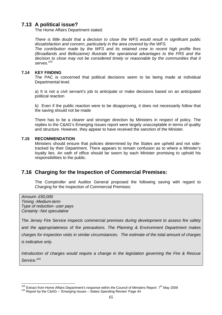## **7.13 A political issue?**

The Home Affairs Department stated:

There is little doubt that a decision to close the WFS would result in significant public dissatisfaction and concern, particularly in the area covered by the WFS. The contribution made by the WFS and its retained crew to recent high profile fires (Broadlands and Bellozanne) illustrate the operational advantages to the FRS and the decision to close may not be considered timely or reasonable by the communities that it serves.<sup>103</sup>

#### **7.14 KEY FINDING**

The PAC is concerned that political decisions seem to be being made at individual Departmental level.

a) It is not a civil servant's job to anticipate or make decisions based on an anticipated political reaction

b) Even if the public reaction were to be disapproving, it does not necessarily follow that the saving should not be made

There has to be a clearer and stronger direction by Ministers in respect of policy. The replies to the C&AG's Emerging Issues report were largely unacceptable in terms of quality and structure. However, they appear to have received the sanction of the Minister.

#### **7.15 RECOMMENDATION**

Ministers should ensure that policies determined by the States are upheld and not sidetracked by their Department. There appears to remain confusion as to where a Minister's loyalty lies. An oath of office should be sworn by each Minister promising to uphold his responsibilities to the public.

## **7.16 Charging for the Inspection of Commercial Premises:**

The Comptroller and Auditor General proposed the following saving with regard to Charging for the Inspection of Commercial Premises:

Amount- £50,000 Timing -Medium-term Type of reduction- user pays Certainty -Not speculative

The Jersey Fire Service inspects commercial premises during development to assess fire safety and the appropriateness of fire precautions. The Planning & Environment Department makes charges for inspection visits in similar circumstances. The estimate of the total amount of charges is indicative only.

Introduction of charges would require a change in the legislation governing the Fire & Rescue Service.<sup>104</sup>

 $\overline{a}$ <sup>103</sup> Extract from Home Affairs Department's response within the Council of Ministers Report  $7<sup>th</sup>$  May 2009

<sup>&</sup>lt;sup>104</sup> Report by the C&AG - 'Emerging Issues - States Spending Review' Page 44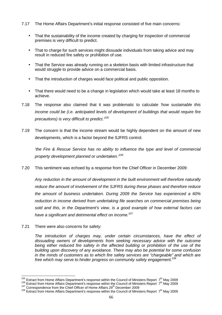- 7.17 The Home Affairs Department's initial response consisted of five main concerns:
	- That the sustainability of the income created by charging for inspection of commercial premises is very difficult to predict.
	- That to charge for such services might dissuade individuals from taking advice and may result in reduced fire safety or prohibition of use.
	- That the Service was already running on a skeleton basis with limited infrastructure that would struggle to provide advice on a commercial basis.
	- That the introduction of charges would face political and public opposition.
	- That there would need to be a change in legislation which would take at least 18 months to achieve.
- 7.18 The response also claimed that it was problematic to calculate 'how sustainable this income could be (i.e. anticipated levels of development of buildings that would require fire precautions) is very difficult to predict.'<sup>105</sup>
- 7.19 The concern is that the income stream would be highly dependent on the amount of new developments, which is a factor beyond the SJFRS control.

'the Fire & Rescue Service has no ability to influence the type and level of commercial property development planned or undertaken.<sup>106</sup>

7.20 This sentiment was echoed by a response from the Chief Officer in December 2009:

Any reduction in the amount of development in the built environment will therefore naturally reduce the amount of involvement of the SJFRS during these phases and therefore reduce the amount of business undertaken. During 2009 the Service has experienced a 60% reduction in income derived from undertaking file searches on commercial premises being sold and this, in the Department's view, is a good example of how external factors can have a significant and detrimental effect on income.<sup>107</sup>

7.21 There were also concerns for safety:

 $\overline{\phantom{a}}$ 

The introduction of charges may, under certain circumstances, have the effect of dissuading owners of developments from seeking necessary advice with the outcome being either reduced fire safety in the affected building or prohibition of the use of the building upon discovery of any avoidance. There may also be potential for some confusion in the minds of customers as to which fire safety services are "chargeable" and which are free which may serve to hinder progress on community safety engagement.<sup>108</sup>

<sup>&</sup>lt;sup>105</sup> Extract from Home Affairs Department's response within the Council of Ministers Report  $7<sup>th</sup>$  May 2009

<sup>106</sup> Extract from Home Affairs Department's response within the Council of Ministers Report 7<sup>th</sup> May 2009

<sup>107</sup> Correspondence from the Chief Officer of Home Affairs 29<sup>th</sup> December 2009

 $108$  Extract from Home Affairs Department's response within the Council of Ministers Report  $7<sup>th</sup>$  May 2009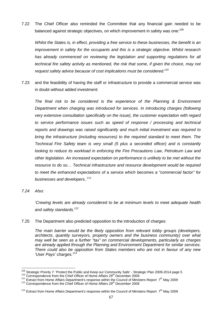7.22 The Chief Officer also reminded the Committee that any financial gain needed to be balanced against strategic objectives, on which improvement in safety was one:<sup>109</sup>

Whilst the States is, in effect, providing a free service to these businesses, the benefit is an improvement in safety for the occupants and this is a strategic objective. Whilst research has already commenced on reviewing the legislation and supporting regulations for all technical fire safety activity as mentioned, the risk that some, if given the choice, may not request safety advice because of cost implications must be considered.<sup>110</sup>

7.23 and the feasibility of having the staff or infrastructure to provide a commercial service was in doubt without added investment:

The final risk to be considered is the experience of the Planning & Environment Department when charging was introduced for services. In introducing charges (following very extensive consultation specifically on the issue), the customer expectation with regard to service performance issues such as speed of response / processing and technical reports and drawings was raised significantly and much initial investment was required to bring the infrastructure (including resources) to the required standard to meet them. The Technical Fire Safety team is very small (5 plus a seconded officer) and is constantly looking to reduce its workload in enforcing the Fire Precautions Law, Petroleum Law and other legislation. An increased expectation on performance is unlikely to be met without the resource to do so… Technical infrastructure and resource development would be required to meet the enhanced expectations of a service which becomes a "commercial factor" for businesses and developers..<sup>111</sup>

7.24 Also:

'Crewing levels are already considered to be at minimum levels to meet adequate health and safety standards. $112$ 

7.25 The Department also predicted opposition to the introduction of charges:

The main barrier would be the likely opposition from relevant lobby groups (developers, architects, quantity surveyors, property owners and the business community) over what may well be seen as a further "tax" on commercial developments, particularly as charges are already applied through the Planning and Environment Department for similar services. There could also be opposition from States members who are not in favour of any new 'User Pays' charges.<sup>113</sup>

 $\overline{\phantom{a}}$ <sup>109</sup> Strategic Priority 7: 'Protect the Public and Keep our Community Safe' - Strategic Plan 2009-2014 page 5

<sup>&</sup>lt;sup>110</sup> Correspondence from the Chief Officer of Home Affairs 29<sup>th</sup> December 2009

<sup>&</sup>lt;sup>111</sup> Extract from Home Affairs Department's response within the Council of Ministers Report  $7<sup>th</sup>$  May 2009

<sup>112</sup> Correspondence from the Chief Officer of Home Affairs 29<sup>th</sup> December 2009

<sup>&</sup>lt;sup>113</sup> Extract from Home Affairs Department's response within the Council of Ministers Report  $7<sup>th</sup>$  May 2009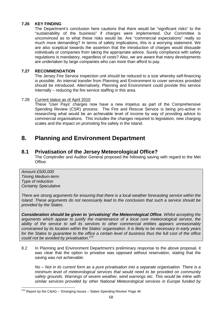### **7.26 KEY FINDING**

The Department's conclusion here cautions that there would be "significant risks" to the "sustainability of the business" if charges were implemented. Our Committee is unconvinced as to what these risks would be. Are "commercial expectations" really so much more demanding? In terms of safety implications, this is a worrying statement. We are also sceptical towards the assertion that the introduction of charges would dissuade individuals or companies from taking the appropriate advice. Surely compliance with safety regulations is mandatory, regardless of costs? Also, we are aware that many developments are undertaken by large companies who can more than afford to pay.

### **7.27 RECOMMENDATION**

The Jersey Fire Service inspection unit should be reduced to a size whereby self-financing is possible. An internal transfer from Planning and Environment to cover services provided should be introduced. Alternatively, Planning and Environment could provide this service internally – reducing the fire service staffing in this area.

#### 7.28 Current status as of April 2010

These 'User Pays' charges now have a new impetus as part of the Comprehensive Spending Review (CSR) process. The Fire and Rescue Service is being pro-active in researching what would be an achievable level of income by way of providing advice to commercial organisations. This includes the changes required to legislation, new charging scales and the impact on promoting fire safety in the Island.

# **8. Planning and Environment Department**

### **8.1 Privatisation of the Jersey Meteorological Office?**

The Comptroller and Auditor General proposed the following saving with regard to the Met Office:

Amount £500,000 Timing Medium-term Type of reduction Certainty Speculative

There are strong arguments for ensuring that there is a local weather forecasting service within the Island. These arguments do not necessarily lead to the conclusion that such a service should be provided by the States.

**Consideration should be given to 'privatising' the Meteorological Office**. Whilst accepting the arguments which appear to justify the maintenance of a local core meteorological service, the ability of the service to sell its services to other commercial entities appears unreasonably constrained by its location within the States' organisation. It is likely to be necessary in early years for the States to guarantee to the office a certain level of business thus the full cost of the office could not be avoided by privatisation.<sup>114</sup>

8.2 In Planning and Environment Department's preliminary response to the above proposal, it was clear that the option to privatise was opposed without reservation, stating that the saving was not achievable:

No – Not in its current form as a pure privatisation into a separate organisation. There is a minimum level of meteorological services that would need to be provided on community safety grounds. Warnings of severe weather, wind warnings etc. This would be inline with similar services provided by other National Meteorological services in Europe funded by

 $\overline{\phantom{a}}$  $114$  Report by the C&AG – 'Emerging Issues – States Spending Review' Page 46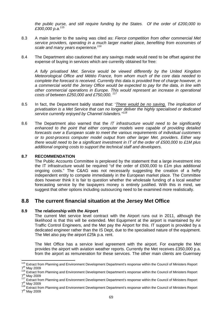the public purse, and still require funding by the States. Of the order of £200,000 to £300,000 p.a. $^{115}$ 

- 8.3 A main barrier to the saving was cited as: Fierce competition from other commercial Met service providers, operating in a much larger market place, benefiting from economies of scale and many years experience.<sup>116</sup>
- 8.4 The Department also cautioned that any savings made would need to be offset against the expense of buying in services which are currently obtained for free:

A fully privatised Met. Service would be viewed differently by the United Kingdom Meteorological Office and Météo France, from whom much of the core data needed to complete the forecast is received. Currently this data is provided free of charge however, in a commercial world the Jersey Office would be expected to pay for the data, in line with other commercial operations in Europe. This would represent an increase in operational costs of between £250,000 and £750,000.<sup>117</sup>

- 8.5 In fact, the Department baldly stated that: 'There would be no saving. The implication of privatisation is a Met Service that can no longer deliver the highly specialised or dedicated service currently enjoyed by Channel Islanders."<sup>118</sup>
- 8.6 The Department also warned that the IT infrastructure would need to be significantly enhanced to the point that either computer models were capable of providing detailed forecasts over a European scale to meet the various requirements of individual customers or to post-process computer model output from other larger Met. providers. Either way there would need to be a significant investment in IT of the order of £500,000 to £1M plus additional ongoing costs to support the technical staff and developers.

#### **8.7 RECOMMENDATION**

 $\overline{\phantom{a}}$ 

The Public Accounts Committee is perplexed by the statement that a large investment into the IT infrastructure would be required "of the order of £500,000 to £1m plus additional ongoing costs." The C&AG was not necessarily suggesting the creation of a hefty independent entity to compete immediately in the European market place. The Committee does however think it is fair to question whether the wholesale funding of a local weather forecasting service by the taxpayers money is entirely justified. With this in mind, we suggest that other options including outsourcing need to be examined more realistically.

### **8.8 The current financial situation at the Jersey Met Office**

#### **8.9 The relationship with the Airport**

The current Met service level contract with the Airport runs out in 2011, although the likelihood is that this will be extended. Met Equipment at the airport is maintained by Air Traffic Control Engineers, and the Met pay the Airport for this. IT support is provided by a dedicated engineer rather than the IS Dept, due to the specialised nature of the equipment. The Met also pay the airport £25k p.a. rent.

The Met Office has a service level agreement with the airport. For example the Met provides the airport with aviation weather reports. Currently the Met receives £350,000 p.a. from the airport as remuneration for these services. The other main clients are Guernsey

<sup>&</sup>lt;sup>115</sup> Extract from Planning and Environment Development Department's response within the Council of Ministers Report 7<sup>th</sup> May 2009

<sup>&</sup>lt;sup>116</sup> Extract from Planning and Environment Development Department's response within the Council of Ministers Report 7<sup>th</sup> May 2009

<sup>&</sup>lt;sup>117</sup> Extract from Planning and Environment Development Department's response within the Council of Ministers Report 7<sup>th</sup> May 2009

<sup>&</sup>lt;sup>118</sup> Extract from Planning and Environment Development Department's response within the Council of Ministers Report 7<sup>th</sup> May 2009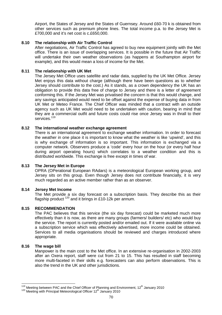Airport, the States of Jersey and the States of Guernsey. Around £60-70 k is obtained from other services such as premium phone lines. The total income p.a. to the Jersey Met is £700,000 and it's net cost is c.£650,000.

#### **8.10 The relationship with Air Traffic Control**

After negotiations, Air Traffic Control has agreed to buy new equipment jointly with the Met office. There is an issue of overlapping services. It is possible in the future that Air Traffic will undertake their own weather observations (as happens at Southampton airport for example), and this would mean a loss of income for the Met.

#### **8.11 The relationship with UK Met**

The Jersey Met Office uses satellite and radar data, supplied by the UK Met Office. Jersey Met enjoys this data without charge (although there have been questions as to whether Jersey should contribute to the cost.) As it stands, as a crown dependency the UK has an obligation to provide this data free of charge to Jersey and there is a letter of agreement conforming this. If the Jersey Met was privatised the concern is that this would change, and any savings anticipated would need to be offset against the expense of buying data in from UK Met or Meteo France. The Chief Officer was minded that a contract with an outside agency such as UK Met would need to be undertaken with caution, bearing in mind that they are a commercial outfit and future costs could rise once Jersey was in thrall to their services.<sup>119</sup>

#### **8.12 The international weather exchange agreement**

There is an international agreement to exchange weather information. In order to forecast the weather in one place it is important to know what the weather is like 'upwind', and this is why exchange of information is so important. This information is exchanged via a computer network. Observers produce a 'code' every hour on the hour (or every half hour during airport operating hours) which correlates to a weather condition and this is distributed worldwide. This exchange is free except in times of war.

#### **8.13 The Jersey Met in Europe**

OPRA (OPerational European RAdars) is a meteorological European working group, and Jersey sits on this group. Even though Jersey does not contribute financially, it is very much regarded as an active member rather than as an observer.

#### **8.14 Jersey Met Income**

The Met provide a six day forecast on a subscription basis. They describe this as their flagship product  $120$  and it brings in £10-12k per annum.

#### **8.15 RECOMMENDATION**

The PAC believes that this service (the six day forecast) could be marketed much more effectively than it is now, as there are many groups (farmers/ builders/ etc) who would buy the service. The report is currently posted and/or emailed out. If it were available online via a subscription service which was effectively advertised, more income could be obtained. Services to all media organisations should be reviewed and charges introduced where appropriate.

#### **8.16 The wage bill**

Manpower is the main cost to the Met office. In an extensive re-organisation in 2002-2003 after an Oxera report, staff were cut from 21 to 15. This has resulted in staff becoming more multi-faceted in their skills e.g. forecasters can also perform observations. This is also the trend in the UK and other jurisdictions.

 $\overline{a}$ <sup>119</sup> Meeting between PAC and the Chief Officer of Planning and Environment, 12<sup>th</sup> January 2010

<sup>120</sup> Meeting with Principal Meteorological Officer 12<sup>th</sup> January 2010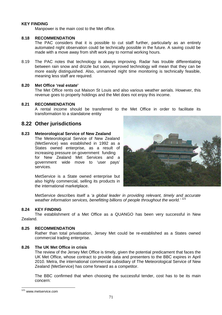# **KEY FINDING**

Manpower is the main cost to the Met office.

# **8.18 RECOMMENDATION**

The PAC considers that it is possible to cut staff further, particularly as an entirely automated night observation could be technically possible in the future. A saving could be made with a move away from shift work pay to normal working hours.

8.19 The PAC notes that technology is always improving. Radar has trouble differentiating between rain snow and drizzle but soon, improved technology will mean that they can be more easily distinguished. Also, unmanned night time monitoring is technically feasible, meaning less staff are required.

# **8.20 Met Office 'real estate'**

The Met Office rents out Maison St Louis and also various weather aerials. However, this revenue goes to property holdings and the Met does not enjoy this income.

# **8.21 RECOMMENDATION**

A rental income should be transferred to the Met Office in order to facilitate its transformation to a standalone entity

# **8.22 Other jurisdictions**

# **8.23 Meteorological Service of New Zealand**

The Meteorological Service of New Zealand (MetService) was established in 1992 as a States owned enterprise, as a result of increasing pressure on government funding for New Zealand Met Services and a government wide move to 'user pays' services.

MetService is a State owned enterprise but also highly commercial, selling its products in the international marketplace.



MetService describes itself a 'a global leader in providing relevant, timely and accurate weather information services, benefitting billions of people throughout the world.<sup>'121</sup>

#### **8.24 KEY FINDING**

The establishment of a Met Office as a QUANGO has been very successful in New Zealand.

# **8.25 RECOMMENDATION**

Rather than total privatisation, Jersey Met could be re-established as a States owned commercial trading enterprise.

#### **8.26 The UK Met Office in crisis**

The review of the Jersey Met Office is timely, given the potential predicament that faces the UK Met Office, whose contract to provide data and presenters to the BBC expires in April 2010. Metra, the international commercial subsidiary of The Meteorological Service of New Zealand (MetService) has come forward as a competitor.

The BBC confirmed that when choosing the successful tender, cost has to be its main concern:

 $\overline{\phantom{a}}$ <sup>121</sup> www.metservice.com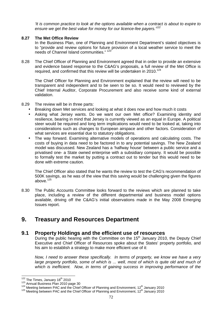'It is common practice to look at the options available when a contract is about to expire to ensure we get the best value for money for our licence-fee payers.<sup>122</sup>

# **8.27 The Met Office Review**

In the Business Plan, one of Planning and Environment Department's stated objectives is to "provide and review options for future provision of a local weather service to meet the needs of Channel Island communities." 123

8.28 The Chief Officer of Planning and Environment agreed that in order to provide an extensive and evidence based response to the C&AG's proposals, a full review of the Met Office is required, and confirmed that this review will be undertaken in 2010.<sup>124</sup>

The Chief Officer for Planning and Environment explained that the review will need to be transparent and independent and to be seen to be so. It would need to reviewed by the Chief Internal Auditor, Corporate Procurement and also receive some kind of external validation.

# 8.29 The review will be in three parts:

- Breaking down Met services and looking at what it does now and how much it costs
- Asking what Jersey wants. Do we want our own Met office? Examining identity and resilience, bearing in mind that Jersey is currently viewed as an equal in Europe. A political steer would be required and long term implications would need to be looked at, taking into considerations such as changes to European airspace and other factors. Consideration of what services are essential due to statutory obligations.
- The way forward. Examining alternative models of operations and calculating costs. The costs of buying in data need to be factored in to any potential savings. The New Zealand model was discussed. New Zealand has a 'halfway house' between a public service and a privatised one- a State owned enterprise with a subsidiary company. It would be possible to formally test the market by putting a contract out to tender but this would need to be done with extreme caution.

The Chief Officer also stated that he wants the review to test the CAG's recommendation of 500K savings, as he was of the view that this saving would be challenging given the figures above. $125$ 

8.30 The Public Accounts Committee looks forward to the reviews which are planned to take place, including a review of the different departmental and business model options available, driving off the C&AG's initial observations made in the May 2008 Emerging Issues report.

# **9. Treasury and Resources Department**

# **9.1 Property Holdings and the efficient use of resources**

During the public hearing with the Committee on the  $15<sup>th</sup>$  January 2010, the Deputy Chief Executive and Chief Officer of Resources spoke about the States' property portfolio, and his aim to establish a strategy to make more efficient use of it:

Now, I need to answer these specifically. In terms of property, we know we have a very large property portfolio, some of which is ... well, most of which is quite old and much of which is inefficient. Now, in terms of gaining success in improving performance of the

 $\overline{\phantom{a}}$ 

 $122$  The Times, January 18<sup>th</sup> 2010

<sup>123</sup> Annual Business Plan 2010 page 30

<sup>&</sup>lt;sup>124</sup> Meeting between PAC and the Chief Officer of Planning and Environment, 12<sup>th</sup> January 2010

<sup>&</sup>lt;sup>125</sup> Meeting between PAC and the Chief Officer of Planning and Environment, 12<sup>th</sup> January 2010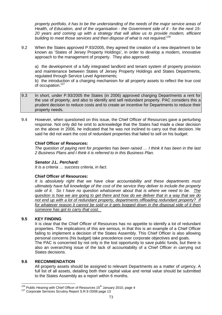property portfolio, it has to be the understanding of the needs of the major service areas of Health, of Education, and of the organisation - the Government side of it - for the next 15- 20 years and coming up with a strategy that will allow us to provide modern, efficient building to meet those services and then dispose of what is not required.<sup>126</sup>

9.2 When the States approved P.93/2005, they agreed the creation of a new department to be known as 'States of Jersey Property Holdings', in order to develop a modern, innovative approach to the management of property. They also approved:

a) the development of a fully integrated landlord and tenant system of property provision and maintenance between States of Jersey Property Holdings and States Departments, regulated through Service Level Agreements;

b) the introduction of a charging mechanism for all property assets to reflect the true cost of occupation.<sup>127</sup>

- 9.3 In short, under P.93/2005 the States (in 2006) approved charging Departments a rent for the use of property, and also to identify and sell redundant property. PAC considers this a prudent decision to reduce costs and to create an incentive for Departments to reduce their property needs.
- 9.4 However, when questioned on this issue, the Chief Officer of Resources gave a perturbing response. Not only did he omit to acknowledge that the States had made a clear decision on the above in 2006, he indicated that he was not inclined to carry out that decision. He said he did not want the cost of redundant properties that failed to sell on his budget:

# **Chief Officer of Resources:**

The question of paying rent for properties has been raised … I think it has been in the last 2 Business Plans and I think it is referred to in this Business Plan.

#### **Senator J.L. Perchard:**

It is a criteria … success criteria, in fact.

#### **Chief Officer of Resources:**

It is absolutely right that we have clear accountability and these departments must ultimately have full knowledge of the cost of the service they deliver to include the property side of it. So I have no question whatsoever about that is where we need to be. The question is how we are going to get there and how do we deliver that in a way that we do not end up with a lot of redundant property, departments offloading redundant property? If for whatever reason it cannot be sold or it gets bogged down in the disposal side of it then someone has got to carry that cost.

# **9.5 KEY FINDING**

It is clear that the Chief Officer of Resources has no appetite to identify a lot of redundant properties. The implications of this are serious, in that this is an example of a Chief Officer failing to implement a decision of the States Assembly. This Chief Officer is also allowing personal concerns (his budget) take precedence over corporate objectives and goals. The PAC is concerned by not only is the lost opportunity to save public funds, but there is also an overarching issue of the lack of accountability of a Chief Officer in carrying out States decisions.

#### **9.6 RECOMMENDATION**

All property assets should be assigned to relevant Departments as a matter of urgency. A full list of all assets, detailing both their capital value and rental value should be submitted to the States Assembly as a report within 6 months.

 $\overline{a}$  $126$  Public Hearing with Chief Officer of Resources 15<sup>th</sup> January 2010, page 4

<sup>&</sup>lt;sup>127</sup> Corporate Services Scrutiny Report S.R.9 / 2008 page 13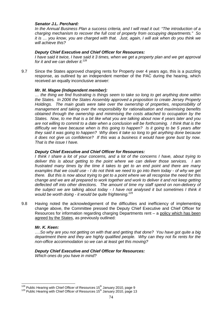# **Senator J.L. Perchard:**

In the Annual Business Plan a success criteria, and I will read it out: "The introduction of a charging mechanism to recover the full cost of property from occupying departments." So it is … you know, you are charged with that. Just, again, I will ask when do you think we will achieve this?

#### **Deputy Chief Executive and Chief Officer for Resources:**

I have said it twice, I have said it 3 times, when we get a property plan and we get approval for it and we can deliver it. $128$ 

9.7 Since the States approved charging rents for Property over 4 years ago, this is a puzzling response, as outlined by an independent member of the PAC during the hearing, which received an equally inconclusive answer:

# **Mr. M. Magee (Independent member):**

… the thing we find frustrating is things seem to take so long to get anything done within the States. In 2006 the States Assembly approved a proposition to create Jersey Property Holdings. The main goals were take over the ownership of properties, responsibility of management and taking over the responsibility for rationalisation and maximising benefits obtained through the ownership and minimising the costs attached to occupation by the States. Now, to me that is a bit like what you are talking about now 4 years later and you are not willing to commit to a date when a conclusion will be forthcoming. I think that is the difficulty we have because when is this going to happen? Is it going to be 5 years after they said it was going to happen? Why does it take so long to get anything done because it does not give us confidence? If this was a business it would have gone bust by now. That is the issue I have.

# **Deputy Chief Executive and Chief Officer for Resources:**

I think I share a lot of your concerns, and a lot of the concerns I have, about trying to deliver this is about getting to the point where we can deliver those services. I am frustrated many times by the time it takes to get to an end point and there are many examples that we could use - I do not think we need to go into them today - of why we get there. But this is now about trying to get to a point where we all recognise the need for this change and we are all prepared to work together and work to deliver it and not keep getting deflected off into other directions. The amount of time my staff spend on non-delivery of the subject we are talking about today - I have not analysed it but sometimes I think it would be worth doing - it would be quite frightening.<sup>129</sup>

9.8 Having noted the acknowledgement of the difficulties and inefficiency of implementing change above, the Committee pressed the Deputy Chief Executive and Chief Officer for Resources for information regarding charging Departments rent – a policy which has been agreed by the States, as previously outlined:

# **Mr. K. Keen:**

 $\overline{a}$ 

….So why are you not getting on with that and getting that done? You have got quite a big department there and they are highly qualified people. Why can they not fix rents for the non-office accommodation so we can at least get this moving?

# **Deputy Chief Executive and Chief Officer for Resources:**

Which ones do you have in mind?

 $128$  Public Hearing with Chief Officer of Resources 15<sup>th</sup> January 2010, page 9

 $129$  Public Hearing with Chief Officer of Resources  $15<sup>th</sup>$  January 2010, page 13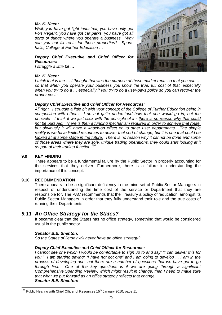# **Mr. K. Keen:**

Well, you have got light industrial; you have only got Fort Regent, you have got car parks, you have got all sorts of things where you operate a business. Why can you not fix rents for those properties? Sports halls, College of Further Education …

# **Deputy Chief Executive and Chief Officer for Resources:**

I struggle a little bit …

# **Mr. K. Keen:**



I think that is the … I thought that was the purpose of these market rents so that you can … so that when you operate your business you know the true, full cost of that, especially when you try to do a … especially if you try to do a user-pays policy so you can recover the proper costs.

# **Deputy Chief Executive and Chief Officer for Resources:**

All right. I struggle a little bit with your concept of the College of Further Education being in competition with others. I do not quite understand how that one would go in, but the principle - I think if we just stick with the principle of it **-** there is no reason why that could not be pursued. There is then a funding mechanism required in order to achieve that route, but obviously it will have a knock-on effect on to other user departments. The simple reality is we have limited resources to deliver that sort of change, but it is one that could be looked at at some stage in the future. There is no reason why it cannot be done and some of those areas where they are sole, unique trading operations, they could start looking at it as part of their trading function.<sup>130</sup>

#### **9.9 KEY FINDING**

There appears to be a fundamental failure by the Public Sector in properly accounting for the services that they deliver. Furthermore, there is a failure in understanding the importance of this concept.

#### **9.10 RECOMMENDATION**

There appears to be a significant deficiency in the mind-set of Public Sector Managers in respect of understanding the time cost of the service or Department that they are responsible for. The PAC recommends that the Treasury a policy of 'education' amongst its Public Sector Managers in order that they fully understand their role and the true costs of running their Departments.

# **9.11 An Office Strategy for the States?**

It became clear that the States has no office strategy, something that would be considered usual in the public sector.

#### **Senator B.E. Shenton:**

So the States of Jersey will never have an office strategy?

#### **Deputy Chief Executive and Chief Officer for Resources:**

I cannot see one which I would be comfortable to sign up to and say: "I can deliver this for you." I am starting saying: "I have not got one" and I am going to develop ... I am in the process of developing one, but there are a number of questions that we have got to go through first. One of the key questions is if we are going through a significant Comprehensive Spending Review, which might result in change, then I need to make sure that what we put forward as an office strategy reflects that change. **Senator B.E. Shenton:** 

 $\overline{\phantom{a}}$  $130$  Public Hearing with Chief Officer of Resources 15<sup>th</sup> January 2010, page 11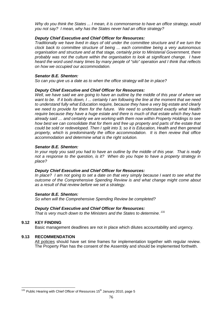Why do you think the States ... I mean, it is commonsense to have an office strategy, would you not say? I mean, why has the States never had an office strategy?

# **Deputy Chief Executive and Chief Officer for Resources:**

Traditionally we have lived in days of old under the committee structure and if we turn the clock back to committee structure of being ... each committee being a very autonomous organisation and structure and at that stage, certainly prior to Ministerial Government, there probably was not the culture within the organisation to look at significant change. I have heard the word used many times by many people of "silo" operation and I think that reflects on how we occupied our accommodation.

# **Senator B.E. Shenton:**

So can you give us a date as to when the office strategy will be in place?

# **Deputy Chief Executive and Chief Officer for Resources:**

Well, we have said we are going to have an outline by the middle of this year of where we want to be. If it boils down, I ... certainly I am following the line at the moment that we need to understand fully what Education require, because they have a very big estate and clearly we need to provide for them for the future. We need to understand exactly what Health require because they have a huge estate and there is much of that estate which they have already said … and certainly we are working with them now within Property Holdings to see how best we can consolidate that for them and free up property and parts of the estate that could be sold or redeveloped. Then I split into 3, so it is Education, Health and then general property, which is predominantly the office accommodation. It is then review that office accommodation and determine what is the right solution.

# **Senator B.E. Shenton:**

In your reply you said you had to have an outline by the middle of this year. That is really not a response to the question, is it? When do you hope to have a property strategy in place?

#### **Deputy Chief Executive and Chief Officer for Resources:**

In place? I am not going to set a date on that very simply because I want to see what the outcome of the Comprehensive Spending Review is and what change might come about as a result of that review before we set a strategy.

#### **Senator B.E. Shenton:**

So when will the Comprehensive Spending Review be completed?

#### **Deputy Chief Executive and Chief Officer for Resources:**

That is very much down to the Ministers and the States to determine.<sup>131</sup>

# **9.12 KEY FINDING**

Basic management deadlines are not in place which dilutes accountability and urgency.

#### **9.13 RECOMMENDATION**

All policies should have set time frames for implementation together with regular review. The Property Plan has the consent of the Assembly and should be implemented forthwith.

 $\overline{\phantom{a}}$  $131$  Public Hearing with Chief Officer of Resources 15<sup>th</sup> January 2010, page 5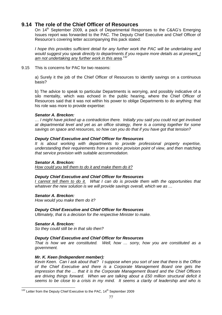# **9.14 The role of the Chief Officer of Resources**

On 14<sup>th</sup> September 2009, a pack of Departmental Responses to the C&AG's Emerging Issues report was forwarded to the PAC. The Deputy Chief Executive and Chief Officer of Resource's covering letter accompanying this pack stated:

I hope this provides sufficient detail for any further work the PAC will be undertaking and would suggest you speak directly to departments if you require more details as at present. I am not undertaking any further work in this area.<sup>132</sup>

9.15 This is concerns for PAC for two reasons:

a) Surely it the job of the Chief Officer of Resources to identify savings on a continuous basis?

b) The advice to speak to particular Departments is worrying, and possibly indicative of a silo mentality, which was echoed in the public hearing, where the Chief Officer of Resources said that it was not within his power to oblige Departments to do anything: that his role was more to provide expertise:

# **Senator A. Breckon:**

… I might have picked up a contradiction there. Initially you said you could not get involved at departmental level and yet as an office strategy, there is a coming together for some savings on space and resources, so how can you do that if you have got that tension?

# **Deputy Chief Executive and Chief Officer for Resources**

It is about working with departments to provide professional property expertise, understanding their requirements from a service provision point of view, and then matching that service provision with suitable accommodation.

# **Senator A. Breckon:**

How could you tell them to do it and make them do it?

# **Deputy Chief Executive and Chief Officer for Resources**

I cannot tell them to do it. What I can do is provide them with the opportunities that whatever the new solution is we will provide savings overall, which we as ...

**Senator A. Breckon:**  How would you make them do it?

# **Deputy Chief Executive and Chief Officer for Resources**

Ultimately, that is a decision for the respective Minister to make.

**Senator A. Breckon:**  So they could still be in that silo then?

# **Deputy Chief Executive and Chief Officer for Resources**

That is how we are constituted. Well, how … sorry, how you are constituted as a government.

# **Mr. K. Keen (Independent member):**

Kevin Keen. Can I ask about that? I suppose when you sort of see that there is the Office of the Chief Executive and there is a Corporate Management Board one gets the impression that the … that it is the Corporate Management Board and the Chief Officers are driving things forward. When we are talking about a £50 million structural deficit it seems to be close to a crisis in my mind. It seems a clarity of leadership and who is

 $\overline{\phantom{a}}$  $132$  Letter from the Deputy Chief Executive to the PAC, 14<sup>th</sup> September 2009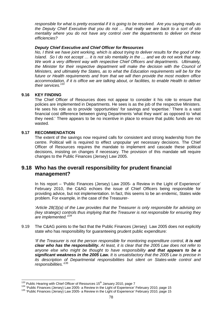responsible for what is pretty essential if it is going to be resolved. Are you saying really as the Deputy Chief Executive that you do not … that really we are back to a sort of silo mentality where you do not have any control over the departments to deliver on these efficiencies?

# **Deputy Chief Executive and Chief Officer for Resources**

No, I think we have joint working, which is about trying to deliver results for the good of the Island. So I do not accept … it is not silo mentality in the … and we do not work that way. We work a very different way with respective Chief Officers and departments. Ultimately, the Minister for their respective department will make the decision with the Council of Ministers, and ultimately the States, as to what the Education requirements will be for the future or Health requirements and from that we will then provide the most modern office accommodation, if it is office we are talking about, or facilities, to enable Health to deliver their services.<sup>133</sup>

# **9.16 KEY FINDING**

The Chief Officer of Resources does not appear to consider it his role to ensure that policies are implemented in Departments. He sees is as the job of the respective Ministers. He sees his role as to provide 'opportunities' for savings and 'expertise.' There is a vast financial cost difference between giving Departments 'what they want' as opposed to 'what they need.' There appears to be no incentive in place to ensure that public funds are not wasted.

# **9.17 RECOMMENDATION**

The extent of the savings now required calls for consistent and strong leadership from the centre. Political will is required to effect unpopular yet necessary decisions. The Chief Officer of Resources requires the mandate to implement and cascade these political decisions, insisting on changes if necessary. The provision of this mandate will require changes to the Public Finances (Jersey) Law 2005.

# **9.18 Who has the overall responsibility for prudent financial management?**

In his report – 'Public Finances (Jersey) Law 2005- a Review in the Light of Experience' February 2010, the C&AG echoes the issue of Chief Officers being responsible for providing advice, but not implementation. In fact, this seems to be an endemic, States wide problem. For example, in the case of the Treasurer-

'Article 28(3)(a) of the Law provides that the Treasurer is only responsible for advising on (key strategic) controls thus implying that the Treasurer is not responsible for ensuring they are implemented.<sup>134</sup>

9.19 The C&AG points to the fact that the Public Finances (Jersey) Law 2005 does not explicitly state who has responsibility for guaranteeing prudent public expenditure:

'If the Treasurer is not the person responsible for monitoring expenditure control, **it is not clear who has the responsibility.** At least, it is clear that the 2005 Law does not refer to anyone else who might be thought to have responsibility **and that appears to be a significant weakness in the 2005 Law.** It is unsatisfactory that the 2005 Law is precise in its description of Departmental responsibilities but silent on States-wide control and responsibilities.<sup>'135</sup>

 $\overline{\phantom{a}}$  $133$  Public Hearing with Chief Officer of Resources 15<sup>th</sup> January 2010, page 7

<sup>134 &#</sup>x27;Public Finances (Jersey) Law 2005- a Review in the Light of Experience' February 2010, page 15

<sup>135</sup> 'Public Finances (Jersey) Law 2005- a Review in the Light of Experience' February 2010, page 15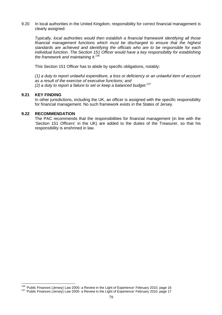9.20 In local authorities in the United Kingdom, responsibility for correct financial management is clearly assigned:

Typically, local authorities would then establish a financial framework identifying all those financial management functions which must be discharged to ensure that the highest standards are achieved and identifying the officials who are to be responsible for each individual function. The Section 151 Officer would have a key responsibility for establishing the framework and maintaining it.<sup>136</sup>

This Section 151 Officer has to abide by specific obligations, notably:

(1) a duty to report unlawful expenditure, a loss or deficiency or an unlawful item of account as a result of the exercise of executive functions; and (2) a duty to report a failure to set or keep a balanced budget.<sup>137</sup>

#### **9.21 KEY FINDING**

 $\overline{a}$ 

In other jurisdictions, including the UK, an officer is assigned with the specific responsibility for financial management. No such framework exists in the States of Jersey.

# **9.22 RECOMMENDATION**

The PAC recommends that the responsibilities for financial management (in line with the 'Section 151 Officers' in the UK) are added to the duties of the Treasurer, so that his responsibility is enshrined in law.

<sup>&</sup>lt;sup>136</sup> 'Public Finances (Jersey) Law 2005- a Review in the Light of Experience' February 2010, page 16

<sup>137 &#</sup>x27;Public Finances (Jersey) Law 2005- a Review in the Light of Experience' February 2010, page 17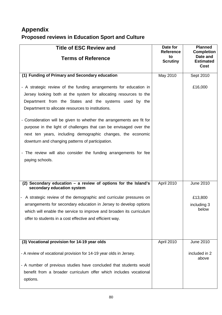# **Appendix Proposed reviews in Education Sport and Culture**

| <b>Title of ESC Review and</b><br><b>Terms of Reference</b>                                                                                                                                                                                                                                                                                                                                                                                                                                                                                                                                                   | Date for<br><b>Reference</b><br>to<br><b>Scrutiny</b> | <b>Planned</b><br><b>Completion</b><br>Date and<br><b>Estimated</b><br>Cost |
|---------------------------------------------------------------------------------------------------------------------------------------------------------------------------------------------------------------------------------------------------------------------------------------------------------------------------------------------------------------------------------------------------------------------------------------------------------------------------------------------------------------------------------------------------------------------------------------------------------------|-------------------------------------------------------|-----------------------------------------------------------------------------|
| (1) Funding of Primary and Secondary education                                                                                                                                                                                                                                                                                                                                                                                                                                                                                                                                                                | May 2010                                              | Sept 2010                                                                   |
| - A strategic review of the funding arrangements for education in<br>Jersey looking both at the system for allocating resources to the<br>Department from the States and the systems used by the<br>Department to allocate resources to institutions.<br>- Consideration will be given to whether the arrangements are fit for<br>purpose in the light of challenges that can be envisaged over the<br>next ten years, including demographic changes, the economic<br>downturn and changing patterns of participation.<br>- The review will also consider the funding arrangements for fee<br>paying schools. |                                                       | £16,000                                                                     |
| (2) Secondary education $-$ a review of options for the Island's<br>secondary education system                                                                                                                                                                                                                                                                                                                                                                                                                                                                                                                | April 2010                                            | <b>June 2010</b>                                                            |
| - A strategic review of the demographic and curricular pressures on<br>arrangements for secondary education in Jersey to develop options<br>which will enable the service to improve and broaden its curriculum<br>offer to students in a cost effective and efficient way.                                                                                                                                                                                                                                                                                                                                   |                                                       | £13,800<br>including 3<br>below                                             |
| (3) Vocational provision for 14-19 year olds                                                                                                                                                                                                                                                                                                                                                                                                                                                                                                                                                                  | April 2010                                            | <b>June 2010</b>                                                            |
| - A review of vocational provision for 14-19 year olds in Jersey.<br>- A number of previous studies have concluded that students would<br>benefit from a broader curriculum offer which includes vocational<br>options.                                                                                                                                                                                                                                                                                                                                                                                       |                                                       | included in 2<br>above                                                      |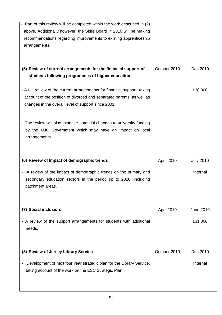| - Part of this review will be completed within the work described in (2)                          |              |                  |
|---------------------------------------------------------------------------------------------------|--------------|------------------|
| above. Additionally however, the Skills Board in 2010 will be making                              |              |                  |
| recommendations regarding improvements to existing apprenticeship                                 |              |                  |
| arrangements.                                                                                     |              |                  |
|                                                                                                   |              |                  |
|                                                                                                   |              |                  |
| (5) Review of current arrangements for the financial support of                                   | October 2010 | Dec 2010         |
| students following programmes of higher education                                                 |              |                  |
|                                                                                                   |              |                  |
| - A full review of the current arrangements for financial support, taking                         |              | £38,000          |
| account of the position of divorced and separated parents, as well as                             |              |                  |
| changes in the overall level of support since 2001.                                               |              |                  |
|                                                                                                   |              |                  |
|                                                                                                   |              |                  |
| - The review will also examine potential changes to university funding                            |              |                  |
| by the U.K. Government which may have an impact on local                                          |              |                  |
| arrangements.                                                                                     |              |                  |
|                                                                                                   |              |                  |
|                                                                                                   |              |                  |
| (6) Review of Impact of demographic trends                                                        | April 2010   | <b>July 2010</b> |
|                                                                                                   |              |                  |
| - A review of the impact of demographic trends on the primary and                                 |              | Internal         |
| secondary education sectors in the period up to 2020, including                                   |              |                  |
| catchment areas.                                                                                  |              |                  |
|                                                                                                   |              |                  |
|                                                                                                   |              |                  |
|                                                                                                   |              |                  |
| (7) Social inclusion:                                                                             | April 2010   | <b>June 2010</b> |
|                                                                                                   |              |                  |
| - A review of the support arrangements for students with additional                               |              | £31,000          |
| needs.                                                                                            |              |                  |
|                                                                                                   |              |                  |
|                                                                                                   |              |                  |
| (8) Review of Jersey Library Service:                                                             | October 2010 | Dec 2010         |
| Development of next four year strategic plan for the Library Service,<br>$\overline{\phantom{a}}$ |              | Internal         |
| taking account of the work on the ESC Strategic Plan.                                             |              |                  |
|                                                                                                   |              |                  |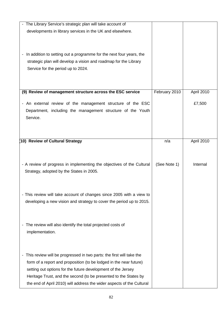| The Library Service's strategic plan will take account of                                        |               |            |
|--------------------------------------------------------------------------------------------------|---------------|------------|
| developments in library services in the UK and elsewhere.                                        |               |            |
|                                                                                                  |               |            |
|                                                                                                  |               |            |
|                                                                                                  |               |            |
| In addition to setting out a programme for the next four years, the                              |               |            |
| strategic plan will develop a vision and roadmap for the Library                                 |               |            |
| Service for the period up to 2024.                                                               |               |            |
|                                                                                                  |               |            |
|                                                                                                  |               |            |
|                                                                                                  |               |            |
| (9) Review of management structure across the ESC service                                        | February 2010 | April 2010 |
| An external review of the management structure of the ESC<br>$\overline{\phantom{a}}$            |               | £7,500     |
| Department, including the management structure of the Youth                                      |               |            |
|                                                                                                  |               |            |
| Service.                                                                                         |               |            |
|                                                                                                  |               |            |
|                                                                                                  |               |            |
| (10) Review of Cultural Strategy                                                                 | n/a           | April 2010 |
|                                                                                                  |               |            |
|                                                                                                  |               |            |
|                                                                                                  |               |            |
| - A review of progress in implementing the objectives of the Cultural                            | (See Note 1)  | Internal   |
| Strategy, adopted by the States in 2005.                                                         |               |            |
|                                                                                                  |               |            |
|                                                                                                  |               |            |
| - This review will take account of changes since 2005 with a view to                             |               |            |
| developing a new vision and strategy to cover the period up to 2015.                             |               |            |
|                                                                                                  |               |            |
|                                                                                                  |               |            |
|                                                                                                  |               |            |
| The review will also identify the total projected costs of<br>$\qquad \qquad \blacksquare$       |               |            |
| implementation.                                                                                  |               |            |
|                                                                                                  |               |            |
|                                                                                                  |               |            |
| This review will be progressed in two parts: the first will take the<br>$\overline{\phantom{a}}$ |               |            |
|                                                                                                  |               |            |
| form of a report and proposition (to be lodged in the near future)                               |               |            |
| setting out options for the future development of the Jersey                                     |               |            |
| Heritage Trust, and the second (to be presented to the States by                                 |               |            |
| the end of April 2010) will address the wider aspects of the Cultural                            |               |            |